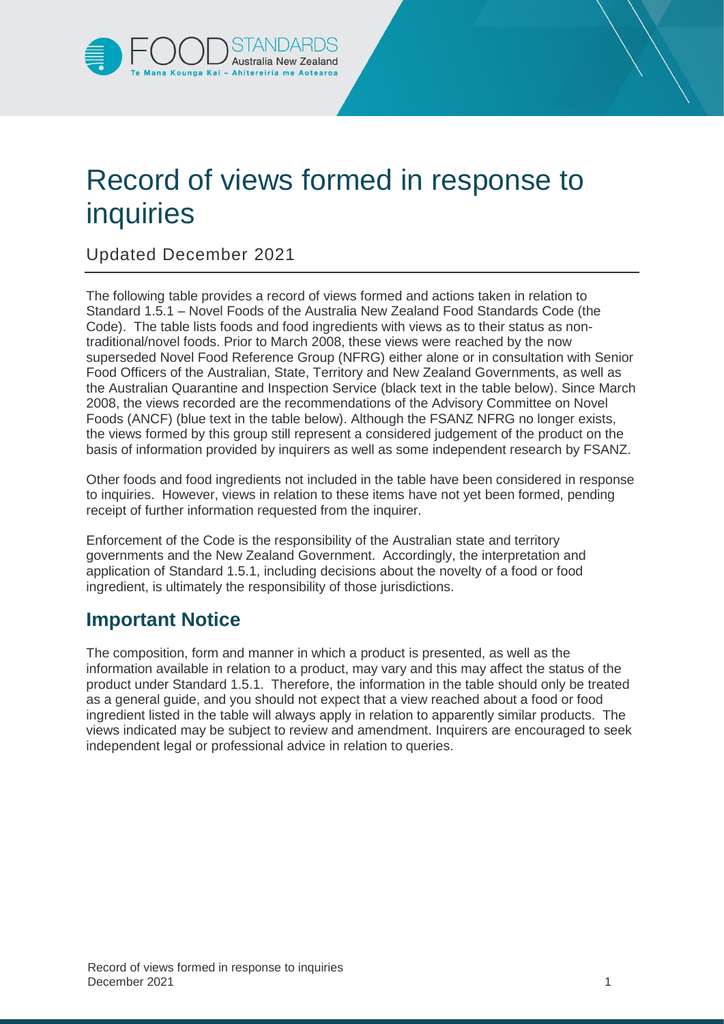

## Record of views formed in response to inquiries

## Updated December 2021

The following table provides a record of views formed and actions taken in relation to Standard 1.5.1 – Novel Foods of the Australia New Zealand Food Standards Code (the Code). The table lists foods and food ingredients with views as to their status as nontraditional/novel foods. Prior to March 2008, these views were reached by the now superseded Novel Food Reference Group (NFRG) either alone or in consultation with Senior Food Officers of the Australian, State, Territory and New Zealand Governments, as well as the Australian Quarantine and Inspection Service (black text in the table below). Since March 2008, the views recorded are the recommendations of the Advisory Committee on Novel Foods (ANCF) (blue text in the table below). Although the FSANZ NFRG no longer exists, the views formed by this group still represent a considered judgement of the product on the basis of information provided by inquirers as well as some independent research by FSANZ.

Other foods and food ingredients not included in the table have been considered in response to inquiries. However, views in relation to these items have not yet been formed, pending receipt of further information requested from the inquirer.

Enforcement of the Code is the responsibility of the Australian state and territory governments and the New Zealand Government. Accordingly, the interpretation and application of Standard 1.5.1, including decisions about the novelty of a food or food ingredient, is ultimately the responsibility of those jurisdictions.

## **Important Notice**

The composition, form and manner in which a product is presented, as well as the information available in relation to a product, may vary and this may affect the status of the product under Standard 1.5.1. Therefore, the information in the table should only be treated as a general guide, and you should not expect that a view reached about a food or food ingredient listed in the table will always apply in relation to apparently similar products. The views indicated may be subject to review and amendment. Inquirers are encouraged to seek independent legal or professional advice in relation to queries.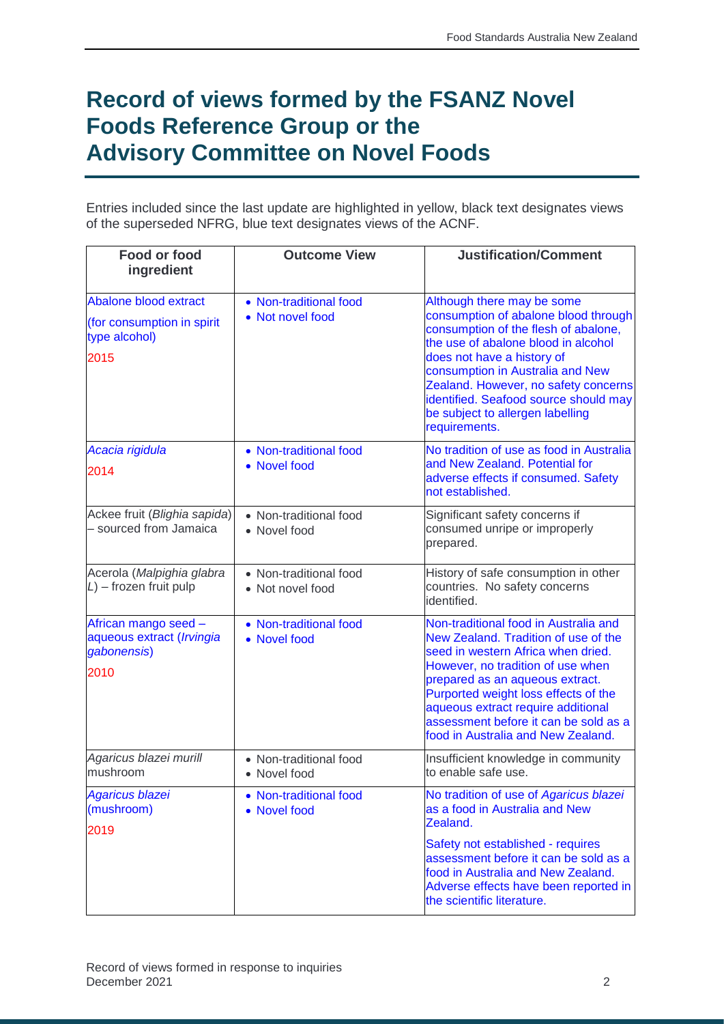## **Record of views formed by the FSANZ Novel Foods Reference Group or the Advisory Committee on Novel Foods**

Entries included since the last update are highlighted in yellow, black text designates views of the superseded NFRG, blue text designates views of the ACNF.

| Food or food<br>ingredient                                                          | <b>Outcome View</b>                        | <b>Justification/Comment</b>                                                                                                                                                                                                                                                                                                                              |
|-------------------------------------------------------------------------------------|--------------------------------------------|-----------------------------------------------------------------------------------------------------------------------------------------------------------------------------------------------------------------------------------------------------------------------------------------------------------------------------------------------------------|
|                                                                                     |                                            |                                                                                                                                                                                                                                                                                                                                                           |
| <b>Abalone blood extract</b><br>(for consumption in spirit<br>type alcohol)<br>2015 | • Non-traditional food<br>• Not novel food | Although there may be some<br>consumption of abalone blood through<br>consumption of the flesh of abalone,<br>the use of abalone blood in alcohol<br>does not have a history of<br>consumption in Australia and New<br>Zealand. However, no safety concerns<br>identified. Seafood source should may<br>be subject to allergen labelling<br>requirements. |
| Acacia rigidula<br>2014                                                             | • Non-traditional food<br>• Novel food     | No tradition of use as food in Australia<br>and New Zealand. Potential for<br>adverse effects if consumed. Safety<br>not established.                                                                                                                                                                                                                     |
| Ackee fruit (Blighia sapida)<br>- sourced from Jamaica                              | • Non-traditional food<br>• Novel food     | Significant safety concerns if<br>consumed unripe or improperly<br>prepared.                                                                                                                                                                                                                                                                              |
| Acerola (Malpighia glabra<br>$L$ ) – frozen fruit pulp                              | • Non-traditional food<br>• Not novel food | History of safe consumption in other<br>countries. No safety concerns<br>identified.                                                                                                                                                                                                                                                                      |
| African mango seed -<br>aqueous extract (Irvingia<br>gabonensis)<br>2010            | • Non-traditional food<br>• Novel food     | Non-traditional food in Australia and<br>New Zealand. Tradition of use of the<br>seed in western Africa when dried.<br>However, no tradition of use when<br>prepared as an aqueous extract.<br>Purported weight loss effects of the<br>aqueous extract require additional<br>assessment before it can be sold as a<br>food in Australia and New Zealand.  |
| Agaricus blazei murill<br>mushroom                                                  | • Non-traditional food<br>• Novel food     | Insufficient knowledge in community<br>to enable safe use.                                                                                                                                                                                                                                                                                                |
| <b>Agaricus blazei</b><br>(mushroom)<br>2019                                        | • Non-traditional food<br>• Novel food     | No tradition of use of Agaricus blazei<br>as a food in Australia and New<br>Zealand.                                                                                                                                                                                                                                                                      |
|                                                                                     |                                            | Safety not established - requires<br>assessment before it can be sold as a<br>food in Australia and New Zealand.<br>Adverse effects have been reported in<br>the scientific literature.                                                                                                                                                                   |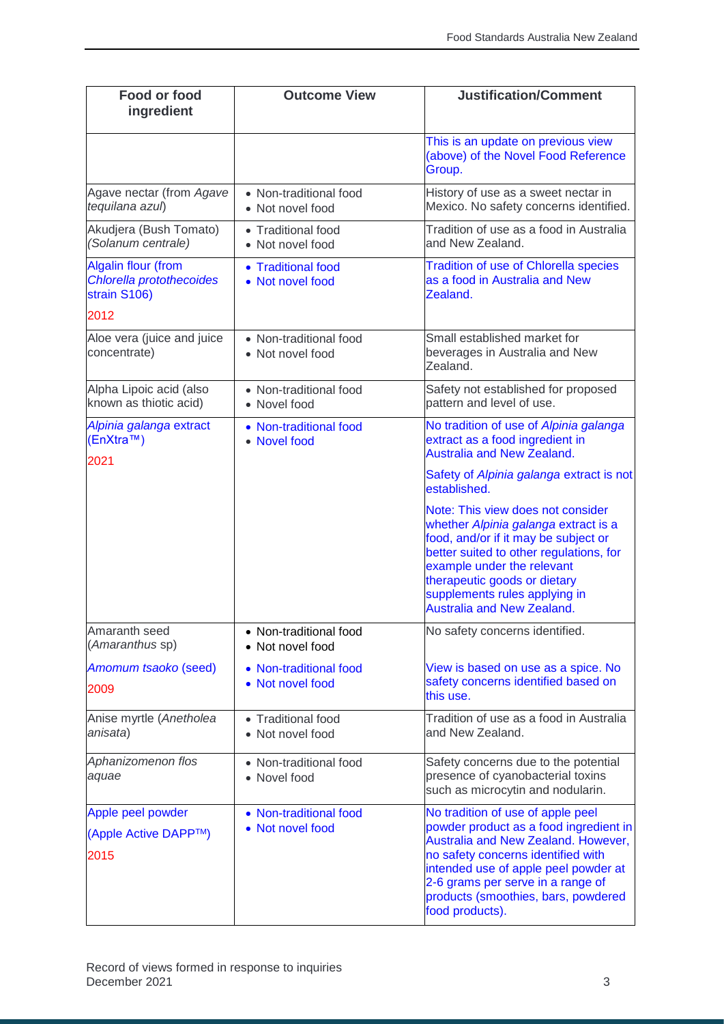| Food or food<br>ingredient                                             | <b>Outcome View</b>                        | <b>Justification/Comment</b>                                                                                                                                                                                                                                                                     |
|------------------------------------------------------------------------|--------------------------------------------|--------------------------------------------------------------------------------------------------------------------------------------------------------------------------------------------------------------------------------------------------------------------------------------------------|
|                                                                        |                                            | This is an update on previous view<br>(above) of the Novel Food Reference<br>Group.                                                                                                                                                                                                              |
| Agave nectar (from Agave<br>tequilana azul)                            | • Non-traditional food<br>• Not novel food | History of use as a sweet nectar in<br>Mexico. No safety concerns identified.                                                                                                                                                                                                                    |
| Akudjera (Bush Tomato)<br>(Solanum centrale)                           | • Traditional food<br>• Not novel food     | Tradition of use as a food in Australia<br>and New Zealand.                                                                                                                                                                                                                                      |
| <b>Algalin flour (from</b><br>Chlorella protothecoides<br>strain S106) | • Traditional food<br>• Not novel food     | <b>Tradition of use of Chlorella species</b><br>as a food in Australia and New<br>Zealand.                                                                                                                                                                                                       |
| 2012                                                                   |                                            |                                                                                                                                                                                                                                                                                                  |
| Aloe vera (juice and juice<br>concentrate)                             | • Non-traditional food<br>• Not novel food | Small established market for<br>beverages in Australia and New<br>Zealand.                                                                                                                                                                                                                       |
| Alpha Lipoic acid (also<br>known as thiotic acid)                      | • Non-traditional food<br>• Novel food     | Safety not established for proposed<br>pattern and level of use.                                                                                                                                                                                                                                 |
| Alpinia galanga extract<br>(EnXtra™)<br>2021                           | • Non-traditional food<br>• Novel food     | No tradition of use of Alpinia galanga<br>extract as a food ingredient in<br><b>Australia and New Zealand.</b>                                                                                                                                                                                   |
|                                                                        |                                            | Safety of Alpinia galanga extract is not<br>established.                                                                                                                                                                                                                                         |
|                                                                        |                                            | Note: This view does not consider<br>whether Alpinia galanga extract is a<br>food, and/or if it may be subject or<br>better suited to other regulations, for<br>example under the relevant<br>therapeutic goods or dietary<br>supplements rules applying in<br><b>Australia and New Zealand.</b> |
| Amaranth seed<br>(Amaranthus sp)                                       | • Non-traditional food<br>• Not novel food | No safety concerns identified.                                                                                                                                                                                                                                                                   |
| Amomum tsaoko (seed)<br>2009                                           | • Non-traditional food<br>• Not novel food | View is based on use as a spice. No<br>safety concerns identified based on<br>this use.                                                                                                                                                                                                          |
| Anise myrtle (Anetholea<br>anisata)                                    | • Traditional food<br>• Not novel food     | Tradition of use as a food in Australia<br>and New Zealand.                                                                                                                                                                                                                                      |
| Aphanizomenon flos<br>aquae                                            | • Non-traditional food<br>• Novel food     | Safety concerns due to the potential<br>presence of cyanobacterial toxins<br>such as microcytin and nodularin.                                                                                                                                                                                   |
| Apple peel powder<br>(Apple Active DAPP™)<br>2015                      | • Non-traditional food<br>• Not novel food | No tradition of use of apple peel<br>powder product as a food ingredient in<br>Australia and New Zealand. However,<br>no safety concerns identified with<br>intended use of apple peel powder at<br>2-6 grams per serve in a range of<br>products (smoothies, bars, powdered<br>food products).  |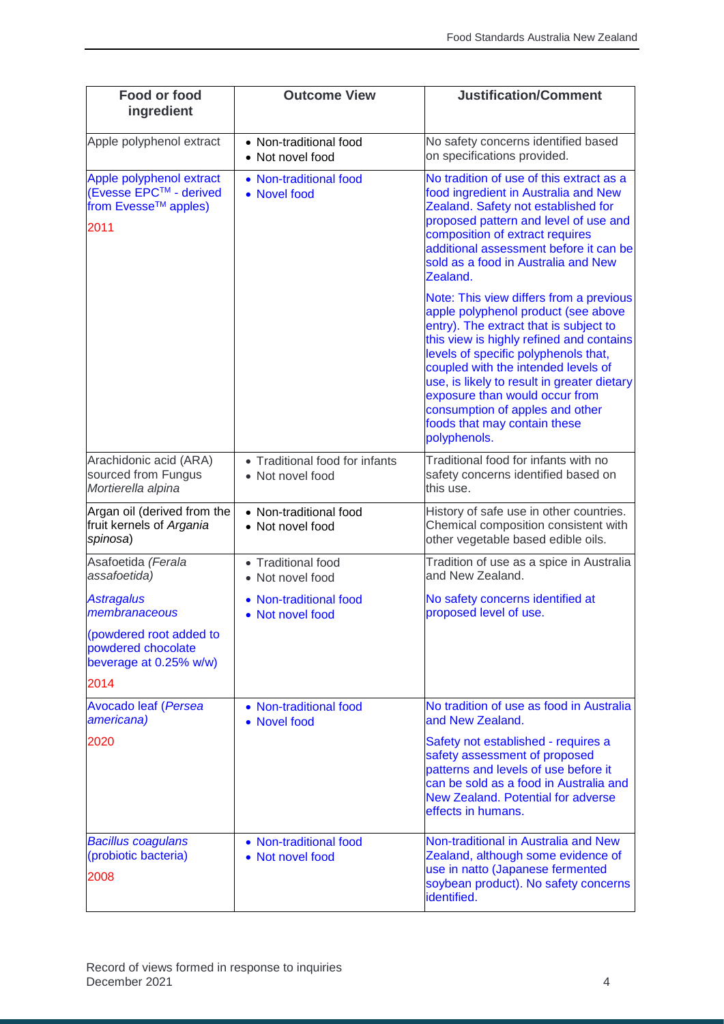| Food or food<br>ingredient                                                         | <b>Outcome View</b>                                | <b>Justification/Comment</b>                                                                                                                                                                                                                                                                                                                                                                                            |
|------------------------------------------------------------------------------------|----------------------------------------------------|-------------------------------------------------------------------------------------------------------------------------------------------------------------------------------------------------------------------------------------------------------------------------------------------------------------------------------------------------------------------------------------------------------------------------|
| Apple polyphenol extract                                                           | • Non-traditional food<br>• Not novel food         | No safety concerns identified based<br>on specifications provided.                                                                                                                                                                                                                                                                                                                                                      |
| Apple polyphenol extract<br>(Evesse EPC™ - derived<br>from Evesse™ apples)<br>2011 | • Non-traditional food<br>• Novel food             | No tradition of use of this extract as a<br>food ingredient in Australia and New<br>Zealand. Safety not established for<br>proposed pattern and level of use and<br>composition of extract requires<br>additional assessment before it can be<br>sold as a food in Australia and New<br>Zealand.                                                                                                                        |
|                                                                                    |                                                    | Note: This view differs from a previous<br>apple polyphenol product (see above<br>entry). The extract that is subject to<br>this view is highly refined and contains<br>levels of specific polyphenols that,<br>coupled with the intended levels of<br>use, is likely to result in greater dietary<br>exposure than would occur from<br>consumption of apples and other<br>foods that may contain these<br>polyphenols. |
| Arachidonic acid (ARA)<br>sourced from Fungus<br>Mortierella alpina                | • Traditional food for infants<br>• Not novel food | Traditional food for infants with no<br>safety concerns identified based on<br>this use.                                                                                                                                                                                                                                                                                                                                |
| Argan oil (derived from the<br>fruit kernels of Argania<br>spinosa)                | • Non-traditional food<br>• Not novel food         | History of safe use in other countries.<br>Chemical composition consistent with<br>other vegetable based edible oils.                                                                                                                                                                                                                                                                                                   |
| Asafoetida (Ferala<br>assafoetida)                                                 | • Traditional food<br>• Not novel food             | Tradition of use as a spice in Australia<br>and New Zealand.                                                                                                                                                                                                                                                                                                                                                            |
| <b>Astragalus</b><br>membranaceous                                                 | • Non-traditional food<br>• Not novel food         | No safety concerns identified at<br>proposed level of use.                                                                                                                                                                                                                                                                                                                                                              |
| (powdered root added to<br>powdered chocolate<br>beverage at 0.25% w/w)            |                                                    |                                                                                                                                                                                                                                                                                                                                                                                                                         |
| 2014                                                                               |                                                    |                                                                                                                                                                                                                                                                                                                                                                                                                         |
| <b>Avocado leaf (Persea</b><br>americana)                                          | • Non-traditional food<br>• Novel food             | No tradition of use as food in Australia<br>and New Zealand.                                                                                                                                                                                                                                                                                                                                                            |
| 2020                                                                               |                                                    | Safety not established - requires a<br>safety assessment of proposed<br>patterns and levels of use before it<br>can be sold as a food in Australia and<br><b>New Zealand. Potential for adverse</b><br>effects in humans.                                                                                                                                                                                               |
| <b>Bacillus coagulans</b><br>(probiotic bacteria)<br>2008                          | • Non-traditional food<br>• Not novel food         | Non-traditional in Australia and New<br>Zealand, although some evidence of<br>use in natto (Japanese fermented<br>soybean product). No safety concerns<br>identified.                                                                                                                                                                                                                                                   |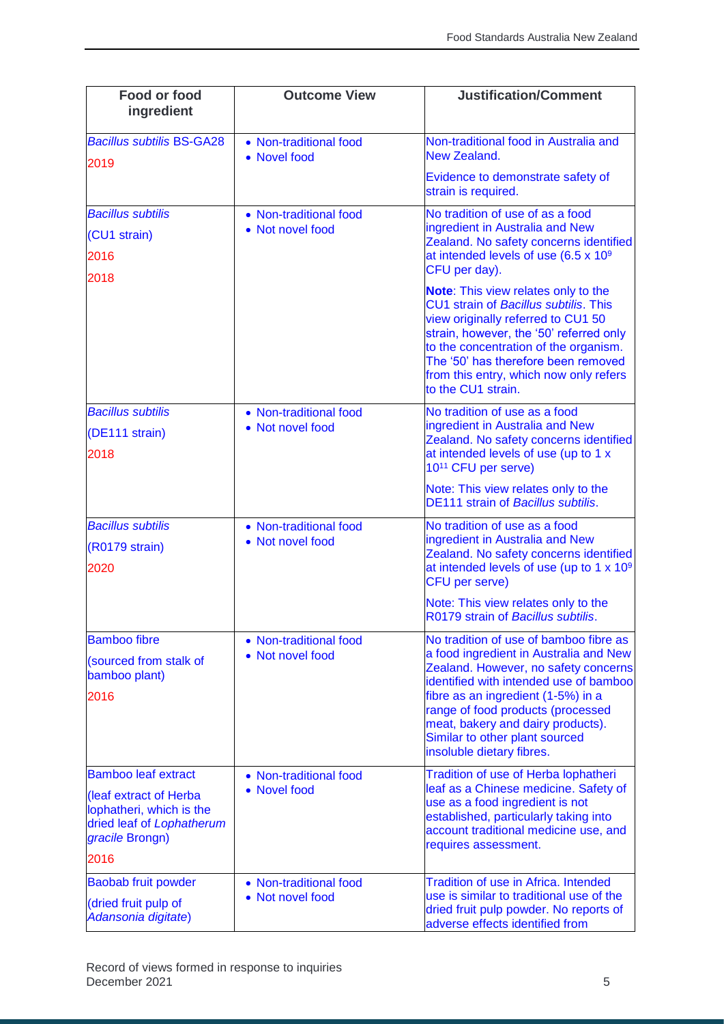| <b>Food or food</b><br>ingredient                                                                  | <b>Outcome View</b>                        | <b>Justification/Comment</b>                                                                                                                                                                                                                                                                                                                      |
|----------------------------------------------------------------------------------------------------|--------------------------------------------|---------------------------------------------------------------------------------------------------------------------------------------------------------------------------------------------------------------------------------------------------------------------------------------------------------------------------------------------------|
| <b>Bacillus subtilis BS-GA28</b><br>2019                                                           | • Non-traditional food<br>• Novel food     | Non-traditional food in Australia and<br>New Zealand.                                                                                                                                                                                                                                                                                             |
|                                                                                                    |                                            | Evidence to demonstrate safety of<br>strain is required.                                                                                                                                                                                                                                                                                          |
| <b>Bacillus subtilis</b><br>(CU1 strain)<br>2016<br>2018                                           | • Non-traditional food<br>• Not novel food | No tradition of use of as a food<br>ingredient in Australia and New<br>Zealand. No safety concerns identified<br>at intended levels of use (6.5 x 10 <sup>9</sup><br>CFU per day).                                                                                                                                                                |
|                                                                                                    |                                            | <b>Note:</b> This view relates only to the<br>CU1 strain of Bacillus subtilis. This<br>view originally referred to CU1 50<br>strain, however, the '50' referred only<br>to the concentration of the organism.<br>The '50' has therefore been removed<br>from this entry, which now only refers<br>to the CU1 strain.                              |
| <b>Bacillus subtilis</b><br>(DE111 strain)<br>2018                                                 | • Non-traditional food<br>• Not novel food | No tradition of use as a food<br>ingredient in Australia and New<br>Zealand. No safety concerns identified<br>at intended levels of use (up to 1 x<br>10 <sup>11</sup> CFU per serve)                                                                                                                                                             |
|                                                                                                    |                                            | Note: This view relates only to the<br><b>DE111 strain of Bacillus subtilis.</b>                                                                                                                                                                                                                                                                  |
| <b>Bacillus subtilis</b><br>(R0179 strain)<br>2020                                                 | • Non-traditional food<br>• Not novel food | No tradition of use as a food<br>ingredient in Australia and New<br>Zealand. No safety concerns identified<br>at intended levels of use (up to 1 x 10 <sup>9</sup><br><b>CFU</b> per serve)                                                                                                                                                       |
|                                                                                                    |                                            | Note: This view relates only to the<br>R0179 strain of Bacillus subtilis.                                                                                                                                                                                                                                                                         |
| <b>Bamboo fibre</b><br>(sourced from stalk of<br>bamboo plant)<br>2016                             | • Non-traditional food<br>• Not novel food | No tradition of use of bamboo fibre as<br>a food ingredient in Australia and New<br>Zealand. However, no safety concerns<br>identified with intended use of bamboo<br>fibre as an ingredient (1-5%) in a<br>range of food products (processed<br>meat, bakery and dairy products).<br>Similar to other plant sourced<br>insoluble dietary fibres. |
| <b>Bamboo leaf extract</b>                                                                         | • Non-traditional food                     | Tradition of use of Herba lophatheri                                                                                                                                                                                                                                                                                                              |
| (leaf extract of Herba<br>lophatheri, which is the<br>dried leaf of Lophatherum<br>gracile Brongn) | • Novel food                               | leaf as a Chinese medicine. Safety of<br>use as a food ingredient is not<br>established, particularly taking into<br>account traditional medicine use, and<br>requires assessment.                                                                                                                                                                |
| 2016                                                                                               |                                            |                                                                                                                                                                                                                                                                                                                                                   |
| <b>Baobab fruit powder</b><br>(dried fruit pulp of<br>Adansonia digitate)                          | • Non-traditional food<br>• Not novel food | <b>Tradition of use in Africa. Intended</b><br>use is similar to traditional use of the<br>dried fruit pulp powder. No reports of<br>adverse effects identified from                                                                                                                                                                              |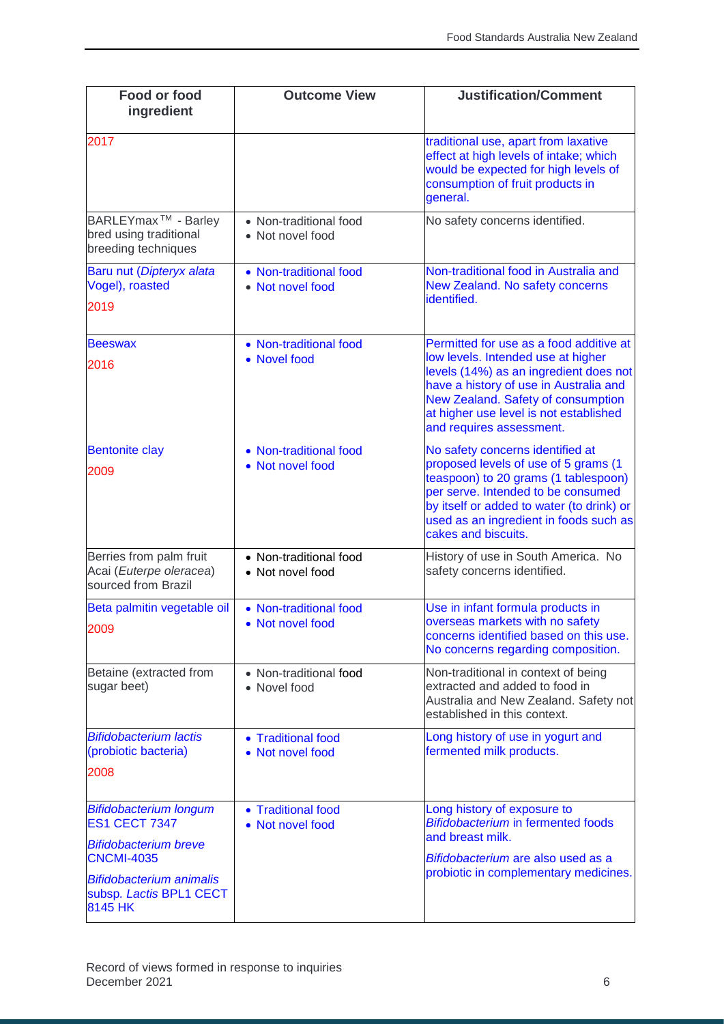| <b>Food or food</b><br>ingredient                                                                                                             | <b>Outcome View</b>                        | <b>Justification/Comment</b>                                                                                                                                                                                                                                                  |
|-----------------------------------------------------------------------------------------------------------------------------------------------|--------------------------------------------|-------------------------------------------------------------------------------------------------------------------------------------------------------------------------------------------------------------------------------------------------------------------------------|
| 2017                                                                                                                                          |                                            | traditional use, apart from laxative<br>effect at high levels of intake; which<br>would be expected for high levels of<br>consumption of fruit products in<br>general.                                                                                                        |
| BARLEYmax <sup>™</sup> - Barley<br>bred using traditional<br>breeding techniques                                                              | • Non-traditional food<br>• Not novel food | No safety concerns identified.                                                                                                                                                                                                                                                |
| Baru nut (Dipteryx alata<br>Vogel), roasted<br>2019                                                                                           | • Non-traditional food<br>• Not novel food | Non-traditional food in Australia and<br>New Zealand. No safety concerns<br>identified.                                                                                                                                                                                       |
| <b>Beeswax</b><br>2016                                                                                                                        | • Non-traditional food<br>• Novel food     | Permitted for use as a food additive at<br>low levels. Intended use at higher<br>levels (14%) as an ingredient does not<br>have a history of use in Australia and<br>New Zealand. Safety of consumption<br>at higher use level is not established<br>and requires assessment. |
| <b>Bentonite clay</b><br>2009                                                                                                                 | • Non-traditional food<br>• Not novel food | No safety concerns identified at<br>proposed levels of use of 5 grams (1<br>teaspoon) to 20 grams (1 tablespoon)<br>per serve. Intended to be consumed<br>by itself or added to water (to drink) or<br>used as an ingredient in foods such as<br>cakes and biscuits.          |
| Berries from palm fruit<br>Acai (Euterpe oleracea)<br>sourced from Brazil                                                                     | • Non-traditional food<br>• Not novel food | History of use in South America. No<br>safety concerns identified.                                                                                                                                                                                                            |
| Beta palmitin vegetable oil<br>2009                                                                                                           | • Non-traditional food<br>• Not novel food | Use in infant formula products in<br>overseas markets with no safety<br>concerns identified based on this use.<br>No concerns regarding composition.                                                                                                                          |
| Betaine (extracted from<br>sugar beet)                                                                                                        | • Non-traditional food<br>• Novel food     | Non-traditional in context of being<br>extracted and added to food in<br>Australia and New Zealand. Safety not<br>established in this context.                                                                                                                                |
| <b>Bifidobacterium lactis</b><br>(probiotic bacteria)<br>2008                                                                                 | • Traditional food<br>• Not novel food     | Long history of use in yogurt and<br>fermented milk products.                                                                                                                                                                                                                 |
| <b>Bifidobacterium longum</b><br><b>ES1 CECT 7347</b><br><b>Bifidobacterium breve</b><br><b>CNCMI-4035</b><br><b>Bifidobacterium animalis</b> | • Traditional food<br>• Not novel food     | Long history of exposure to<br><b>Bifidobacterium in fermented foods</b><br>and breast milk.<br>Bifidobacterium are also used as a<br>probiotic in complementary medicines.                                                                                                   |
| subsp. Lactis BPL1 CECT<br>8145 HK                                                                                                            |                                            |                                                                                                                                                                                                                                                                               |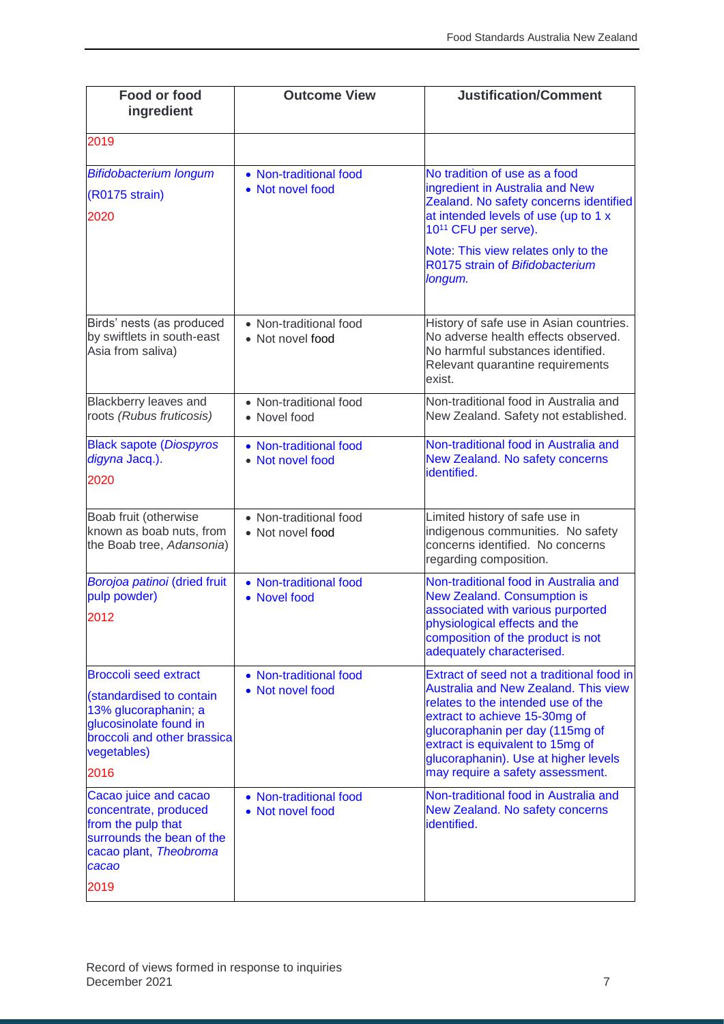| <b>Food or food</b><br>ingredient                                                                                                                                | <b>Outcome View</b>                        | <b>Justification/Comment</b>                                                                                                                                                                                                                                                                                       |
|------------------------------------------------------------------------------------------------------------------------------------------------------------------|--------------------------------------------|--------------------------------------------------------------------------------------------------------------------------------------------------------------------------------------------------------------------------------------------------------------------------------------------------------------------|
| 2019                                                                                                                                                             |                                            |                                                                                                                                                                                                                                                                                                                    |
| <b>Bifidobacterium longum</b><br>(R0175 strain)<br>2020                                                                                                          | • Non-traditional food<br>• Not novel food | No tradition of use as a food<br>ingredient in Australia and New<br>Zealand. No safety concerns identified<br>at intended levels of use (up to 1 x<br>10 <sup>11</sup> CFU per serve).<br>Note: This view relates only to the<br>R0175 strain of Bifidobacterium<br>longum.                                        |
| Birds' nests (as produced<br>by swiftlets in south-east<br>Asia from saliva)                                                                                     | • Non-traditional food<br>• Not novel food | History of safe use in Asian countries.<br>No adverse health effects observed.<br>No harmful substances identified.<br>Relevant quarantine requirements<br>exist.                                                                                                                                                  |
| Blackberry leaves and<br>roots (Rubus fruticosis)                                                                                                                | • Non-traditional food<br>• Novel food     | Non-traditional food in Australia and<br>New Zealand. Safety not established.                                                                                                                                                                                                                                      |
| <b>Black sapote (Diospyros</b><br>digyna Jacq.).<br>2020                                                                                                         | • Non-traditional food<br>• Not novel food | Non-traditional food in Australia and<br>New Zealand. No safety concerns<br>identified.                                                                                                                                                                                                                            |
| Boab fruit (otherwise<br>known as boab nuts, from<br>the Boab tree, Adansonia)                                                                                   | • Non-traditional food<br>• Not novel food | Limited history of safe use in<br>indigenous communities. No safety<br>concerns identified. No concerns<br>regarding composition.                                                                                                                                                                                  |
| Borojoa patinoi (dried fruit<br>pulp powder)<br>2012                                                                                                             | • Non-traditional food<br>• Novel food     | Non-traditional food in Australia and<br><b>New Zealand. Consumption is</b><br>associated with various purported<br>physiological effects and the<br>composition of the product is not<br>adequately characterised.                                                                                                |
| <b>Broccoli seed extract</b><br>(standardised to contain<br>13% glucoraphanin; a<br>glucosinolate found in<br>broccoli and other brassica<br>vegetables)<br>2016 | • Non-traditional food<br>• Not novel food | Extract of seed not a traditional food in<br><b>Australia and New Zealand. This view</b><br>relates to the intended use of the<br>extract to achieve 15-30mg of<br>glucoraphanin per day (115mg of<br>extract is equivalent to 15mg of<br>glucoraphanin). Use at higher levels<br>may require a safety assessment. |
| Cacao juice and cacao<br>concentrate, produced<br>from the pulp that<br>surrounds the bean of the<br>cacao plant, Theobroma<br>cacao<br>2019                     | • Non-traditional food<br>• Not novel food | Non-traditional food in Australia and<br>New Zealand. No safety concerns<br>identified.                                                                                                                                                                                                                            |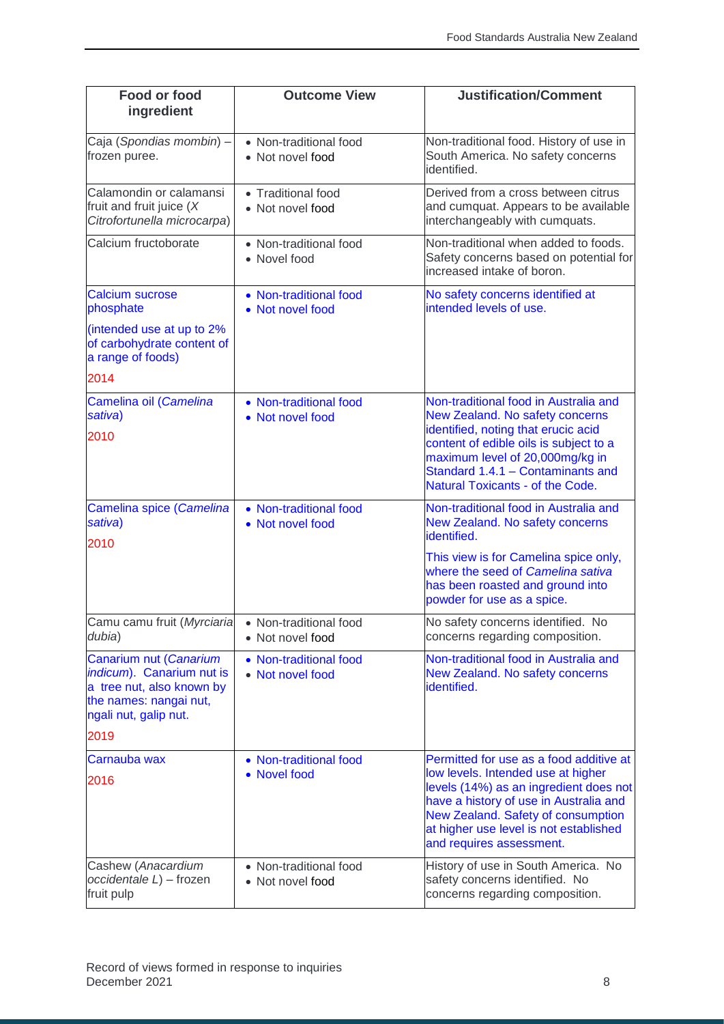| <b>Food or food</b><br>ingredient                                                                                                   | <b>Outcome View</b>                        | <b>Justification/Comment</b>                                                                                                                                                                                                                                                  |
|-------------------------------------------------------------------------------------------------------------------------------------|--------------------------------------------|-------------------------------------------------------------------------------------------------------------------------------------------------------------------------------------------------------------------------------------------------------------------------------|
| Caja (Spondias mombin) -<br>frozen puree.                                                                                           | • Non-traditional food<br>• Not novel food | Non-traditional food. History of use in<br>South America. No safety concerns<br>identified.                                                                                                                                                                                   |
| Calamondin or calamansi<br>fruit and fruit juice $(X)$<br>Citrofortunella microcarpa)                                               | • Traditional food<br>• Not novel food     | Derived from a cross between citrus<br>and cumquat. Appears to be available<br>interchangeably with cumquats.                                                                                                                                                                 |
| Calcium fructoborate                                                                                                                | • Non-traditional food<br>• Novel food     | Non-traditional when added to foods.<br>Safety concerns based on potential for<br>increased intake of boron.                                                                                                                                                                  |
| <b>Calcium sucrose</b><br>phosphate                                                                                                 | • Non-traditional food<br>• Not novel food | No safety concerns identified at<br>intended levels of use.                                                                                                                                                                                                                   |
| (intended use at up to 2%<br>of carbohydrate content of<br>a range of foods)                                                        |                                            |                                                                                                                                                                                                                                                                               |
| 2014                                                                                                                                |                                            |                                                                                                                                                                                                                                                                               |
| Camelina oil (Camelina<br>sativa)<br>2010                                                                                           | • Non-traditional food<br>• Not novel food | Non-traditional food in Australia and<br>New Zealand. No safety concerns<br>identified, noting that erucic acid<br>content of edible oils is subject to a<br>maximum level of 20,000mg/kg in<br>Standard 1.4.1 - Contaminants and<br><b>Natural Toxicants - of the Code.</b>  |
| Camelina spice (Camelina<br>sativa)<br>2010                                                                                         | • Non-traditional food<br>• Not novel food | Non-traditional food in Australia and<br>New Zealand. No safety concerns<br>identified.                                                                                                                                                                                       |
|                                                                                                                                     |                                            | This view is for Camelina spice only,<br>where the seed of Camelina sativa<br>has been roasted and ground into<br>powder for use as a spice.                                                                                                                                  |
| Camu camu fruit (Myrciaria<br>dubia)                                                                                                | • Non-traditional food<br>• Not novel food | No safety concerns identified. No<br>concerns regarding composition.                                                                                                                                                                                                          |
| Canarium nut (Canarium<br>indicum). Canarium nut is<br>a tree nut, also known by<br>the names: nangai nut,<br>ngali nut, galip nut. | • Non-traditional food<br>• Not novel food | Non-traditional food in Australia and<br>New Zealand. No safety concerns<br>identified.                                                                                                                                                                                       |
| 2019                                                                                                                                |                                            |                                                                                                                                                                                                                                                                               |
| Carnauba wax<br>2016                                                                                                                | • Non-traditional food<br>• Novel food     | Permitted for use as a food additive at<br>low levels. Intended use at higher<br>levels (14%) as an ingredient does not<br>have a history of use in Australia and<br>New Zealand. Safety of consumption<br>at higher use level is not established<br>and requires assessment. |
| Cashew (Anacardium<br>occidentale L) - frozen<br>fruit pulp                                                                         | • Non-traditional food<br>• Not novel food | History of use in South America. No<br>safety concerns identified. No<br>concerns regarding composition.                                                                                                                                                                      |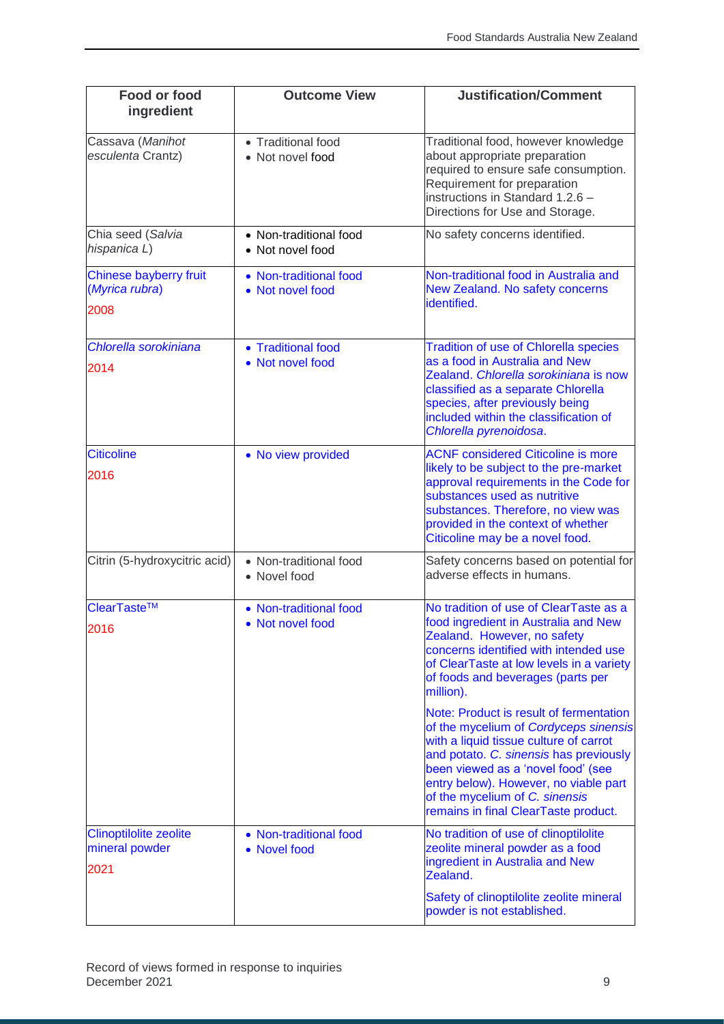| <b>Food or food</b><br>ingredient                       | <b>Outcome View</b>                        | <b>Justification/Comment</b>                                                                                                                                                                                                                                                                                                                                                       |
|---------------------------------------------------------|--------------------------------------------|------------------------------------------------------------------------------------------------------------------------------------------------------------------------------------------------------------------------------------------------------------------------------------------------------------------------------------------------------------------------------------|
| Cassava (Manihot<br>esculenta Crantz)                   | • Traditional food<br>• Not novel food     | Traditional food, however knowledge<br>about appropriate preparation<br>required to ensure safe consumption.<br>Requirement for preparation<br>instructions in Standard 1.2.6 -<br>Directions for Use and Storage.                                                                                                                                                                 |
| Chia seed (Salvia<br>hispanica L)                       | • Non-traditional food<br>• Not novel food | No safety concerns identified.                                                                                                                                                                                                                                                                                                                                                     |
| Chinese bayberry fruit<br>(Myrica rubra)<br>2008        | • Non-traditional food<br>• Not novel food | Non-traditional food in Australia and<br>New Zealand. No safety concerns<br>identified.                                                                                                                                                                                                                                                                                            |
| Chlorella sorokiniana<br>2014                           | • Traditional food<br>• Not novel food     | <b>Tradition of use of Chlorella species</b><br>as a food in Australia and New<br>Zealand. Chlorella sorokiniana is now<br>classified as a separate Chlorella<br>species, after previously being<br>included within the classification of<br>Chlorella pyrenoidosa.                                                                                                                |
| <b>Citicoline</b><br>2016                               | • No view provided                         | <b>ACNF considered Citicoline is more</b><br>likely to be subject to the pre-market<br>approval requirements in the Code for<br>substances used as nutritive<br>substances. Therefore, no view was<br>provided in the context of whether<br>Citicoline may be a novel food.                                                                                                        |
| Citrin (5-hydroxycitric acid)                           | • Non-traditional food<br>• Novel food     | Safety concerns based on potential for<br>adverse effects in humans.                                                                                                                                                                                                                                                                                                               |
| ClearTaste™<br>2016                                     | • Non-traditional food<br>• Not novel food | No tradition of use of ClearTaste as a<br>food ingredient in Australia and New<br>Zealand. However, no safety<br>concerns identified with intended use<br>of ClearTaste at low levels in a variety<br>of foods and beverages (parts per<br>million).<br>Note: Product is result of fermentation<br>of the mycelium of Cordyceps sinensis<br>with a liquid tissue culture of carrot |
|                                                         |                                            | and potato. C. sinensis has previously<br>been viewed as a 'novel food' (see<br>entry below). However, no viable part<br>of the mycelium of C. sinensis<br>remains in final ClearTaste product.                                                                                                                                                                                    |
| <b>Clinoptilolite zeolite</b><br>mineral powder<br>2021 | • Non-traditional food<br>• Novel food     | No tradition of use of clinoptilolite<br>zeolite mineral powder as a food<br>ingredient in Australia and New<br>Zealand.                                                                                                                                                                                                                                                           |
|                                                         |                                            | Safety of clinoptilolite zeolite mineral<br>powder is not established.                                                                                                                                                                                                                                                                                                             |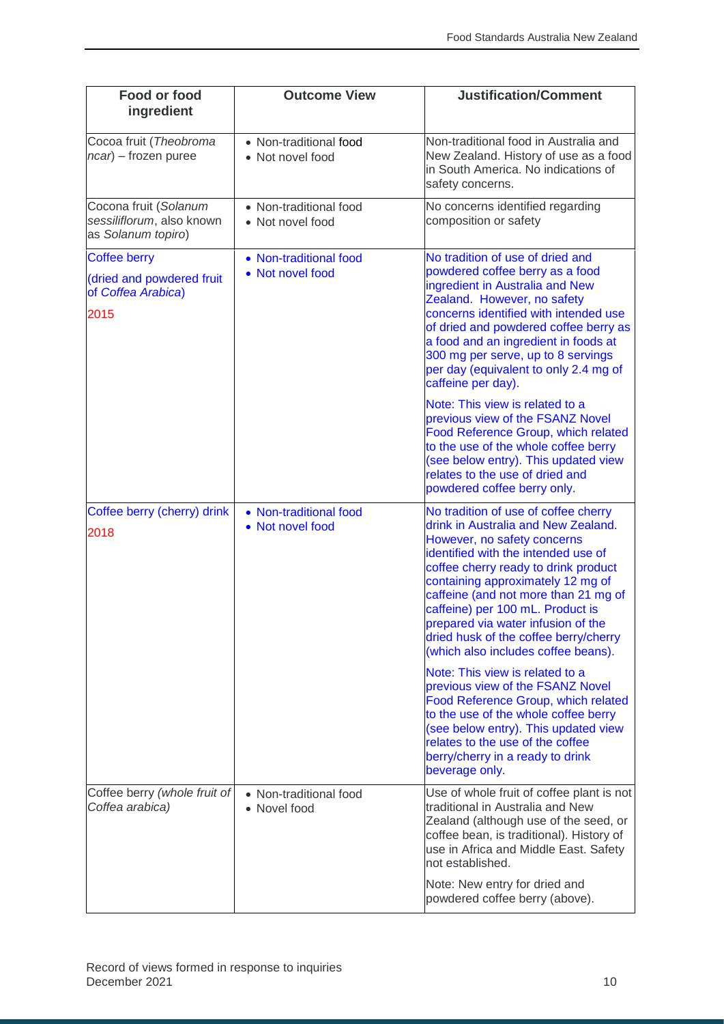| Food or food<br>ingredient                                               | <b>Outcome View</b>                        | <b>Justification/Comment</b>                                                                                                                                                                                                                                                                                                                                                                                                     |
|--------------------------------------------------------------------------|--------------------------------------------|----------------------------------------------------------------------------------------------------------------------------------------------------------------------------------------------------------------------------------------------------------------------------------------------------------------------------------------------------------------------------------------------------------------------------------|
| Cocoa fruit (Theobroma<br>ncar) – frozen puree                           | • Non-traditional food<br>• Not novel food | Non-traditional food in Australia and<br>New Zealand. History of use as a food<br>in South America. No indications of<br>safety concerns.                                                                                                                                                                                                                                                                                        |
| Cocona fruit (Solanum<br>sessiliflorum, also known<br>as Solanum topiro) | • Non-traditional food<br>• Not novel food | No concerns identified regarding<br>composition or safety                                                                                                                                                                                                                                                                                                                                                                        |
| <b>Coffee berry</b>                                                      | • Non-traditional food                     | No tradition of use of dried and                                                                                                                                                                                                                                                                                                                                                                                                 |
| (dried and powdered fruit<br>of Coffea Arabica)<br>2015                  | • Not novel food                           | powdered coffee berry as a food<br>ingredient in Australia and New<br>Zealand. However, no safety<br>concerns identified with intended use<br>of dried and powdered coffee berry as<br>a food and an ingredient in foods at<br>300 mg per serve, up to 8 servings<br>per day (equivalent to only 2.4 mg of<br>caffeine per day).                                                                                                 |
|                                                                          |                                            | Note: This view is related to a<br>previous view of the FSANZ Novel<br>Food Reference Group, which related<br>to the use of the whole coffee berry<br>(see below entry). This updated view<br>relates to the use of dried and<br>powdered coffee berry only.                                                                                                                                                                     |
| Coffee berry (cherry) drink<br>2018                                      | • Non-traditional food<br>• Not novel food | No tradition of use of coffee cherry<br>drink in Australia and New Zealand.<br>However, no safety concerns<br>identified with the intended use of<br>coffee cherry ready to drink product<br>containing approximately 12 mg of<br>caffeine (and not more than 21 mg of<br>caffeine) per 100 mL. Product is<br>prepared via water infusion of the<br>dried husk of the coffee berry/cherry<br>(which also includes coffee beans). |
|                                                                          |                                            | Note: This view is related to a<br>previous view of the FSANZ Novel<br><b>Food Reference Group, which related</b><br>to the use of the whole coffee berry<br>(see below entry). This updated view<br>relates to the use of the coffee<br>berry/cherry in a ready to drink<br>beverage only.                                                                                                                                      |
| Coffee berry (whole fruit of<br>Coffea arabica)                          | • Non-traditional food<br>• Novel food     | Use of whole fruit of coffee plant is not<br>traditional in Australia and New<br>Zealand (although use of the seed, or<br>coffee bean, is traditional). History of<br>use in Africa and Middle East. Safety<br>not established.                                                                                                                                                                                                  |
|                                                                          |                                            | Note: New entry for dried and<br>powdered coffee berry (above).                                                                                                                                                                                                                                                                                                                                                                  |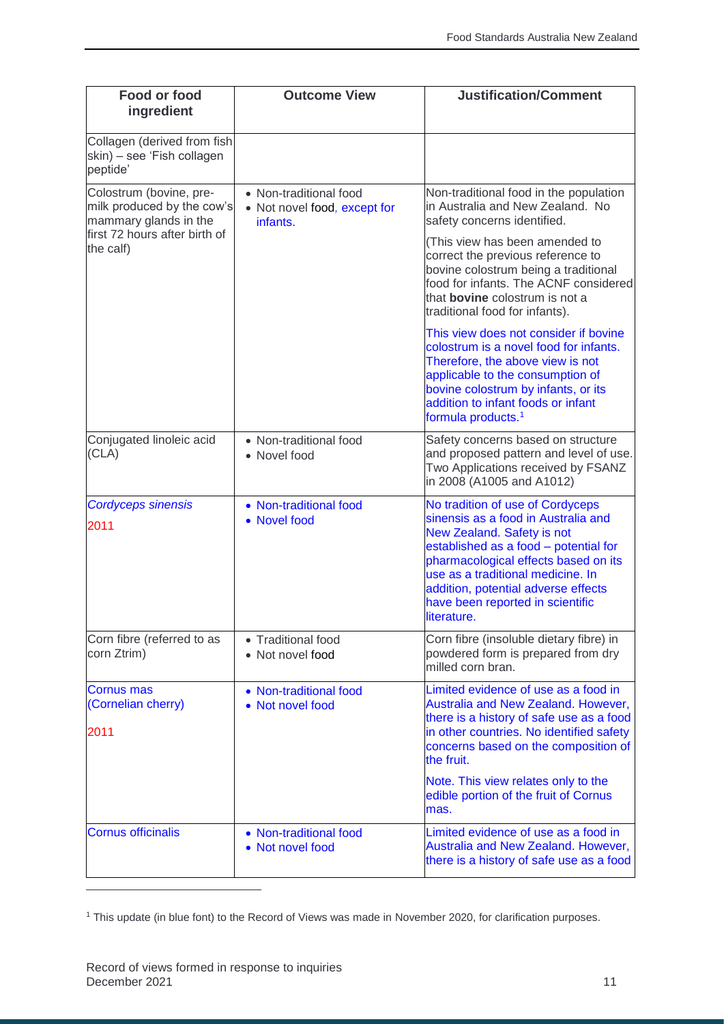| Food or food<br>ingredient                                                     | <b>Outcome View</b>                                                | <b>Justification/Comment</b>                                                                                                                                                                                                                                                                                          |
|--------------------------------------------------------------------------------|--------------------------------------------------------------------|-----------------------------------------------------------------------------------------------------------------------------------------------------------------------------------------------------------------------------------------------------------------------------------------------------------------------|
| Collagen (derived from fish<br>skin) – see 'Fish collagen<br>peptide'          |                                                                    |                                                                                                                                                                                                                                                                                                                       |
| Colostrum (bovine, pre-<br>milk produced by the cow's<br>mammary glands in the | • Non-traditional food<br>• Not novel food, except for<br>infants. | Non-traditional food in the population<br>in Australia and New Zealand. No<br>safety concerns identified.                                                                                                                                                                                                             |
| first 72 hours after birth of<br>the calf)                                     |                                                                    | (This view has been amended to<br>correct the previous reference to<br>bovine colostrum being a traditional<br>food for infants. The ACNF considered<br>that <b>bovine</b> colostrum is not a<br>traditional food for infants).                                                                                       |
|                                                                                |                                                                    | This view does not consider if bovine<br>colostrum is a novel food for infants.<br>Therefore, the above view is not<br>applicable to the consumption of<br>bovine colostrum by infants, or its<br>addition to infant foods or infant<br>formula products. <sup>1</sup>                                                |
| Conjugated linoleic acid<br>(CLA)                                              | • Non-traditional food<br>• Novel food                             | Safety concerns based on structure<br>and proposed pattern and level of use.<br>Two Applications received by FSANZ<br>in 2008 (A1005 and A1012)                                                                                                                                                                       |
| <b>Cordyceps sinensis</b><br>2011                                              | • Non-traditional food<br>• Novel food                             | No tradition of use of Cordyceps<br>sinensis as a food in Australia and<br>New Zealand. Safety is not<br>established as a food - potential for<br>pharmacological effects based on its<br>use as a traditional medicine. In<br>addition, potential adverse effects<br>have been reported in scientific<br>literature. |
| Corn fibre (referred to as<br>corn Ztrim)                                      | • Traditional food<br>• Not novel food                             | Corn fibre (insoluble dietary fibre) in<br>powdered form is prepared from dry<br>milled corn bran.                                                                                                                                                                                                                    |
| <b>Cornus mas</b><br>(Cornelian cherry)<br>2011                                | • Non-traditional food<br>• Not novel food                         | Limited evidence of use as a food in<br>Australia and New Zealand. However,<br>there is a history of safe use as a food<br>in other countries. No identified safety<br>concerns based on the composition of<br>the fruit.                                                                                             |
|                                                                                |                                                                    | Note. This view relates only to the<br>edible portion of the fruit of Cornus<br>mas.                                                                                                                                                                                                                                  |
| <b>Cornus officinalis</b>                                                      | • Non-traditional food<br>• Not novel food                         | Limited evidence of use as a food in<br>Australia and New Zealand. However,<br>there is a history of safe use as a food                                                                                                                                                                                               |

<sup>1</sup> This update (in blue font) to the Record of Views was made in November 2020, for clarification purposes.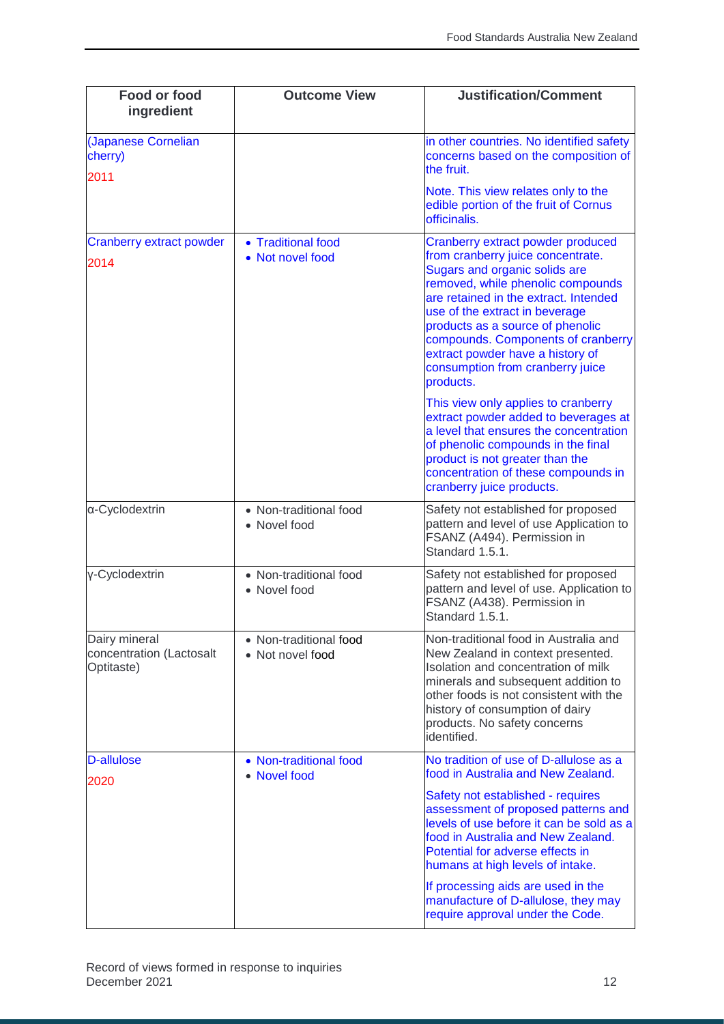| Food or food<br>ingredient                              | <b>Outcome View</b>                        | <b>Justification/Comment</b>                                                                                                                                                                                                                                                                                                                                                           |
|---------------------------------------------------------|--------------------------------------------|----------------------------------------------------------------------------------------------------------------------------------------------------------------------------------------------------------------------------------------------------------------------------------------------------------------------------------------------------------------------------------------|
| (Japanese Cornelian<br>cherry)                          |                                            | in other countries. No identified safety<br>concerns based on the composition of<br>the fruit.                                                                                                                                                                                                                                                                                         |
| 2011                                                    |                                            | Note. This view relates only to the<br>edible portion of the fruit of Cornus<br>officinalis.                                                                                                                                                                                                                                                                                           |
| <b>Cranberry extract powder</b><br>2014                 | • Traditional food<br>• Not novel food     | Cranberry extract powder produced<br>from cranberry juice concentrate.<br>Sugars and organic solids are<br>removed, while phenolic compounds<br>are retained in the extract. Intended<br>use of the extract in beverage<br>products as a source of phenolic<br>compounds. Components of cranberry<br>extract powder have a history of<br>consumption from cranberry juice<br>products. |
|                                                         |                                            | This view only applies to cranberry<br>extract powder added to beverages at<br>a level that ensures the concentration<br>of phenolic compounds in the final<br>product is not greater than the<br>concentration of these compounds in<br>cranberry juice products.                                                                                                                     |
| α-Cyclodextrin                                          | • Non-traditional food<br>• Novel food     | Safety not established for proposed<br>pattern and level of use Application to<br>FSANZ (A494). Permission in<br>Standard 1.5.1.                                                                                                                                                                                                                                                       |
| y-Cyclodextrin                                          | • Non-traditional food<br>• Novel food     | Safety not established for proposed<br>pattern and level of use. Application to<br>FSANZ (A438). Permission in<br>Standard 1.5.1.                                                                                                                                                                                                                                                      |
| Dairy mineral<br>concentration (Lactosalt<br>Optitaste) | • Non-traditional food<br>• Not novel food | Non-traditional food in Australia and<br>New Zealand in context presented.<br>Isolation and concentration of milk<br>minerals and subsequent addition to<br>other foods is not consistent with the<br>history of consumption of dairy<br>products. No safety concerns<br>identified.                                                                                                   |
| D-allulose                                              | • Non-traditional food<br>• Novel food     | No tradition of use of D-allulose as a<br>food in Australia and New Zealand.                                                                                                                                                                                                                                                                                                           |
| 2020                                                    |                                            | Safety not established - requires<br>assessment of proposed patterns and<br>levels of use before it can be sold as a<br>food in Australia and New Zealand.<br>Potential for adverse effects in<br>humans at high levels of intake.                                                                                                                                                     |
|                                                         |                                            | If processing aids are used in the<br>manufacture of D-allulose, they may<br>require approval under the Code.                                                                                                                                                                                                                                                                          |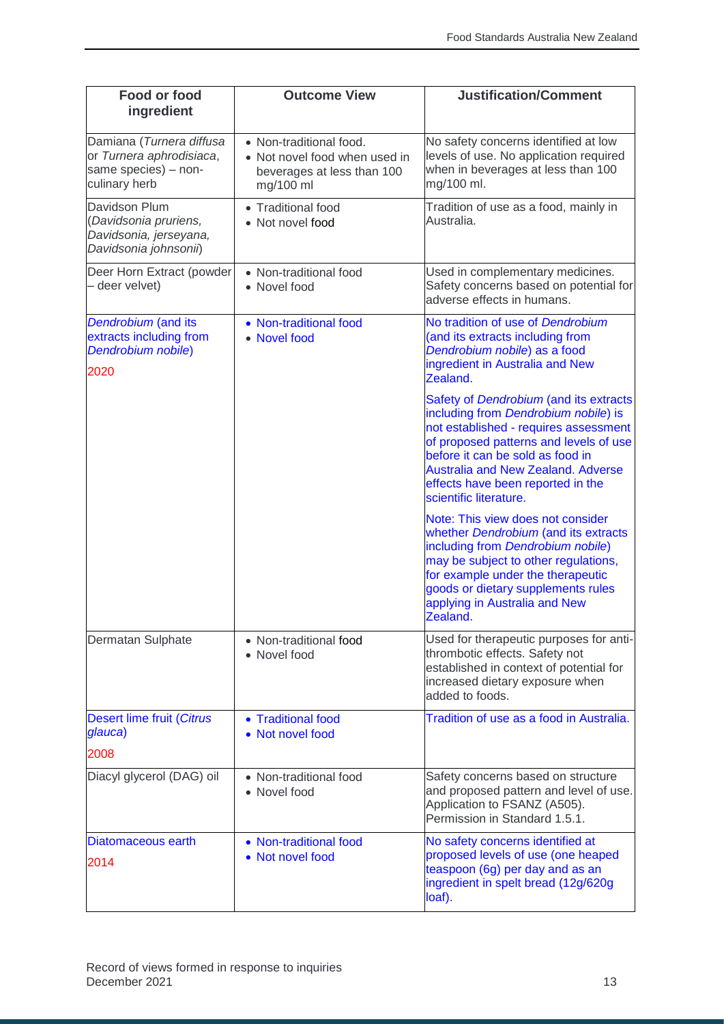| <b>Food or food</b><br>ingredient                                                             | <b>Outcome View</b>                                                                                 | <b>Justification/Comment</b>                                                                                                                                                                                                                                                                                      |
|-----------------------------------------------------------------------------------------------|-----------------------------------------------------------------------------------------------------|-------------------------------------------------------------------------------------------------------------------------------------------------------------------------------------------------------------------------------------------------------------------------------------------------------------------|
| Damiana (Turnera diffusa<br>or Turnera aphrodisiaca,<br>same species) - non-<br>culinary herb | • Non-traditional food.<br>• Not novel food when used in<br>beverages at less than 100<br>mg/100 ml | No safety concerns identified at low<br>levels of use. No application required<br>when in beverages at less than 100<br>mg/100 ml.                                                                                                                                                                                |
| Davidson Plum<br>(Davidsonia pruriens,<br>Davidsonia, jerseyana,<br>Davidsonia johnsonii)     | • Traditional food<br>• Not novel food                                                              | Tradition of use as a food, mainly in<br>Australia.                                                                                                                                                                                                                                                               |
| Deer Horn Extract (powder<br>- deer velvet)                                                   | • Non-traditional food<br>• Novel food                                                              | Used in complementary medicines.<br>Safety concerns based on potential for<br>adverse effects in humans.                                                                                                                                                                                                          |
| Dendrobium (and its<br>extracts including from<br>Dendrobium nobile)<br>2020                  | • Non-traditional food<br>• Novel food                                                              | No tradition of use of Dendrobium<br>(and its extracts including from<br>Dendrobium nobile) as a food<br>ingredient in Australia and New<br>Zealand.                                                                                                                                                              |
|                                                                                               |                                                                                                     | Safety of Dendrobium (and its extracts<br>including from Dendrobium nobile) is<br>not established - requires assessment<br>of proposed patterns and levels of use<br>before it can be sold as food in<br><b>Australia and New Zealand. Adverse</b><br>effects have been reported in the<br>scientific literature. |
|                                                                                               |                                                                                                     | Note: This view does not consider<br>whether Dendrobium (and its extracts<br>including from Dendrobium nobile)<br>may be subject to other regulations,<br>for example under the therapeutic<br>goods or dietary supplements rules<br>applying in Australia and New<br>Zealand.                                    |
| Dermatan Sulphate                                                                             | • Non-traditional food<br>• Novel food                                                              | Used for therapeutic purposes for anti-<br>thrombotic effects. Safety not<br>established in context of potential for<br>increased dietary exposure when<br>added to foods.                                                                                                                                        |
| <b>Desert lime fruit (Citrus</b><br>glauca)<br>2008                                           | • Traditional food<br>• Not novel food                                                              | Tradition of use as a food in Australia.                                                                                                                                                                                                                                                                          |
| Diacyl glycerol (DAG) oil                                                                     | • Non-traditional food<br>• Novel food                                                              | Safety concerns based on structure<br>and proposed pattern and level of use.<br>Application to FSANZ (A505).<br>Permission in Standard 1.5.1.                                                                                                                                                                     |
| Diatomaceous earth<br>2014                                                                    | • Non-traditional food<br>• Not novel food                                                          | No safety concerns identified at<br>proposed levels of use (one heaped<br>teaspoon (6g) per day and as an<br>ingredient in spelt bread (12g/620g<br>loaf).                                                                                                                                                        |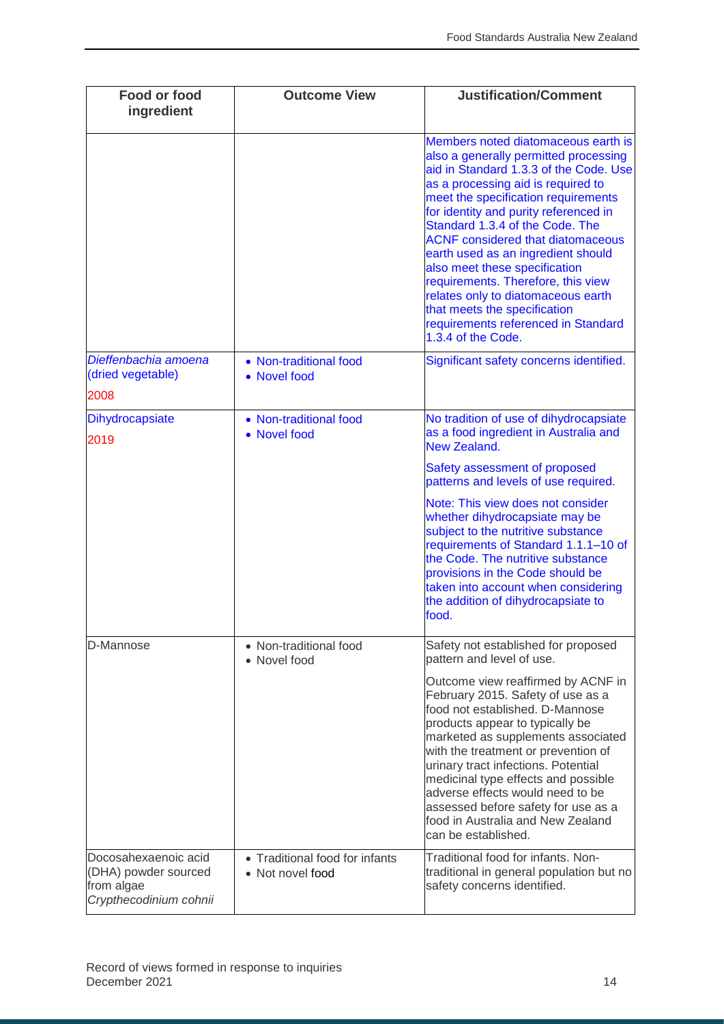| Food or food<br>ingredient                                                           | <b>Outcome View</b>                                | <b>Justification/Comment</b>                                                                                                                                                                                                                                                                                                                                                                                                                                                                                                                                                |
|--------------------------------------------------------------------------------------|----------------------------------------------------|-----------------------------------------------------------------------------------------------------------------------------------------------------------------------------------------------------------------------------------------------------------------------------------------------------------------------------------------------------------------------------------------------------------------------------------------------------------------------------------------------------------------------------------------------------------------------------|
|                                                                                      |                                                    | Members noted diatomaceous earth is<br>also a generally permitted processing<br>aid in Standard 1.3.3 of the Code. Use<br>as a processing aid is required to<br>meet the specification requirements<br>for identity and purity referenced in<br>Standard 1.3.4 of the Code. The<br><b>ACNF</b> considered that diatomaceous<br>earth used as an ingredient should<br>also meet these specification<br>requirements. Therefore, this view<br>relates only to diatomaceous earth<br>that meets the specification<br>requirements referenced in Standard<br>1.3.4 of the Code. |
| Dieffenbachia amoena<br>(dried vegetable)<br>2008                                    | • Non-traditional food<br>• Novel food             | Significant safety concerns identified.                                                                                                                                                                                                                                                                                                                                                                                                                                                                                                                                     |
| <b>Dihydrocapsiate</b><br>2019                                                       | • Non-traditional food<br>• Novel food             | No tradition of use of dihydrocapsiate<br>as a food ingredient in Australia and<br><b>New Zealand.</b>                                                                                                                                                                                                                                                                                                                                                                                                                                                                      |
|                                                                                      |                                                    | Safety assessment of proposed<br>patterns and levels of use required.                                                                                                                                                                                                                                                                                                                                                                                                                                                                                                       |
|                                                                                      |                                                    | Note: This view does not consider<br>whether dihydrocapsiate may be<br>subject to the nutritive substance<br>requirements of Standard 1.1.1-10 of<br>the Code. The nutritive substance<br>provisions in the Code should be<br>taken into account when considering<br>the addition of dihydrocapsiate to<br>food.                                                                                                                                                                                                                                                            |
| D-Mannose                                                                            | • Non-traditional food<br>• Novel food             | Safety not established for proposed<br>pattern and level of use.                                                                                                                                                                                                                                                                                                                                                                                                                                                                                                            |
|                                                                                      |                                                    | Outcome view reaffirmed by ACNF in<br>February 2015. Safety of use as a<br>food not established. D-Mannose<br>products appear to typically be<br>marketed as supplements associated<br>with the treatment or prevention of<br>urinary tract infections. Potential<br>medicinal type effects and possible<br>adverse effects would need to be<br>assessed before safety for use as a<br>food in Australia and New Zealand<br>can be established.                                                                                                                             |
| Docosahexaenoic acid<br>(DHA) powder sourced<br>from algae<br>Crypthecodinium cohnii | • Traditional food for infants<br>• Not novel food | Traditional food for infants. Non-<br>traditional in general population but no<br>safety concerns identified.                                                                                                                                                                                                                                                                                                                                                                                                                                                               |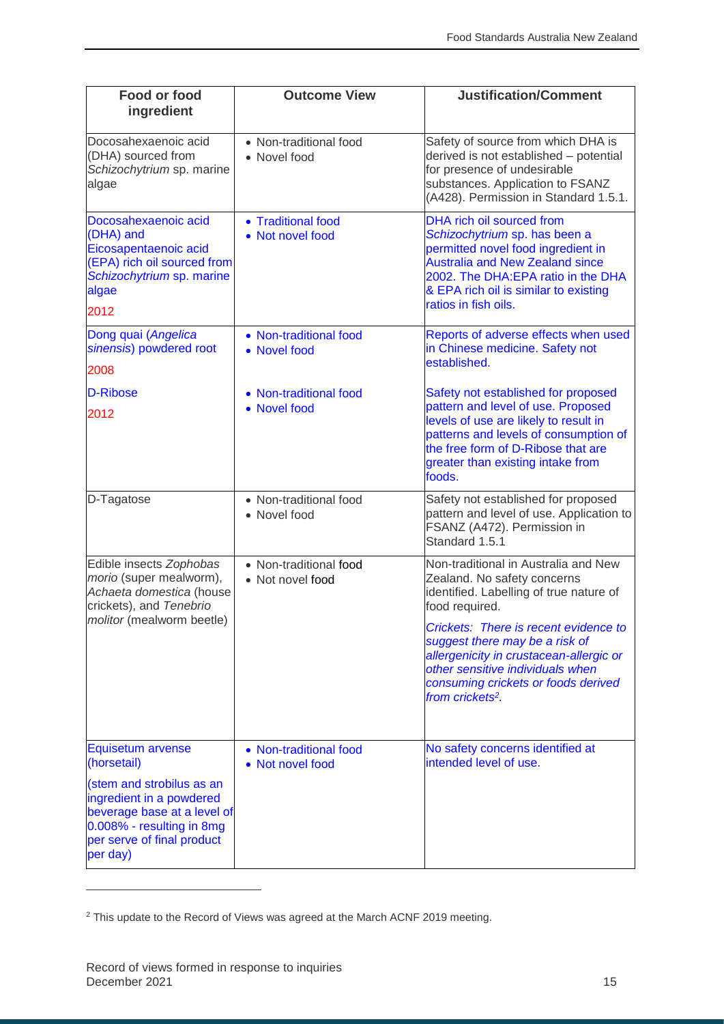| <b>Food or food</b><br>ingredient                                                                                                                                                               | <b>Outcome View</b>                        | <b>Justification/Comment</b>                                                                                                                                                                                                                                                                                                                                      |
|-------------------------------------------------------------------------------------------------------------------------------------------------------------------------------------------------|--------------------------------------------|-------------------------------------------------------------------------------------------------------------------------------------------------------------------------------------------------------------------------------------------------------------------------------------------------------------------------------------------------------------------|
| Docosahexaenoic acid<br>(DHA) sourced from<br>Schizochytrium sp. marine<br>algae                                                                                                                | • Non-traditional food<br>• Novel food     | Safety of source from which DHA is<br>derived is not established - potential<br>for presence of undesirable<br>substances. Application to FSANZ<br>(A428). Permission in Standard 1.5.1.                                                                                                                                                                          |
| Docosahexaenoic acid<br>(DHA) and<br>Eicosapentaenoic acid<br>(EPA) rich oil sourced from<br>Schizochytrium sp. marine<br>algae<br>2012                                                         | • Traditional food<br>• Not novel food     | <b>DHA rich oil sourced from</b><br>Schizochytrium sp. has been a<br>permitted novel food ingredient in<br><b>Australia and New Zealand since</b><br>2002. The DHA:EPA ratio in the DHA<br>& EPA rich oil is similar to existing<br>ratios in fish oils.                                                                                                          |
| Dong quai (Angelica<br>sinensis) powdered root<br>2008                                                                                                                                          | • Non-traditional food<br>• Novel food     | Reports of adverse effects when used<br>in Chinese medicine. Safety not<br>established.                                                                                                                                                                                                                                                                           |
| D-Ribose<br>2012                                                                                                                                                                                | • Non-traditional food<br>• Novel food     | Safety not established for proposed<br>pattern and level of use. Proposed<br>levels of use are likely to result in<br>patterns and levels of consumption of<br>the free form of D-Ribose that are<br>greater than existing intake from<br>foods.                                                                                                                  |
| D-Tagatose                                                                                                                                                                                      | • Non-traditional food<br>• Novel food     | Safety not established for proposed<br>pattern and level of use. Application to<br>FSANZ (A472). Permission in<br>Standard 1.5.1                                                                                                                                                                                                                                  |
| Edible insects Zophobas<br>morio (super mealworm),<br>Achaeta domestica (house<br>crickets), and Tenebrio<br>molitor (mealworm beetle)                                                          | • Non-traditional food<br>• Not novel food | Non-traditional in Australia and New<br>Zealand. No safety concerns<br>identified. Labelling of true nature of<br>food required.<br>Crickets: There is recent evidence to<br>suggest there may be a risk of<br>allergenicity in crustacean-allergic or<br>other sensitive individuals when<br>consuming crickets or foods derived<br>from crickets <sup>2</sup> . |
| Equisetum arvense<br>(horsetail)<br>(stem and strobilus as an<br>ingredient in a powdered<br>beverage base at a level of<br>0.008% - resulting in 8mg<br>per serve of final product<br>per day) | • Non-traditional food<br>• Not novel food | No safety concerns identified at<br>intended level of use.                                                                                                                                                                                                                                                                                                        |

<sup>&</sup>lt;sup>2</sup> This update to the Record of Views was agreed at the March ACNF 2019 meeting.

 $\overline{a}$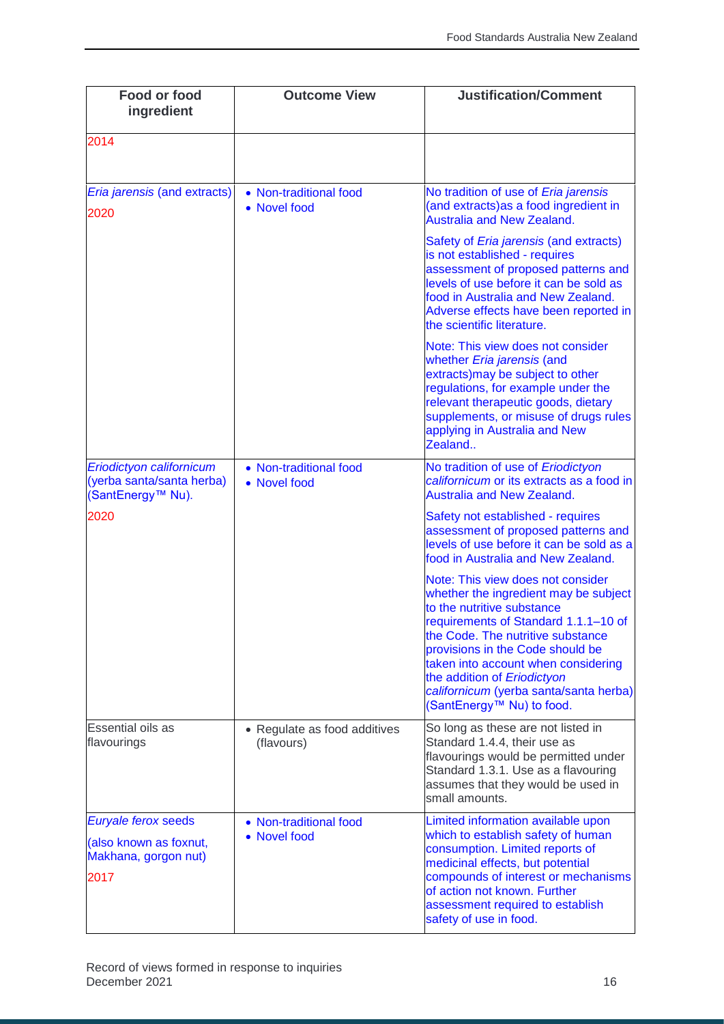| Food or food<br>ingredient                                                    | <b>Outcome View</b>                        | <b>Justification/Comment</b>                                                                                                                                                                                                                                                                                                                                           |
|-------------------------------------------------------------------------------|--------------------------------------------|------------------------------------------------------------------------------------------------------------------------------------------------------------------------------------------------------------------------------------------------------------------------------------------------------------------------------------------------------------------------|
| 2014                                                                          |                                            |                                                                                                                                                                                                                                                                                                                                                                        |
| Eria jarensis (and extracts)<br>2020                                          | • Non-traditional food<br>• Novel food     | No tradition of use of Eria jarensis<br>(and extracts) as a food ingredient in<br><b>Australia and New Zealand.</b>                                                                                                                                                                                                                                                    |
|                                                                               |                                            | Safety of <i>Eria jarensis</i> (and extracts)<br>is not established - requires<br>assessment of proposed patterns and<br>levels of use before it can be sold as<br>food in Australia and New Zealand.<br>Adverse effects have been reported in<br>the scientific literature.                                                                                           |
|                                                                               |                                            | Note: This view does not consider<br>whether Eria jarensis (and<br>extracts) may be subject to other<br>regulations, for example under the<br>relevant therapeutic goods, dietary<br>supplements, or misuse of drugs rules<br>applying in Australia and New<br>Zealand                                                                                                 |
| Eriodictyon californicum<br>(yerba santa/santa herba)<br>(SantEnergy™ Nu).    | • Non-traditional food<br>• Novel food     | No tradition of use of Eriodictyon<br>californicum or its extracts as a food in<br><b>Australia and New Zealand.</b>                                                                                                                                                                                                                                                   |
| 2020                                                                          |                                            | Safety not established - requires<br>assessment of proposed patterns and<br>levels of use before it can be sold as a<br>food in Australia and New Zealand.                                                                                                                                                                                                             |
|                                                                               |                                            | Note: This view does not consider<br>whether the ingredient may be subject<br>to the nutritive substance<br>requirements of Standard 1.1.1-10 of<br>the Code. The nutritive substance<br>provisions in the Code should be<br>taken into account when considering<br>the addition of Eriodictyon<br>californicum (yerba santa/santa herba)<br>(SantEnergy™ Nu) to food. |
| Essential oils as<br>flavourings                                              | • Regulate as food additives<br>(flavours) | So long as these are not listed in<br>Standard 1.4.4, their use as<br>flavourings would be permitted under<br>Standard 1.3.1. Use as a flavouring<br>assumes that they would be used in<br>small amounts.                                                                                                                                                              |
| Euryale ferox seeds<br>(also known as foxnut,<br>Makhana, gorgon nut)<br>2017 | • Non-traditional food<br>• Novel food     | Limited information available upon<br>which to establish safety of human<br>consumption. Limited reports of<br>medicinal effects, but potential<br>compounds of interest or mechanisms<br>of action not known. Further<br>assessment required to establish<br>safety of use in food.                                                                                   |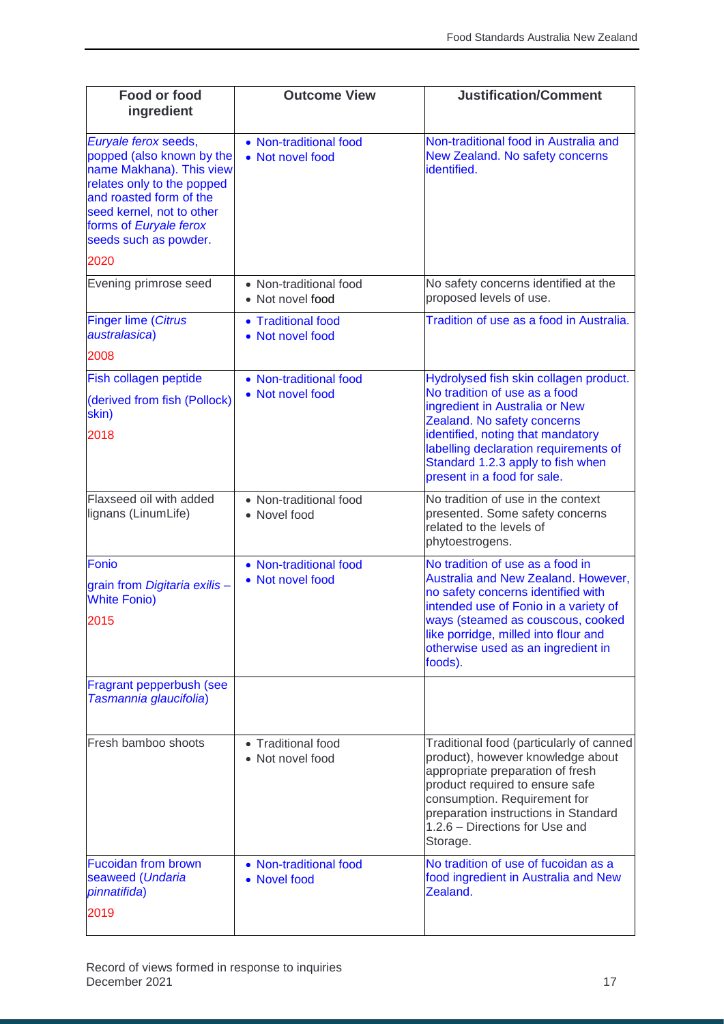| <b>Food or food</b><br>ingredient                                                                                                                                                                                      | <b>Outcome View</b>                        | <b>Justification/Comment</b>                                                                                                                                                                                                                                                         |
|------------------------------------------------------------------------------------------------------------------------------------------------------------------------------------------------------------------------|--------------------------------------------|--------------------------------------------------------------------------------------------------------------------------------------------------------------------------------------------------------------------------------------------------------------------------------------|
| Euryale ferox seeds,<br>popped (also known by the<br>name Makhana). This view<br>relates only to the popped<br>and roasted form of the<br>seed kernel, not to other<br>forms of Euryale ferox<br>seeds such as powder. | • Non-traditional food<br>• Not novel food | Non-traditional food in Australia and<br>New Zealand. No safety concerns<br>identified.                                                                                                                                                                                              |
| 2020                                                                                                                                                                                                                   |                                            |                                                                                                                                                                                                                                                                                      |
| Evening primrose seed                                                                                                                                                                                                  | • Non-traditional food<br>• Not novel food | No safety concerns identified at the<br>proposed levels of use.                                                                                                                                                                                                                      |
| <b>Finger lime (Citrus</b><br>australasica)<br>2008                                                                                                                                                                    | • Traditional food<br>• Not novel food     | Tradition of use as a food in Australia.                                                                                                                                                                                                                                             |
|                                                                                                                                                                                                                        | • Non-traditional food                     | Hydrolysed fish skin collagen product.                                                                                                                                                                                                                                               |
| Fish collagen peptide<br>(derived from fish (Pollock)<br>skin)<br>2018                                                                                                                                                 | • Not novel food                           | No tradition of use as a food<br>ingredient in Australia or New<br>Zealand. No safety concerns<br>identified, noting that mandatory<br>labelling declaration requirements of<br>Standard 1.2.3 apply to fish when<br>present in a food for sale.                                     |
| Flaxseed oil with added<br>lignans (LinumLife)                                                                                                                                                                         | • Non-traditional food<br>• Novel food     | No tradition of use in the context<br>presented. Some safety concerns<br>related to the levels of<br>phytoestrogens.                                                                                                                                                                 |
| Fonio<br>grain from Digitaria exilis-<br><b>White Fonio)</b><br>2015                                                                                                                                                   | • Non-traditional food<br>• Not novel food | No tradition of use as a food in<br>Australia and New Zealand. However,<br>no safety concerns identified with<br>intended use of Fonio in a variety of<br>ways (steamed as couscous, cooked<br>like porridge, milled into flour and<br>otherwise used as an ingredient in<br>foods). |
| Fragrant pepperbush (see<br>Tasmannia glaucifolia)                                                                                                                                                                     |                                            |                                                                                                                                                                                                                                                                                      |
| Fresh bamboo shoots                                                                                                                                                                                                    | • Traditional food<br>• Not novel food     | Traditional food (particularly of canned<br>product), however knowledge about<br>appropriate preparation of fresh<br>product required to ensure safe<br>consumption. Requirement for<br>preparation instructions in Standard<br>1.2.6 - Directions for Use and<br>Storage.           |
| <b>Fucoidan from brown</b><br>seaweed (Undaria<br>pinnatifida)<br>2019                                                                                                                                                 | • Non-traditional food<br>• Novel food     | No tradition of use of fucoidan as a<br>food ingredient in Australia and New<br>Zealand.                                                                                                                                                                                             |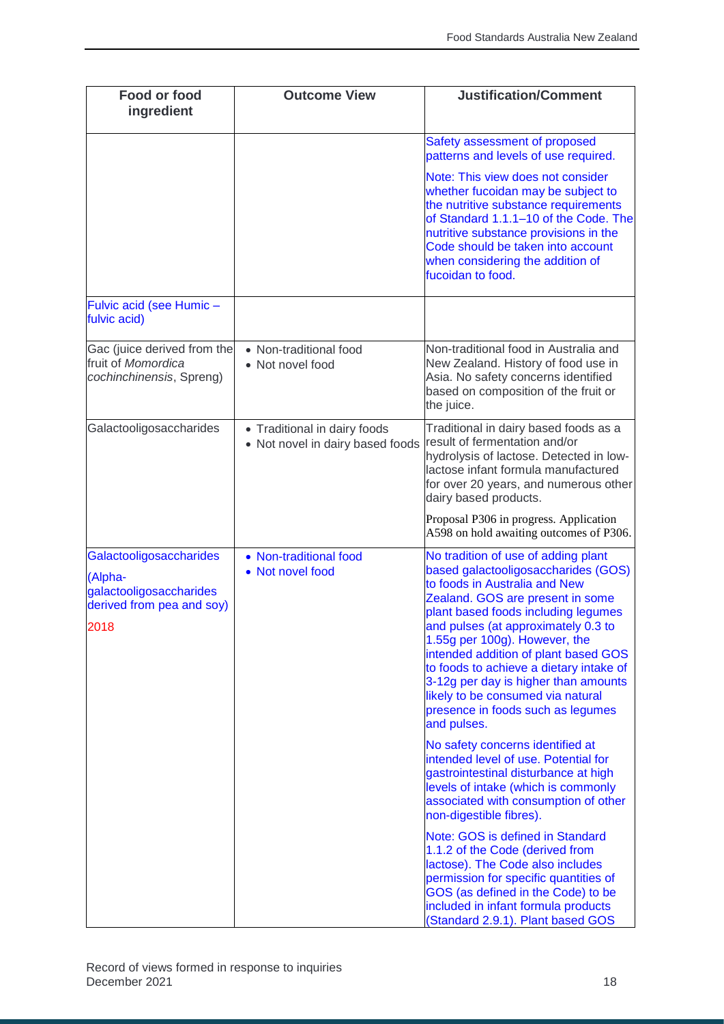| Food or food<br>ingredient                                                                         | <b>Outcome View</b>                                              | <b>Justification/Comment</b>                                                                                                                                                                                                                                                                                                                                                                                                                                                       |
|----------------------------------------------------------------------------------------------------|------------------------------------------------------------------|------------------------------------------------------------------------------------------------------------------------------------------------------------------------------------------------------------------------------------------------------------------------------------------------------------------------------------------------------------------------------------------------------------------------------------------------------------------------------------|
|                                                                                                    |                                                                  | Safety assessment of proposed<br>patterns and levels of use required.                                                                                                                                                                                                                                                                                                                                                                                                              |
|                                                                                                    |                                                                  | Note: This view does not consider<br>whether fucoidan may be subject to<br>the nutritive substance requirements<br>of Standard 1.1.1-10 of the Code. The<br>nutritive substance provisions in the<br>Code should be taken into account<br>when considering the addition of<br>fucoidan to food.                                                                                                                                                                                    |
| Fulvic acid (see Humic -<br>fulvic acid)                                                           |                                                                  |                                                                                                                                                                                                                                                                                                                                                                                                                                                                                    |
| Gac (juice derived from the<br>fruit of Momordica<br>cochinchinensis, Spreng)                      | • Non-traditional food<br>• Not novel food                       | Non-traditional food in Australia and<br>New Zealand. History of food use in<br>Asia. No safety concerns identified<br>based on composition of the fruit or<br>the juice.                                                                                                                                                                                                                                                                                                          |
| Galactooligosaccharides                                                                            | • Traditional in dairy foods<br>• Not novel in dairy based foods | Traditional in dairy based foods as a<br>result of fermentation and/or<br>hydrolysis of lactose. Detected in low-<br>lactose infant formula manufactured<br>for over 20 years, and numerous other<br>dairy based products.                                                                                                                                                                                                                                                         |
|                                                                                                    |                                                                  | Proposal P306 in progress. Application<br>A598 on hold awaiting outcomes of P306.                                                                                                                                                                                                                                                                                                                                                                                                  |
| Galactooligosaccharides<br>(Alpha-<br>galactooligosaccharides<br>derived from pea and soy)<br>2018 | • Non-traditional food<br>• Not novel food                       | No tradition of use of adding plant<br>based galactooligosaccharides (GOS)<br>to foods in Australia and New<br>Zealand. GOS are present in some<br>plant based foods including legumes<br>and pulses (at approximately 0.3 to<br>1.55g per 100g). However, the<br>intended addition of plant based GOS<br>to foods to achieve a dietary intake of<br>3-12g per day is higher than amounts<br>likely to be consumed via natural<br>presence in foods such as legumes<br>and pulses. |
|                                                                                                    |                                                                  | No safety concerns identified at<br>intended level of use. Potential for<br>gastrointestinal disturbance at high<br>levels of intake (which is commonly<br>associated with consumption of other<br>non-digestible fibres).                                                                                                                                                                                                                                                         |
|                                                                                                    |                                                                  | Note: GOS is defined in Standard<br>1.1.2 of the Code (derived from<br>lactose). The Code also includes<br>permission for specific quantities of<br>GOS (as defined in the Code) to be<br>included in infant formula products<br>(Standard 2.9.1). Plant based GOS                                                                                                                                                                                                                 |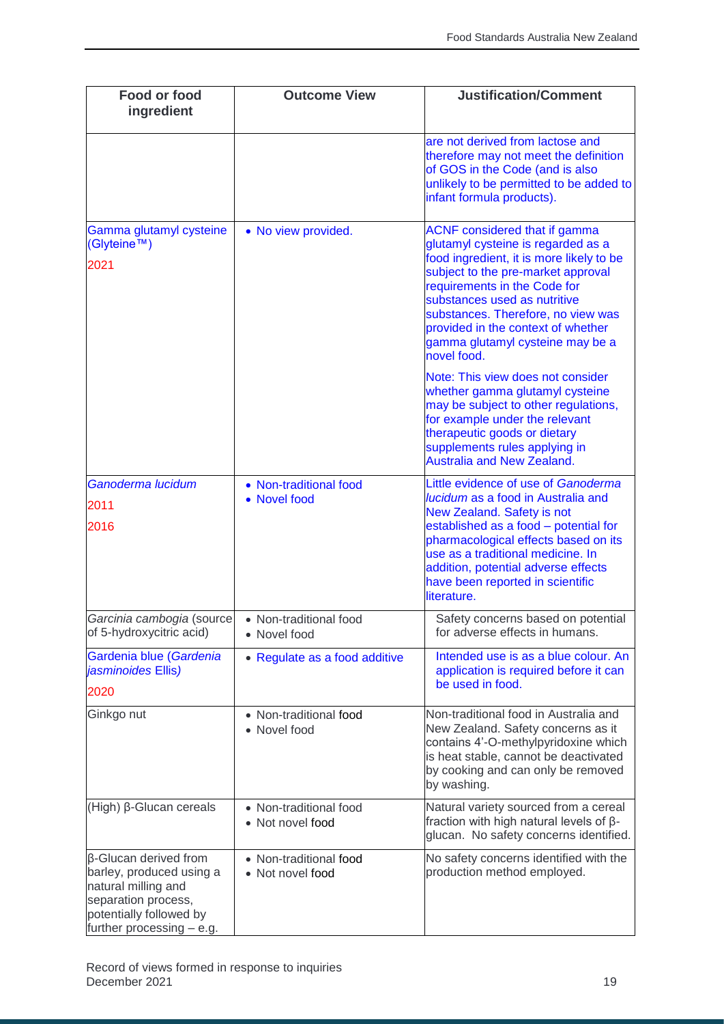| <b>Food or food</b><br>ingredient                                                                                                                       | <b>Outcome View</b>                        | <b>Justification/Comment</b>                                                                                                                                                                                                                                                                                                                                |
|---------------------------------------------------------------------------------------------------------------------------------------------------------|--------------------------------------------|-------------------------------------------------------------------------------------------------------------------------------------------------------------------------------------------------------------------------------------------------------------------------------------------------------------------------------------------------------------|
|                                                                                                                                                         |                                            | are not derived from lactose and<br>therefore may not meet the definition<br>of GOS in the Code (and is also<br>unlikely to be permitted to be added to<br>infant formula products).                                                                                                                                                                        |
| Gamma glutamyl cysteine<br>(Glyteine™)<br>2021                                                                                                          | • No view provided.                        | <b>ACNF</b> considered that if gamma<br>glutamyl cysteine is regarded as a<br>food ingredient, it is more likely to be<br>subject to the pre-market approval<br>requirements in the Code for<br>substances used as nutritive<br>substances. Therefore, no view was<br>provided in the context of whether<br>gamma glutamyl cysteine may be a<br>novel food. |
|                                                                                                                                                         |                                            | Note: This view does not consider<br>whether gamma glutamyl cysteine<br>may be subject to other regulations,<br>for example under the relevant<br>therapeutic goods or dietary<br>supplements rules applying in<br><b>Australia and New Zealand.</b>                                                                                                        |
| Ganoderma lucidum<br>2011<br>2016                                                                                                                       | • Non-traditional food<br>• Novel food     | Little evidence of use of Ganoderma<br>lucidum as a food in Australia and<br>New Zealand. Safety is not<br>established as a food - potential for<br>pharmacological effects based on its<br>use as a traditional medicine. In<br>addition, potential adverse effects<br>have been reported in scientific<br>literature.                                     |
| Garcinia cambogia (source<br>of 5-hydroxycitric acid)                                                                                                   | • Non-traditional food<br>• Novel food     | Safety concerns based on potential<br>for adverse effects in humans.                                                                                                                                                                                                                                                                                        |
| Gardenia blue (Gardenia<br>jasminoides Ellis)<br>2020                                                                                                   | • Regulate as a food additive              | Intended use is as a blue colour. An<br>application is required before it can<br>be used in food.                                                                                                                                                                                                                                                           |
| Ginkgo nut                                                                                                                                              | • Non-traditional food<br>• Novel food     | Non-traditional food in Australia and<br>New Zealand. Safety concerns as it<br>contains 4'-O-methylpyridoxine which<br>is heat stable, cannot be deactivated<br>by cooking and can only be removed<br>by washing.                                                                                                                                           |
| (High) β-Glucan cereals                                                                                                                                 | • Non-traditional food<br>• Not novel food | Natural variety sourced from a cereal<br>fraction with high natural levels of $\beta$ -<br>glucan. No safety concerns identified.                                                                                                                                                                                                                           |
| β-Glucan derived from<br>barley, produced using a<br>natural milling and<br>separation process,<br>potentially followed by<br>further processing - e.g. | • Non-traditional food<br>• Not novel food | No safety concerns identified with the<br>production method employed.                                                                                                                                                                                                                                                                                       |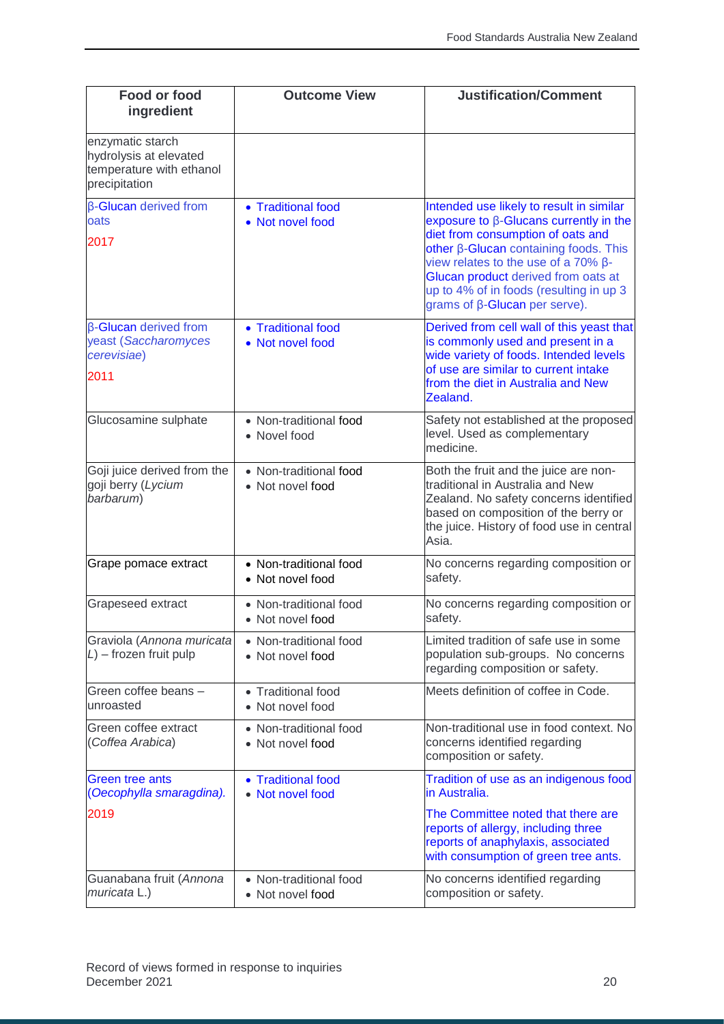| Food or food<br>ingredient                                                              | <b>Outcome View</b>                        | <b>Justification/Comment</b>                                                                                                                                                                                                                                                                                                                       |
|-----------------------------------------------------------------------------------------|--------------------------------------------|----------------------------------------------------------------------------------------------------------------------------------------------------------------------------------------------------------------------------------------------------------------------------------------------------------------------------------------------------|
| enzymatic starch<br>hydrolysis at elevated<br>temperature with ethanol<br>precipitation |                                            |                                                                                                                                                                                                                                                                                                                                                    |
| β-Glucan derived from<br>oats<br>2017                                                   | • Traditional food<br>• Not novel food     | Intended use likely to result in similar<br>exposure to $\beta$ -Glucans currently in the<br>diet from consumption of oats and<br>other β-Glucan containing foods. This<br>view relates to the use of a $70\%$ $\beta$ -<br>Glucan product derived from oats at<br>up to 4% of in foods (resulting in up 3<br>grams of $\beta$ -Glucan per serve). |
| $\beta$ -Glucan derived from<br>yeast (Saccharomyces<br>cerevisiae)<br>2011             | • Traditional food<br>• Not novel food     | Derived from cell wall of this yeast that<br>is commonly used and present in a<br>wide variety of foods. Intended levels<br>of use are similar to current intake<br>from the diet in Australia and New<br>Zealand.                                                                                                                                 |
| Glucosamine sulphate                                                                    | • Non-traditional food<br>• Novel food     | Safety not established at the proposed<br>level. Used as complementary<br>medicine.                                                                                                                                                                                                                                                                |
| Goji juice derived from the<br>goji berry (Lycium<br>barbarum)                          | • Non-traditional food<br>• Not novel food | Both the fruit and the juice are non-<br>traditional in Australia and New<br>Zealand. No safety concerns identified<br>based on composition of the berry or<br>the juice. History of food use in central<br>Asia.                                                                                                                                  |
| Grape pomace extract                                                                    | • Non-traditional food<br>• Not novel food | No concerns regarding composition or<br>safety.                                                                                                                                                                                                                                                                                                    |
| Grapeseed extract                                                                       | • Non-traditional food<br>• Not novel food | No concerns regarding composition or<br>safety.                                                                                                                                                                                                                                                                                                    |
| Graviola (Annona muricata<br>$L$ ) – frozen fruit pulp                                  | • Non-traditional food<br>• Not novel food | Limited tradition of safe use in some<br>population sub-groups. No concerns<br>regarding composition or safety.                                                                                                                                                                                                                                    |
| Green coffee beans -<br>unroasted                                                       | • Traditional food<br>• Not novel food     | Meets definition of coffee in Code.                                                                                                                                                                                                                                                                                                                |
| Green coffee extract<br>(Coffea Arabica)                                                | • Non-traditional food<br>• Not novel food | Non-traditional use in food context. No<br>concerns identified regarding<br>composition or safety.                                                                                                                                                                                                                                                 |
| <b>Green tree ants</b><br>(Oecophylla smaragdina).                                      | • Traditional food<br>• Not novel food     | Tradition of use as an indigenous food<br>in Australia.                                                                                                                                                                                                                                                                                            |
| 2019                                                                                    |                                            | The Committee noted that there are<br>reports of allergy, including three<br>reports of anaphylaxis, associated<br>with consumption of green tree ants.                                                                                                                                                                                            |
| Guanabana fruit (Annona<br>muricata L.)                                                 | • Non-traditional food<br>• Not novel food | No concerns identified regarding<br>composition or safety.                                                                                                                                                                                                                                                                                         |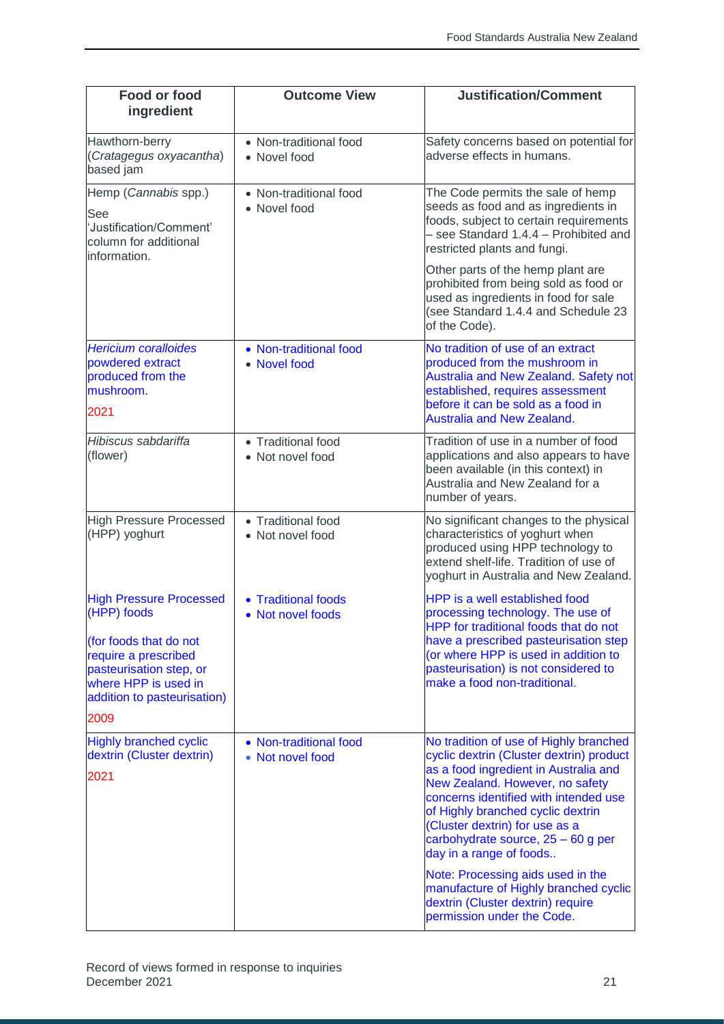| Food or food<br>ingredient                                                                                                                                                                | <b>Outcome View</b>                        | <b>Justification/Comment</b>                                                                                                                                                                                                                                                                                                                                                                                                                                                                       |
|-------------------------------------------------------------------------------------------------------------------------------------------------------------------------------------------|--------------------------------------------|----------------------------------------------------------------------------------------------------------------------------------------------------------------------------------------------------------------------------------------------------------------------------------------------------------------------------------------------------------------------------------------------------------------------------------------------------------------------------------------------------|
| Hawthorn-berry<br>(Cratagegus oxyacantha)<br>based jam                                                                                                                                    | • Non-traditional food<br>• Novel food     | Safety concerns based on potential for<br>adverse effects in humans.                                                                                                                                                                                                                                                                                                                                                                                                                               |
| Hemp (Cannabis spp.)<br>See<br>'Justification/Comment'<br>column for additional<br>information.                                                                                           | • Non-traditional food<br>• Novel food     | The Code permits the sale of hemp<br>seeds as food and as ingredients in<br>foods, subject to certain requirements<br>- see Standard 1.4.4 - Prohibited and<br>restricted plants and fungi.                                                                                                                                                                                                                                                                                                        |
|                                                                                                                                                                                           |                                            | Other parts of the hemp plant are<br>prohibited from being sold as food or<br>used as ingredients in food for sale<br>(see Standard 1.4.4 and Schedule 23<br>of the Code).                                                                                                                                                                                                                                                                                                                         |
| <b>Hericium coralloides</b><br>powdered extract<br>produced from the<br>mushroom.<br>2021                                                                                                 | • Non-traditional food<br>• Novel food     | No tradition of use of an extract<br>produced from the mushroom in<br>Australia and New Zealand. Safety not<br>established, requires assessment<br>before it can be sold as a food in<br><b>Australia and New Zealand.</b>                                                                                                                                                                                                                                                                         |
| Hibiscus sabdariffa<br>(flower)                                                                                                                                                           | • Traditional food<br>• Not novel food     | Tradition of use in a number of food<br>applications and also appears to have<br>been available (in this context) in<br>Australia and New Zealand for a<br>number of years.                                                                                                                                                                                                                                                                                                                        |
| <b>High Pressure Processed</b><br>(HPP) yoghurt                                                                                                                                           | • Traditional food<br>• Not novel food     | No significant changes to the physical<br>characteristics of yoghurt when<br>produced using HPP technology to<br>extend shelf-life. Tradition of use of<br>yoghurt in Australia and New Zealand.                                                                                                                                                                                                                                                                                                   |
| <b>High Pressure Processed</b><br>(HPP) foods<br>(for foods that do not<br>require a prescribed<br>pasteurisation step, or<br>where HPP is used in<br>addition to pasteurisation)<br>2009 | • Traditional foods<br>• Not novel foods   | HPP is a well established food<br>processing technology. The use of<br>HPP for traditional foods that do not<br>have a prescribed pasteurisation step<br>(or where HPP is used in addition to<br>pasteurisation) is not considered to<br>make a food non-traditional.                                                                                                                                                                                                                              |
| <b>Highly branched cyclic</b><br>dextrin (Cluster dextrin)<br>2021                                                                                                                        | • Non-traditional food<br>• Not novel food | No tradition of use of Highly branched<br>cyclic dextrin (Cluster dextrin) product<br>as a food ingredient in Australia and<br>New Zealand. However, no safety<br>concerns identified with intended use<br>of Highly branched cyclic dextrin<br>(Cluster dextrin) for use as a<br>carbohydrate source, $25 - 60$ g per<br>day in a range of foods<br>Note: Processing aids used in the<br>manufacture of Highly branched cyclic<br>dextrin (Cluster dextrin) require<br>permission under the Code. |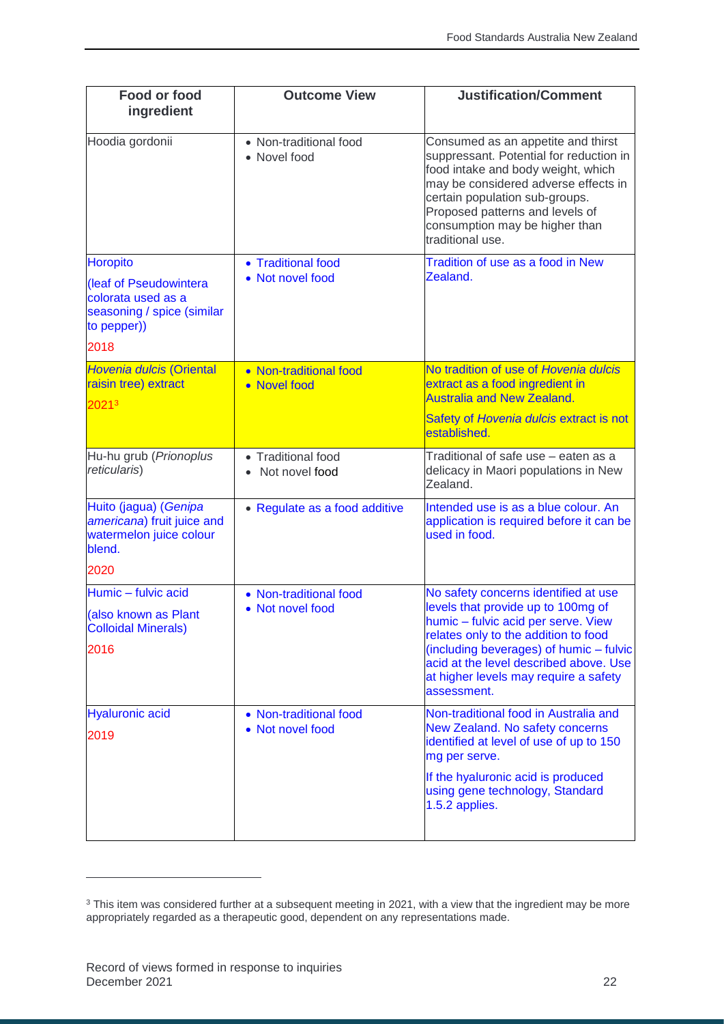| <b>Food or food</b><br>ingredient                                                         | <b>Outcome View</b>                    | <b>Justification/Comment</b>                                                                                                                                                                                                                                                           |
|-------------------------------------------------------------------------------------------|----------------------------------------|----------------------------------------------------------------------------------------------------------------------------------------------------------------------------------------------------------------------------------------------------------------------------------------|
| Hoodia gordonii                                                                           | • Non-traditional food<br>• Novel food | Consumed as an appetite and thirst<br>suppressant. Potential for reduction in<br>food intake and body weight, which<br>may be considered adverse effects in<br>certain population sub-groups.<br>Proposed patterns and levels of<br>consumption may be higher than<br>traditional use. |
| <b>Horopito</b>                                                                           | • Traditional food<br>• Not novel food | Tradition of use as a food in New<br>Zealand.                                                                                                                                                                                                                                          |
| (leaf of Pseudowintera<br>colorata used as a<br>seasoning / spice (similar<br>to pepper)) |                                        |                                                                                                                                                                                                                                                                                        |
| 2018                                                                                      |                                        |                                                                                                                                                                                                                                                                                        |
| Hovenia dulcis (Oriental<br>raisin tree) extract<br>20213                                 | • Non-traditional food<br>• Novel food | No tradition of use of Hovenia dulcis<br>extract as a food ingredient in<br><b>Australia and New Zealand.</b>                                                                                                                                                                          |
|                                                                                           |                                        | Safety of Hovenia dulcis extract is not<br>established.                                                                                                                                                                                                                                |
| Hu-hu grub (Prionoplus<br>reticularis)                                                    | • Traditional food<br>Not novel food   | Traditional of safe use - eaten as a<br>delicacy in Maori populations in New<br>Zealand.                                                                                                                                                                                               |
| Huito (jagua) (Genipa<br>americana) fruit juice and<br>watermelon juice colour<br>blend.  | • Regulate as a food additive          | Intended use is as a blue colour. An<br>application is required before it can be<br>used in food.                                                                                                                                                                                      |
| 2020                                                                                      |                                        |                                                                                                                                                                                                                                                                                        |
| Humic - fulvic acid                                                                       | • Non-traditional food                 | No safety concerns identified at use                                                                                                                                                                                                                                                   |
| (also known as Plant<br><b>Colloidal Minerals)</b>                                        | • Not novel food                       | levels that provide up to 100mg of<br>humic - fulvic acid per serve. View<br>relates only to the addition to food                                                                                                                                                                      |
| 2016                                                                                      |                                        | (including beverages) of humic - fulvic<br>acid at the level described above. Use<br>at higher levels may require a safety<br>assessment.                                                                                                                                              |
| <b>Hyaluronic acid</b>                                                                    | • Non-traditional food                 | Non-traditional food in Australia and                                                                                                                                                                                                                                                  |
| 2019                                                                                      | • Not novel food                       | New Zealand. No safety concerns<br>identified at level of use of up to 150<br>mg per serve.                                                                                                                                                                                            |
|                                                                                           |                                        | If the hyaluronic acid is produced<br>using gene technology, Standard<br>1.5.2 applies.                                                                                                                                                                                                |
|                                                                                           |                                        |                                                                                                                                                                                                                                                                                        |

j

 $3$  This item was considered further at a subsequent meeting in 2021, with a view that the ingredient may be more appropriately regarded as a therapeutic good, dependent on any representations made.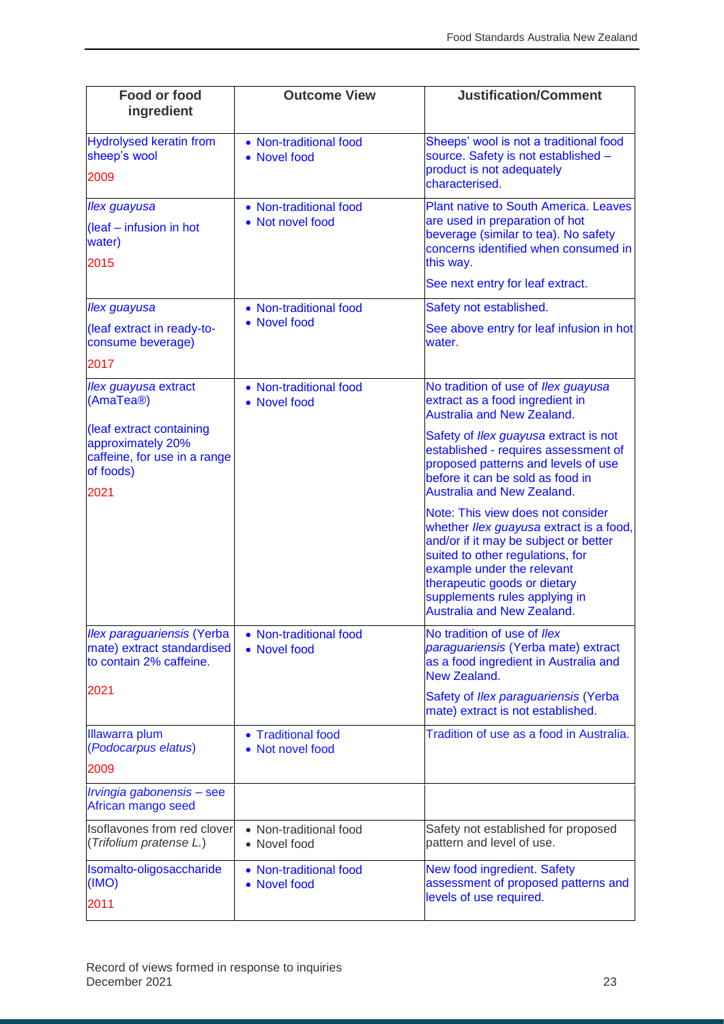| <b>Food or food</b><br>ingredient                                                                  | <b>Outcome View</b>                        | <b>Justification/Comment</b>                                                                                                                                                                                                                                                                  |
|----------------------------------------------------------------------------------------------------|--------------------------------------------|-----------------------------------------------------------------------------------------------------------------------------------------------------------------------------------------------------------------------------------------------------------------------------------------------|
| <b>Hydrolysed keratin from</b><br>sheep's wool<br>2009                                             | • Non-traditional food<br>• Novel food     | Sheeps' wool is not a traditional food<br>source. Safety is not established -<br>product is not adequately                                                                                                                                                                                    |
|                                                                                                    |                                            | characterised.                                                                                                                                                                                                                                                                                |
| <b>Ilex guayusa</b>                                                                                | • Non-traditional food<br>• Not novel food | <b>Plant native to South America. Leaves</b><br>are used in preparation of hot                                                                                                                                                                                                                |
| (leaf - infusion in hot<br>water)<br>2015                                                          |                                            | beverage (similar to tea). No safety<br>concerns identified when consumed in<br>this way.                                                                                                                                                                                                     |
|                                                                                                    |                                            | See next entry for leaf extract.                                                                                                                                                                                                                                                              |
| <b>Ilex</b> guayusa                                                                                | • Non-traditional food                     | Safety not established.                                                                                                                                                                                                                                                                       |
| (leaf extract in ready-to-<br>consume beverage)                                                    | • Novel food                               | See above entry for leaf infusion in hot<br>water.                                                                                                                                                                                                                                            |
| 2017                                                                                               |                                            |                                                                                                                                                                                                                                                                                               |
| <b>Ilex guayusa extract</b><br>(AmaTea®)                                                           | • Non-traditional food<br>• Novel food     | No tradition of use of Ilex guayusa<br>extract as a food ingredient in<br><b>Australia and New Zealand.</b>                                                                                                                                                                                   |
| (leaf extract containing<br>approximately 20%<br>caffeine, for use in a range<br>of foods)<br>2021 |                                            | Safety of Ilex guayusa extract is not<br>established - requires assessment of<br>proposed patterns and levels of use<br>before it can be sold as food in<br><b>Australia and New Zealand.</b>                                                                                                 |
|                                                                                                    |                                            | Note: This view does not consider<br>whether Ilex guayusa extract is a food,<br>and/or if it may be subject or better<br>suited to other regulations, for<br>example under the relevant<br>therapeutic goods or dietary<br>supplements rules applying in<br><b>Australia and New Zealand.</b> |
| <b>Ilex paraguariensis (Yerba</b><br>mate) extract standardised<br>to contain 2% caffeine.         | • Non-traditional food<br>• Novel food     | No tradition of use of Ilex<br>paraguariensis (Yerba mate) extract<br>as a food ingredient in Australia and<br>New Zealand.                                                                                                                                                                   |
| 2021                                                                                               |                                            | Safety of Ilex paraguariensis (Yerba<br>mate) extract is not established.                                                                                                                                                                                                                     |
| <b>Illawarra plum</b><br>(Podocarpus elatus)                                                       | • Traditional food<br>• Not novel food     | Tradition of use as a food in Australia.                                                                                                                                                                                                                                                      |
| 2009                                                                                               |                                            |                                                                                                                                                                                                                                                                                               |
| Irvingia gabonensis - see<br>African mango seed                                                    |                                            |                                                                                                                                                                                                                                                                                               |
| Isoflavones from red clover<br>(Trifolium pratense L.)                                             | • Non-traditional food<br>• Novel food     | Safety not established for proposed<br>pattern and level of use.                                                                                                                                                                                                                              |
| Isomalto-oligosaccharide<br>(IMO)<br>2011                                                          | • Non-traditional food<br>• Novel food     | New food ingredient. Safety<br>assessment of proposed patterns and<br>levels of use required.                                                                                                                                                                                                 |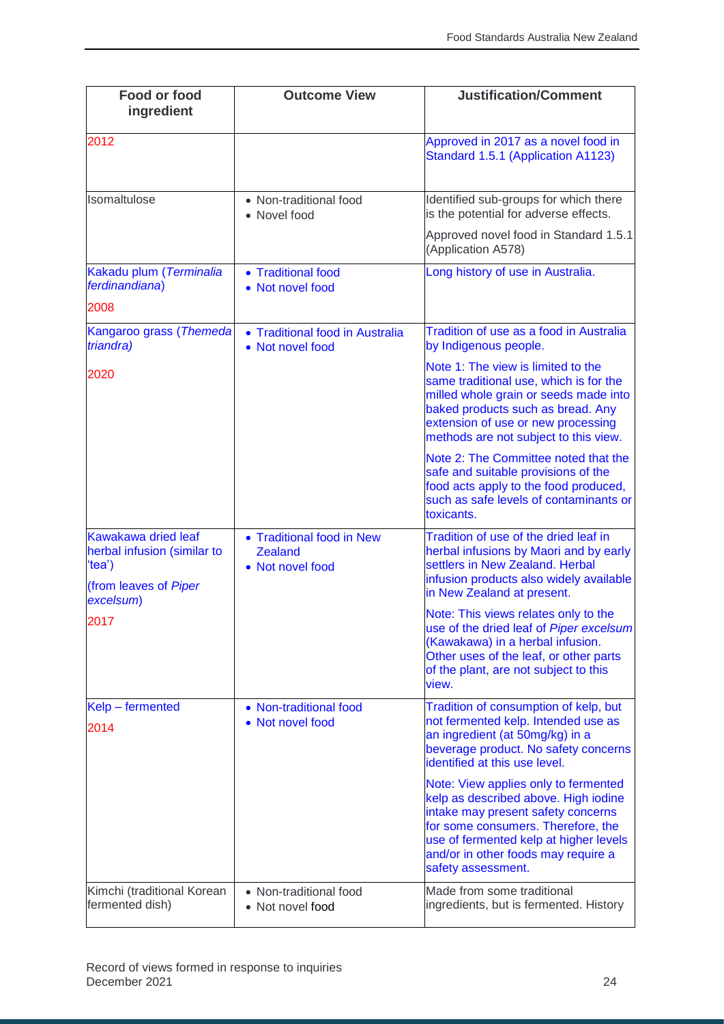| <b>Food or food</b><br>ingredient                                                                  | <b>Outcome View</b>                                             | <b>Justification/Comment</b>                                                                                                                                                                                                                                    |
|----------------------------------------------------------------------------------------------------|-----------------------------------------------------------------|-----------------------------------------------------------------------------------------------------------------------------------------------------------------------------------------------------------------------------------------------------------------|
| 2012                                                                                               |                                                                 | Approved in 2017 as a novel food in<br>Standard 1.5.1 (Application A1123)                                                                                                                                                                                       |
| Isomaltulose                                                                                       | • Non-traditional food<br>• Novel food                          | Identified sub-groups for which there<br>is the potential for adverse effects.                                                                                                                                                                                  |
|                                                                                                    |                                                                 | Approved novel food in Standard 1.5.1<br>(Application A578)                                                                                                                                                                                                     |
| Kakadu plum (Terminalia<br>ferdinandiana)                                                          | • Traditional food<br>• Not novel food                          | Long history of use in Australia.                                                                                                                                                                                                                               |
| 2008                                                                                               |                                                                 |                                                                                                                                                                                                                                                                 |
| Kangaroo grass (Themeda<br>triandra)                                                               | • Traditional food in Australia<br>• Not novel food             | Tradition of use as a food in Australia<br>by Indigenous people.                                                                                                                                                                                                |
| 2020                                                                                               |                                                                 | Note 1: The view is limited to the<br>same traditional use, which is for the<br>milled whole grain or seeds made into<br>baked products such as bread. Any<br>extension of use or new processing<br>methods are not subject to this view.                       |
|                                                                                                    |                                                                 | Note 2: The Committee noted that the<br>safe and suitable provisions of the<br>food acts apply to the food produced,<br>such as safe levels of contaminants or<br>toxicants.                                                                                    |
| Kawakawa dried leaf<br>herbal infusion (similar to<br>'tea')<br>(from leaves of Piper<br>excelsum) | • Traditional food in New<br><b>Zealand</b><br>• Not novel food | Tradition of use of the dried leaf in<br>herbal infusions by Maori and by early<br>settlers in New Zealand. Herbal<br>infusion products also widely available<br>in New Zealand at present.                                                                     |
| 2017                                                                                               |                                                                 | Note: This views relates only to the<br>use of the dried leaf of Piper excelsum<br>(Kawakawa) in a herbal infusion.<br>Other uses of the leaf, or other parts<br>of the plant, are not subject to this<br>view.                                                 |
| Kelp-fermented<br>2014                                                                             | • Non-traditional food<br>• Not novel food                      | Tradition of consumption of kelp, but<br>not fermented kelp. Intended use as<br>an ingredient (at 50mg/kg) in a<br>beverage product. No safety concerns<br>identified at this use level.                                                                        |
|                                                                                                    |                                                                 | Note: View applies only to fermented<br>kelp as described above. High iodine<br>intake may present safety concerns<br>for some consumers. Therefore, the<br>use of fermented kelp at higher levels<br>and/or in other foods may require a<br>safety assessment. |
| Kimchi (traditional Korean<br>fermented dish)                                                      | • Non-traditional food<br>• Not novel food                      | Made from some traditional<br>ingredients, but is fermented. History                                                                                                                                                                                            |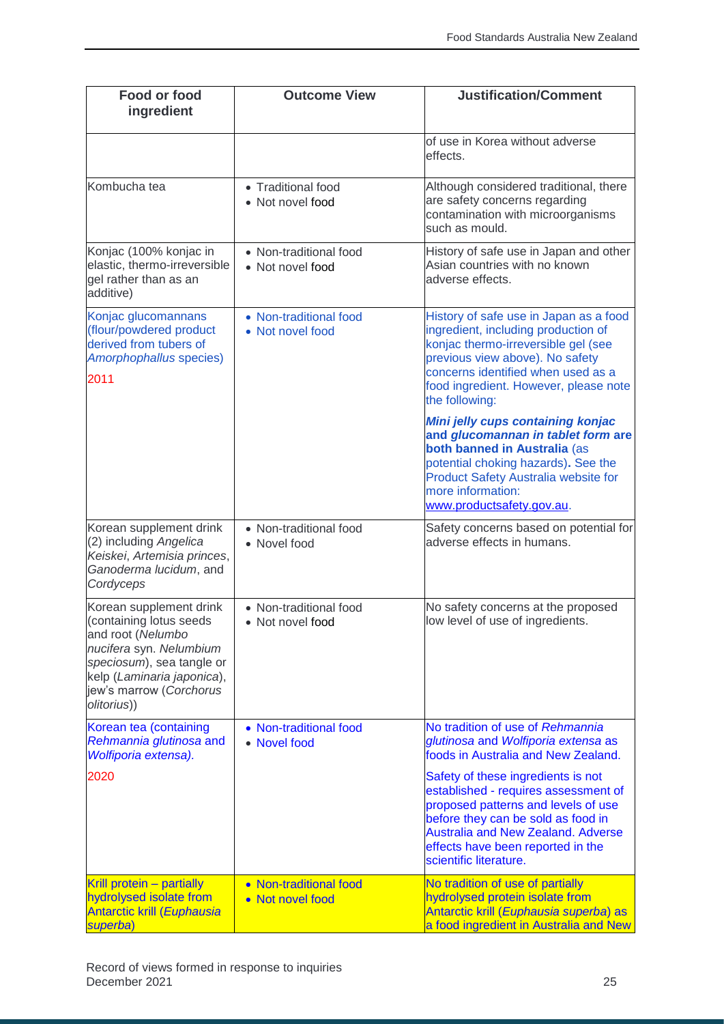| <b>Food or food</b><br>ingredient                                                                                                                                                                       | <b>Outcome View</b>                        | <b>Justification/Comment</b>                                                                                                                                                                                                                                        |
|---------------------------------------------------------------------------------------------------------------------------------------------------------------------------------------------------------|--------------------------------------------|---------------------------------------------------------------------------------------------------------------------------------------------------------------------------------------------------------------------------------------------------------------------|
|                                                                                                                                                                                                         |                                            | of use in Korea without adverse<br>effects.                                                                                                                                                                                                                         |
| Kombucha tea                                                                                                                                                                                            | • Traditional food<br>• Not novel food     | Although considered traditional, there<br>are safety concerns regarding<br>contamination with microorganisms<br>such as mould.                                                                                                                                      |
| Konjac (100% konjac in<br>elastic, thermo-irreversible<br>gel rather than as an<br>additive)                                                                                                            | • Non-traditional food<br>• Not novel food | History of safe use in Japan and other<br>Asian countries with no known<br>adverse effects.                                                                                                                                                                         |
| Konjac glucomannans<br>(flour/powdered product<br>derived from tubers of<br>Amorphophallus species)<br>2011                                                                                             | • Non-traditional food<br>• Not novel food | History of safe use in Japan as a food<br>ingredient, including production of<br>konjac thermo-irreversible gel (see<br>previous view above). No safety<br>concerns identified when used as a<br>food ingredient. However, please note<br>the following:            |
|                                                                                                                                                                                                         |                                            | Mini jelly cups containing konjac<br>and glucomannan in tablet form are<br>both banned in Australia (as<br>potential choking hazards). See the<br><b>Product Safety Australia website for</b><br>more information:<br>www.productsafety.gov.au.                     |
| Korean supplement drink<br>(2) including Angelica<br>Keiskei, Artemisia princes,<br>Ganoderma lucidum, and<br>Cordyceps                                                                                 | • Non-traditional food<br>• Novel food     | Safety concerns based on potential for<br>adverse effects in humans.                                                                                                                                                                                                |
| Korean supplement drink<br>(containing lotus seeds<br>and root (Nelumbo<br>nucifera syn. Nelumbium<br>speciosum), sea tangle or<br>kelp (Laminaria japonica),<br>jew's marrow (Corchorus<br>olitorius)) | • Non-traditional food<br>• Not novel food | No safety concerns at the proposed<br>low level of use of ingredients.                                                                                                                                                                                              |
| Korean tea (containing<br>Rehmannia glutinosa and<br>Wolfiporia extensa).                                                                                                                               | • Non-traditional food<br>• Novel food     | No tradition of use of Rehmannia<br>glutinosa and Wolfiporia extensa as<br>foods in Australia and New Zealand.                                                                                                                                                      |
| 2020                                                                                                                                                                                                    |                                            | Safety of these ingredients is not<br>established - requires assessment of<br>proposed patterns and levels of use<br>before they can be sold as food in<br><b>Australia and New Zealand. Adverse</b><br>effects have been reported in the<br>scientific literature. |
| Krill protein - partially<br>hydrolysed isolate from<br><b>Antarctic krill (Euphausia</b><br>superba)                                                                                                   | • Non-traditional food<br>• Not novel food | No tradition of use of partially<br>hydrolysed protein isolate from<br>Antarctic krill (Euphausia superba) as<br>a food ingredient in Australia and New                                                                                                             |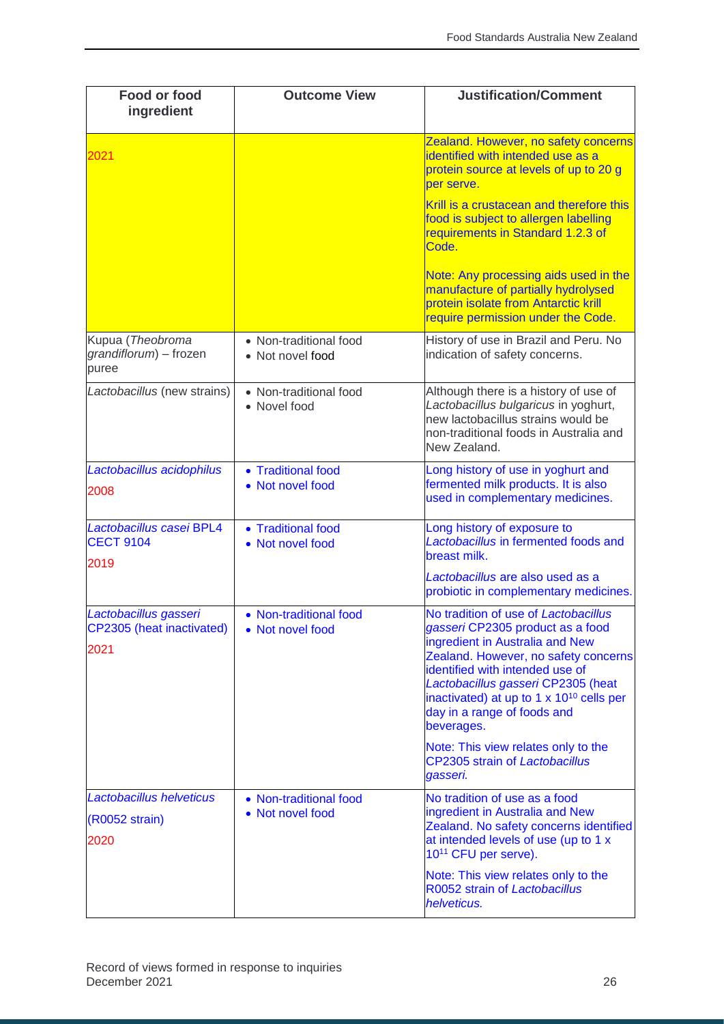| <b>Food or food</b><br>ingredient                          | <b>Outcome View</b>                        | <b>Justification/Comment</b>                                                                                                                                                                                                                                                                                                      |
|------------------------------------------------------------|--------------------------------------------|-----------------------------------------------------------------------------------------------------------------------------------------------------------------------------------------------------------------------------------------------------------------------------------------------------------------------------------|
| 2021                                                       |                                            | Zealand. However, no safety concerns<br>identified with intended use as a<br>protein source at levels of up to 20 g<br>per serve.                                                                                                                                                                                                 |
|                                                            |                                            | Krill is a crustacean and therefore this<br>food is subject to allergen labelling<br>requirements in Standard 1.2.3 of<br>Code.                                                                                                                                                                                                   |
|                                                            |                                            | Note: Any processing aids used in the<br>manufacture of partially hydrolysed<br>protein isolate from Antarctic krill<br>require permission under the Code.                                                                                                                                                                        |
| Kupua (Theobroma<br>grandiflorum) - frozen<br>puree        | • Non-traditional food<br>• Not novel food | History of use in Brazil and Peru. No<br>indication of safety concerns.                                                                                                                                                                                                                                                           |
| Lactobacillus (new strains)                                | • Non-traditional food<br>• Novel food     | Although there is a history of use of<br>Lactobacillus bulgaricus in yoghurt,<br>new lactobacillus strains would be<br>non-traditional foods in Australia and<br>New Zealand.                                                                                                                                                     |
| Lactobacillus acidophilus<br>2008                          | • Traditional food<br>• Not novel food     | Long history of use in yoghurt and<br>fermented milk products. It is also<br>used in complementary medicines.                                                                                                                                                                                                                     |
| Lactobacillus casei BPL4<br><b>CECT 9104</b><br>2019       | • Traditional food<br>• Not novel food     | Long history of exposure to<br>Lactobacillus in fermented foods and<br>breast milk.                                                                                                                                                                                                                                               |
|                                                            |                                            | Lactobacillus are also used as a<br>probiotic in complementary medicines.                                                                                                                                                                                                                                                         |
| Lactobacillus gasseri<br>CP2305 (heat inactivated)<br>2021 | • Non-traditional food<br>• Not novel food | No tradition of use of Lactobacillus<br>gasseri CP2305 product as a food<br>ingredient in Australia and New<br>Zealand. However, no safety concerns<br>identified with intended use of<br>Lactobacillus gasseri CP2305 (heat<br>inactivated) at up to 1 x 10 <sup>10</sup> cells per<br>day in a range of foods and<br>beverages. |
|                                                            |                                            | Note: This view relates only to the<br><b>CP2305 strain of Lactobacillus</b><br>gasseri.                                                                                                                                                                                                                                          |
| Lactobacillus helveticus<br>(R0052 strain)<br>2020         | • Non-traditional food<br>• Not novel food | No tradition of use as a food<br>ingredient in Australia and New<br>Zealand. No safety concerns identified<br>at intended levels of use (up to 1 x<br>10 <sup>11</sup> CFU per serve).                                                                                                                                            |
|                                                            |                                            | Note: This view relates only to the<br>R0052 strain of Lactobacillus<br>helveticus.                                                                                                                                                                                                                                               |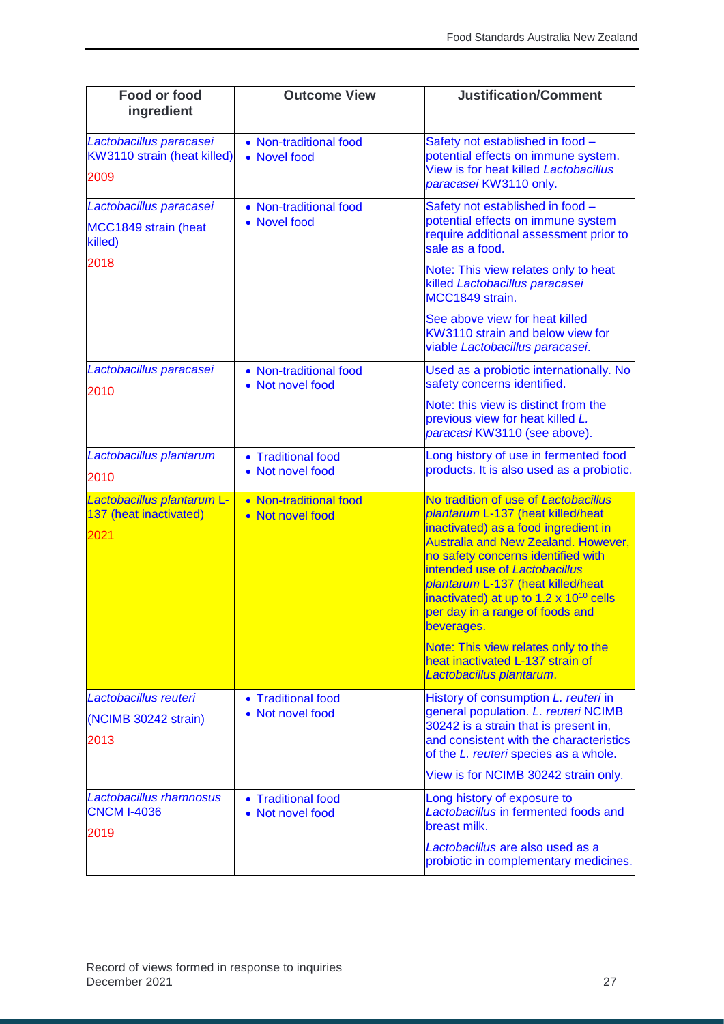| <b>Food or food</b><br>ingredient                                  | <b>Outcome View</b>                        | <b>Justification/Comment</b>                                                                                                                                                                                                                                                                                                                                                       |
|--------------------------------------------------------------------|--------------------------------------------|------------------------------------------------------------------------------------------------------------------------------------------------------------------------------------------------------------------------------------------------------------------------------------------------------------------------------------------------------------------------------------|
| Lactobacillus paracasei<br>KW3110 strain (heat killed)<br>2009     | • Non-traditional food<br>• Novel food     | Safety not established in food -<br>potential effects on immune system.<br>View is for heat killed Lactobacillus<br>paracasei KW3110 only.                                                                                                                                                                                                                                         |
| Lactobacillus paracasei<br>MCC1849 strain (heat<br>killed)<br>2018 | • Non-traditional food<br>• Novel food     | Safety not established in food -<br>potential effects on immune system<br>require additional assessment prior to<br>sale as a food.                                                                                                                                                                                                                                                |
|                                                                    |                                            | Note: This view relates only to heat<br>killed Lactobacillus paracasei<br>MCC1849 strain.                                                                                                                                                                                                                                                                                          |
|                                                                    |                                            | See above view for heat killed<br>KW3110 strain and below view for<br>viable Lactobacillus paracasei.                                                                                                                                                                                                                                                                              |
| Lactobacillus paracasei<br>2010                                    | • Non-traditional food<br>• Not novel food | Used as a probiotic internationally. No<br>safety concerns identified.                                                                                                                                                                                                                                                                                                             |
|                                                                    |                                            | Note: this view is distinct from the<br>previous view for heat killed L.<br>paracasi KW3110 (see above).                                                                                                                                                                                                                                                                           |
| Lactobacillus plantarum<br>2010                                    | • Traditional food<br>• Not novel food     | Long history of use in fermented food<br>products. It is also used as a probiotic.                                                                                                                                                                                                                                                                                                 |
| Lactobacillus plantarum L-<br>137 (heat inactivated)<br>2021       | • Non-traditional food<br>• Not novel food | No tradition of use of Lactobacillus<br>plantarum L-137 (heat killed/heat<br>inactivated) as a food ingredient in<br><b>Australia and New Zealand. However,</b><br>no safety concerns identified with<br>intended use of Lactobacillus<br>plantarum L-137 (heat killed/heat<br>inactivated) at up to 1.2 x 10 <sup>10</sup> cells<br>per day in a range of foods and<br>beverages. |
|                                                                    |                                            | Note: This view relates only to the<br>heat inactivated L-137 strain of<br>Lactobacillus plantarum.                                                                                                                                                                                                                                                                                |
| Lactobacillus reuteri<br>(NCIMB 30242 strain)<br>2013              | • Traditional food<br>• Not novel food     | History of consumption L. reuteri in<br>general population. L. reuteri NCIMB<br>30242 is a strain that is present in,<br>and consistent with the characteristics<br>of the L. reuteri species as a whole.                                                                                                                                                                          |
|                                                                    |                                            | View is for NCIMB 30242 strain only.                                                                                                                                                                                                                                                                                                                                               |
| Lactobacillus rhamnosus<br><b>CNCM I-4036</b><br>2019              | • Traditional food<br>• Not novel food     | Long history of exposure to<br>Lactobacillus in fermented foods and<br>breast milk.                                                                                                                                                                                                                                                                                                |
|                                                                    |                                            | Lactobacillus are also used as a<br>probiotic in complementary medicines.                                                                                                                                                                                                                                                                                                          |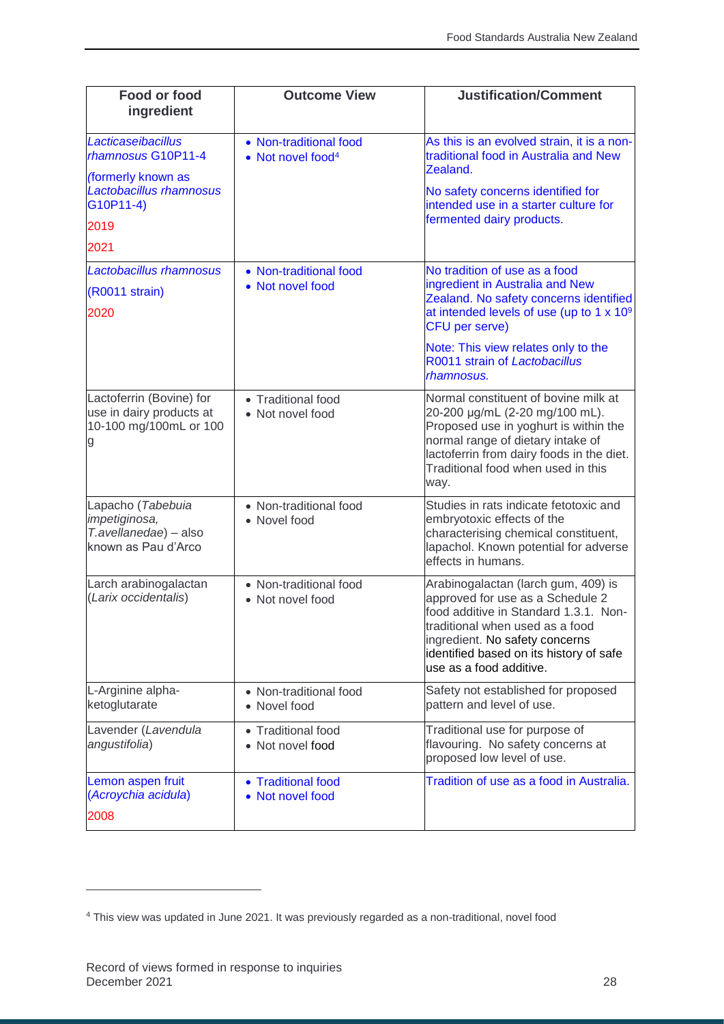| Food or food<br>ingredient                                                          | <b>Outcome View</b>                                     | <b>Justification/Comment</b>                                                                                                                                                                                                                                |
|-------------------------------------------------------------------------------------|---------------------------------------------------------|-------------------------------------------------------------------------------------------------------------------------------------------------------------------------------------------------------------------------------------------------------------|
| Lacticaseibacillus<br>rhamnosus G10P11-4<br>(formerly known as                      | • Non-traditional food<br>• Not novel food <sup>4</sup> | As this is an evolved strain, it is a non-<br>traditional food in Australia and New<br>Zealand.                                                                                                                                                             |
| Lactobacillus rhamnosus<br>G10P11-4)                                                |                                                         | No safety concerns identified for<br>intended use in a starter culture for                                                                                                                                                                                  |
| 2019                                                                                |                                                         | fermented dairy products.                                                                                                                                                                                                                                   |
| 2021                                                                                |                                                         |                                                                                                                                                                                                                                                             |
| Lactobacillus rhamnosus                                                             | • Non-traditional food                                  | No tradition of use as a food                                                                                                                                                                                                                               |
| (R0011 strain)<br>2020                                                              | • Not novel food                                        | ingredient in Australia and New<br>Zealand. No safety concerns identified<br>at intended levels of use (up to 1 x 10 <sup>9</sup><br><b>CFU</b> per serve)                                                                                                  |
|                                                                                     |                                                         | Note: This view relates only to the<br>R0011 strain of Lactobacillus<br>rhamnosus.                                                                                                                                                                          |
| Lactoferrin (Bovine) for<br>use in dairy products at<br>10-100 mg/100mL or 100<br>g | • Traditional food<br>• Not novel food                  | Normal constituent of bovine milk at<br>20-200 µg/mL (2-20 mg/100 mL).<br>Proposed use in yoghurt is within the<br>normal range of dietary intake of<br>lactoferrin from dairy foods in the diet.<br>Traditional food when used in this<br>way.             |
| Lapacho (Tabebuia<br>impetiginosa,<br>T.avellanedae) - also<br>known as Pau d'Arco  | • Non-traditional food<br>• Novel food                  | Studies in rats indicate fetotoxic and<br>embryotoxic effects of the<br>characterising chemical constituent,<br>lapachol. Known potential for adverse<br>effects in humans.                                                                                 |
| Larch arabinogalactan<br>(Larix occidentalis)                                       | • Non-traditional food<br>• Not novel food              | Arabinogalactan (larch gum, 409) is<br>approved for use as a Schedule 2<br>food additive in Standard 1.3.1. Non-<br>traditional when used as a food<br>ingredient. No safety concerns<br>identified based on its history of safe<br>use as a food additive. |
| L-Arginine alpha-<br>ketoglutarate                                                  | • Non-traditional food<br>• Novel food                  | Safety not established for proposed<br>pattern and level of use.                                                                                                                                                                                            |
| Lavender (Lavendula<br>angustifolia)                                                | • Traditional food<br>• Not novel food                  | Traditional use for purpose of<br>flavouring. No safety concerns at<br>proposed low level of use.                                                                                                                                                           |
| Lemon aspen fruit<br>(Acroychia acidula)                                            | • Traditional food<br>• Not novel food                  | Tradition of use as a food in Australia.                                                                                                                                                                                                                    |
| 2008                                                                                |                                                         |                                                                                                                                                                                                                                                             |

 $\overline{a}$ 

<sup>4</sup> This view was updated in June 2021. It was previously regarded as a non-traditional, novel food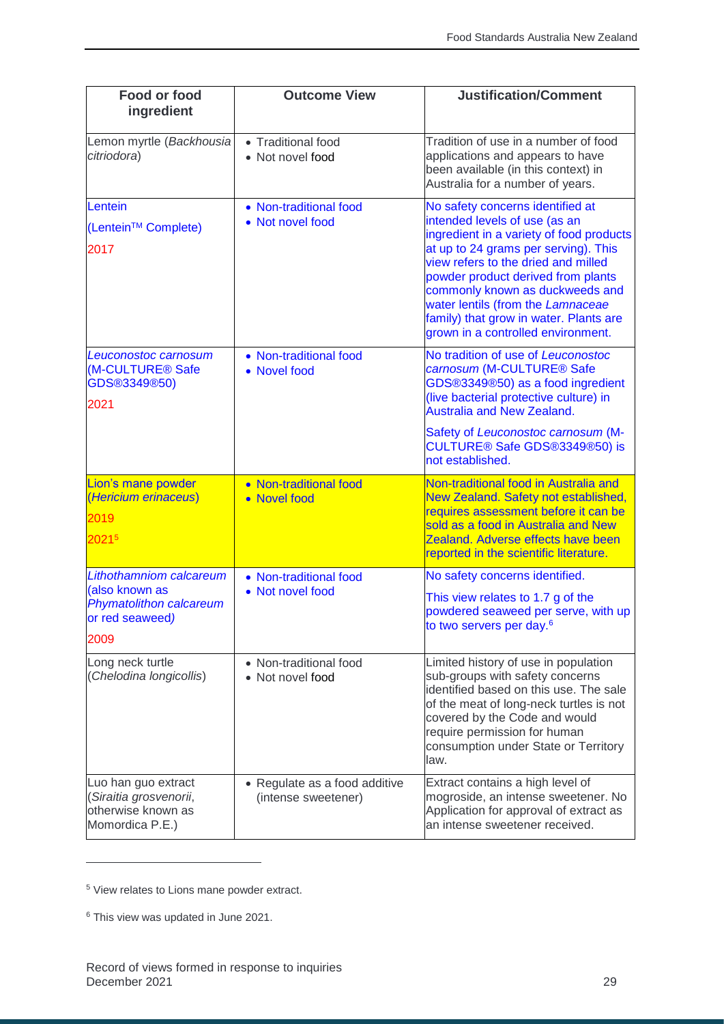| <b>Food or food</b><br>ingredient                                                               | <b>Outcome View</b>                                  | <b>Justification/Comment</b>                                                                                                                                                                                                                                                                                                                                                               |
|-------------------------------------------------------------------------------------------------|------------------------------------------------------|--------------------------------------------------------------------------------------------------------------------------------------------------------------------------------------------------------------------------------------------------------------------------------------------------------------------------------------------------------------------------------------------|
| Lemon myrtle (Backhousia<br>citriodora)                                                         | • Traditional food<br>• Not novel food               | Tradition of use in a number of food<br>applications and appears to have<br>been available (in this context) in<br>Australia for a number of years.                                                                                                                                                                                                                                        |
| Lentein<br>(Lentein <sup>™</sup> Complete)<br>2017                                              | • Non-traditional food<br>• Not novel food           | No safety concerns identified at<br>intended levels of use (as an<br>ingredient in a variety of food products<br>at up to 24 grams per serving). This<br>view refers to the dried and milled<br>powder product derived from plants<br>commonly known as duckweeds and<br>water lentils (from the Lamnaceae<br>family) that grow in water. Plants are<br>grown in a controlled environment. |
| Leuconostoc carnosum<br>(M-CULTURE <sup>®</sup> Safe<br>GDS®3349®50)<br>2021                    | • Non-traditional food<br>• Novel food               | No tradition of use of Leuconostoc<br>carnosum (M-CULTURE <sup>®</sup> Safe<br>GDS®3349®50) as a food ingredient<br>(live bacterial protective culture) in<br><b>Australia and New Zealand.</b><br>Safety of Leuconostoc carnosum (M-<br>CULTURE® Safe GDS®3349®50) is<br>not established.                                                                                                 |
| Lion's mane powder<br>(Hericium erinaceus)<br>2019<br>20215                                     | • Non-traditional food<br>• Novel food               | Non-traditional food in Australia and<br>New Zealand. Safety not established,<br>requires assessment before it can be<br>sold as a food in Australia and New<br>Zealand. Adverse effects have been<br>reported in the scientific literature.                                                                                                                                               |
| Lithothamniom calcareum<br>(also known as<br>Phymatolithon calcareum<br>or red seaweed)<br>2009 | • Non-traditional food<br>• Not novel food           | No safety concerns identified.<br>This view relates to 1.7 g of the<br>powdered seaweed per serve, with up<br>to two servers per day. <sup>6</sup>                                                                                                                                                                                                                                         |
| Long neck turtle<br>(Chelodina longicollis)                                                     | • Non-traditional food<br>• Not novel food           | Limited history of use in population<br>sub-groups with safety concerns<br>identified based on this use. The sale<br>of the meat of long-neck turtles is not<br>covered by the Code and would<br>require permission for human<br>consumption under State or Territory<br>law.                                                                                                              |
| Luo han guo extract<br>(Siraitia grosvenorii,<br>otherwise known as<br>Momordica P.E.)          | • Regulate as a food additive<br>(intense sweetener) | Extract contains a high level of<br>mogroside, an intense sweetener. No<br>Application for approval of extract as<br>an intense sweetener received.                                                                                                                                                                                                                                        |

<sup>5</sup> View relates to Lions mane powder extract.

j

<sup>6</sup> This view was updated in June 2021.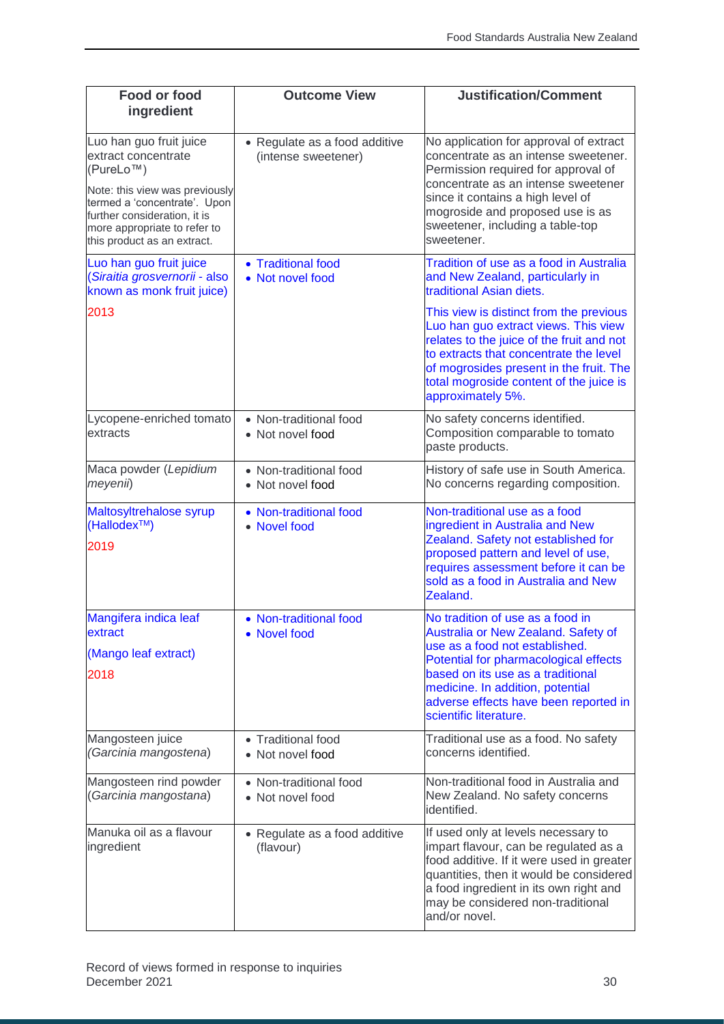| <b>Food or food</b><br>ingredient                                                                                                                                                                                                         | <b>Outcome View</b>                                  | <b>Justification/Comment</b>                                                                                                                                                                                                                                                                   |
|-------------------------------------------------------------------------------------------------------------------------------------------------------------------------------------------------------------------------------------------|------------------------------------------------------|------------------------------------------------------------------------------------------------------------------------------------------------------------------------------------------------------------------------------------------------------------------------------------------------|
| Luo han guo fruit juice<br>extract concentrate<br>(PureLo <sup>™</sup> )<br>Note: this view was previously<br>termed a 'concentrate'. Upon<br>further consideration, it is<br>more appropriate to refer to<br>this product as an extract. | • Regulate as a food additive<br>(intense sweetener) | No application for approval of extract<br>concentrate as an intense sweetener.<br>Permission required for approval of<br>concentrate as an intense sweetener<br>since it contains a high level of<br>mogroside and proposed use is as<br>sweetener, including a table-top<br>sweetener.        |
| Luo han guo fruit juice<br>(Siraitia grosvernorii - also<br>known as monk fruit juice)                                                                                                                                                    | • Traditional food<br>• Not novel food               | Tradition of use as a food in Australia<br>and New Zealand, particularly in<br>traditional Asian diets.                                                                                                                                                                                        |
| 2013                                                                                                                                                                                                                                      |                                                      | This view is distinct from the previous<br>Luo han guo extract views. This view<br>relates to the juice of the fruit and not<br>to extracts that concentrate the level<br>of mogrosides present in the fruit. The<br>total mogroside content of the juice is<br>approximately 5%.              |
| Lycopene-enriched tomato<br>extracts                                                                                                                                                                                                      | • Non-traditional food<br>• Not novel food           | No safety concerns identified.<br>Composition comparable to tomato<br>paste products.                                                                                                                                                                                                          |
| Maca powder (Lepidium<br>meyenii)                                                                                                                                                                                                         | • Non-traditional food<br>• Not novel food           | History of safe use in South America.<br>No concerns regarding composition.                                                                                                                                                                                                                    |
| Maltosyltrehalose syrup<br>(Hallodex <sup>™</sup> )<br>2019                                                                                                                                                                               | • Non-traditional food<br>• Novel food               | Non-traditional use as a food<br>ingredient in Australia and New<br>Zealand. Safety not established for<br>proposed pattern and level of use,<br>requires assessment before it can be<br>sold as a food in Australia and New<br>Zealand.                                                       |
| Mangifera indica leaf<br>extract<br>(Mango leaf extract)<br>2018                                                                                                                                                                          | • Non-traditional food<br>• Novel food               | No tradition of use as a food in<br>Australia or New Zealand. Safety of<br>use as a food not established.<br>Potential for pharmacological effects<br>based on its use as a traditional<br>medicine. In addition, potential<br>adverse effects have been reported in<br>scientific literature. |
| Mangosteen juice<br>(Garcinia mangostena)                                                                                                                                                                                                 | • Traditional food<br>• Not novel food               | Traditional use as a food. No safety<br>concerns identified.                                                                                                                                                                                                                                   |
| Mangosteen rind powder<br>(Garcinia mangostana)                                                                                                                                                                                           | • Non-traditional food<br>Not novel food             | Non-traditional food in Australia and<br>New Zealand. No safety concerns<br>identified.                                                                                                                                                                                                        |
| Manuka oil as a flavour<br>ingredient                                                                                                                                                                                                     | • Regulate as a food additive<br>(flavour)           | If used only at levels necessary to<br>impart flavour, can be regulated as a<br>food additive. If it were used in greater<br>quantities, then it would be considered<br>a food ingredient in its own right and<br>may be considered non-traditional<br>and/or novel.                           |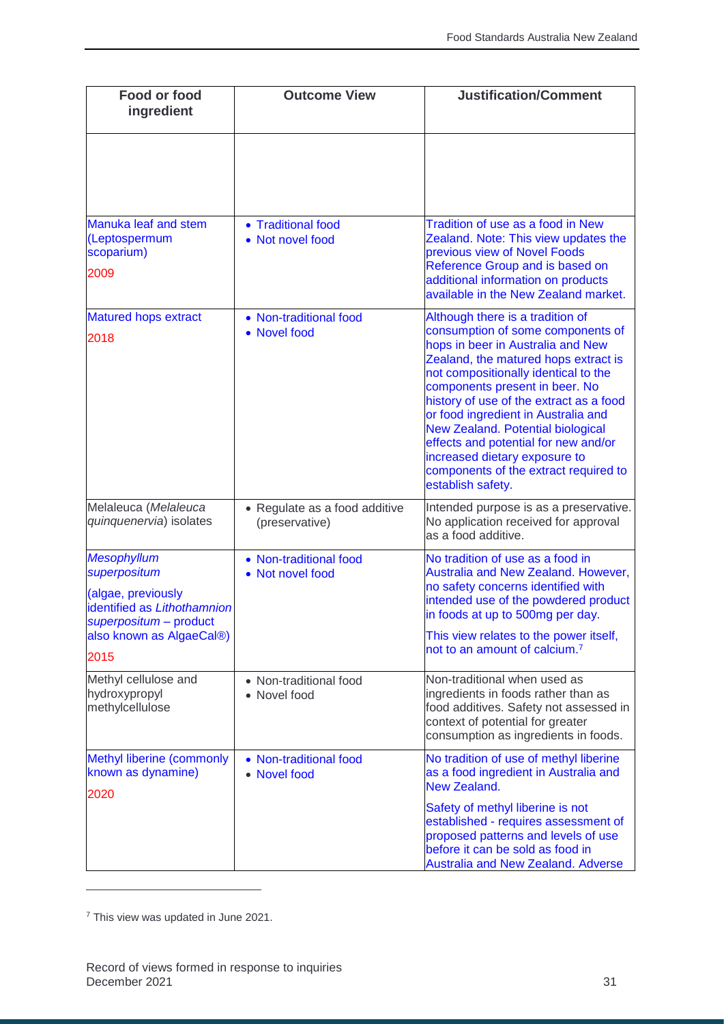| Food or food<br>ingredient                                                                                                                            | <b>Outcome View</b>                             | <b>Justification/Comment</b>                                                                                                                                                                                                                                                                                                                                                                                                                                                                      |
|-------------------------------------------------------------------------------------------------------------------------------------------------------|-------------------------------------------------|---------------------------------------------------------------------------------------------------------------------------------------------------------------------------------------------------------------------------------------------------------------------------------------------------------------------------------------------------------------------------------------------------------------------------------------------------------------------------------------------------|
|                                                                                                                                                       |                                                 |                                                                                                                                                                                                                                                                                                                                                                                                                                                                                                   |
| Manuka leaf and stem<br>(Leptospermum<br>scoparium)<br>2009                                                                                           | • Traditional food<br>• Not novel food          | Tradition of use as a food in New<br>Zealand. Note: This view updates the<br>previous view of Novel Foods<br>Reference Group and is based on<br>additional information on products<br>available in the New Zealand market.                                                                                                                                                                                                                                                                        |
| <b>Matured hops extract</b><br>2018                                                                                                                   | • Non-traditional food<br>• Novel food          | Although there is a tradition of<br>consumption of some components of<br>hops in beer in Australia and New<br>Zealand, the matured hops extract is<br>not compositionally identical to the<br>components present in beer. No<br>history of use of the extract as a food<br>or food ingredient in Australia and<br><b>New Zealand. Potential biological</b><br>effects and potential for new and/or<br>increased dietary exposure to<br>components of the extract required to<br>establish safety. |
| Melaleuca (Melaleuca<br>quinquenervia) isolates                                                                                                       | • Regulate as a food additive<br>(preservative) | Intended purpose is as a preservative.<br>No application received for approval<br>as a food additive.                                                                                                                                                                                                                                                                                                                                                                                             |
| <b>Mesophyllum</b><br>superpositum<br>(algae, previously<br>identified as Lithothamnion<br>superpositum - product<br>also known as AlgaeCal®)<br>2015 | • Non-traditional food<br>• Not novel food      | No tradition of use as a food in<br>Australia and New Zealand. However,<br>no safety concerns identified with<br>intended use of the powdered product<br>in foods at up to 500mg per day.<br>This view relates to the power itself,<br>not to an amount of calcium. <sup>7</sup>                                                                                                                                                                                                                  |
| Methyl cellulose and<br>hydroxypropyl<br>methylcellulose                                                                                              | • Non-traditional food<br>• Novel food          | Non-traditional when used as<br>ingredients in foods rather than as<br>food additives. Safety not assessed in<br>context of potential for greater<br>consumption as ingredients in foods.                                                                                                                                                                                                                                                                                                         |
| <b>Methyl liberine (commonly</b><br>known as dynamine)<br>2020                                                                                        | • Non-traditional food<br>• Novel food          | No tradition of use of methyl liberine<br>as a food ingredient in Australia and<br><b>New Zealand.</b><br>Safety of methyl liberine is not<br>established - requires assessment of<br>proposed patterns and levels of use<br>before it can be sold as food in<br><b>Australia and New Zealand. Adverse</b>                                                                                                                                                                                        |

<sup>7</sup> This view was updated in June 2021.

 $\overline{a}$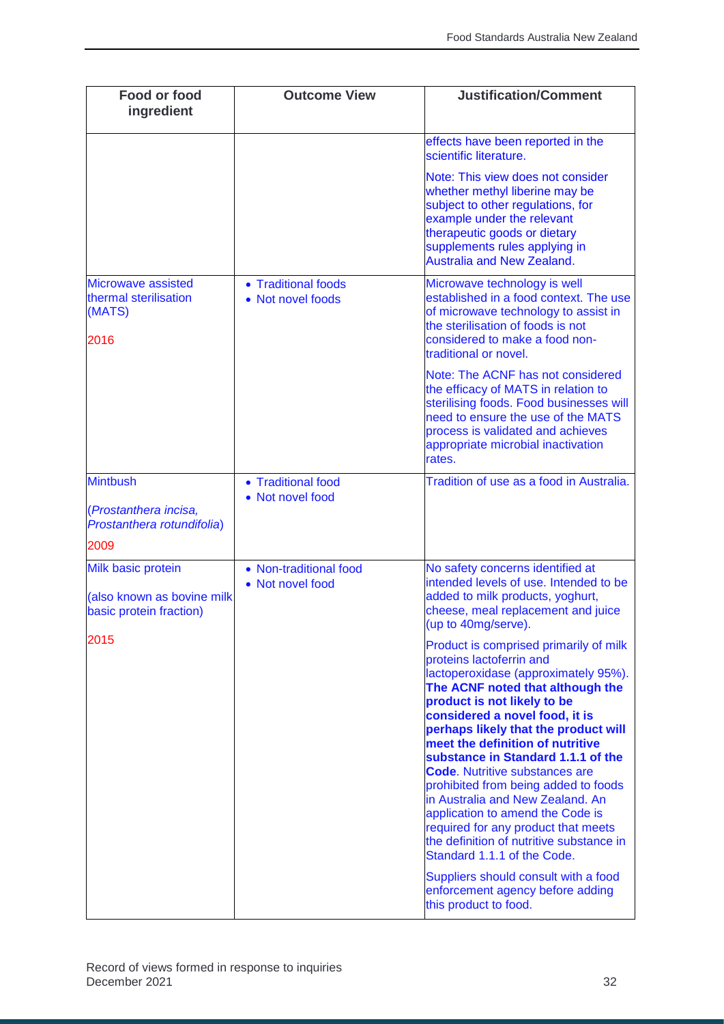| <b>Food or food</b><br>ingredient                                                  | <b>Outcome View</b>                        | <b>Justification/Comment</b>                                                                                                                                                                                                                                                                                                                                                                                                                                                                                                                                                                                                                                                                                      |
|------------------------------------------------------------------------------------|--------------------------------------------|-------------------------------------------------------------------------------------------------------------------------------------------------------------------------------------------------------------------------------------------------------------------------------------------------------------------------------------------------------------------------------------------------------------------------------------------------------------------------------------------------------------------------------------------------------------------------------------------------------------------------------------------------------------------------------------------------------------------|
|                                                                                    |                                            | effects have been reported in the<br>scientific literature.                                                                                                                                                                                                                                                                                                                                                                                                                                                                                                                                                                                                                                                       |
|                                                                                    |                                            | Note: This view does not consider<br>whether methyl liberine may be<br>subject to other regulations, for<br>example under the relevant<br>therapeutic goods or dietary<br>supplements rules applying in<br><b>Australia and New Zealand.</b>                                                                                                                                                                                                                                                                                                                                                                                                                                                                      |
| <b>Microwave assisted</b><br>thermal sterilisation<br>(MATS)<br>2016               | • Traditional foods<br>• Not novel foods   | Microwave technology is well<br>established in a food context. The use<br>of microwave technology to assist in<br>the sterilisation of foods is not<br>considered to make a food non-<br>traditional or novel.                                                                                                                                                                                                                                                                                                                                                                                                                                                                                                    |
|                                                                                    |                                            | Note: The ACNF has not considered<br>the efficacy of MATS in relation to<br>sterilising foods. Food businesses will<br>need to ensure the use of the MATS<br>process is validated and achieves<br>appropriate microbial inactivation<br>rates.                                                                                                                                                                                                                                                                                                                                                                                                                                                                    |
| <b>Mintbush</b>                                                                    | • Traditional food<br>• Not novel food     | Tradition of use as a food in Australia.                                                                                                                                                                                                                                                                                                                                                                                                                                                                                                                                                                                                                                                                          |
| (Prostanthera incisa,<br>Prostanthera rotundifolia)                                |                                            |                                                                                                                                                                                                                                                                                                                                                                                                                                                                                                                                                                                                                                                                                                                   |
| 2009                                                                               |                                            |                                                                                                                                                                                                                                                                                                                                                                                                                                                                                                                                                                                                                                                                                                                   |
| <b>Milk basic protein</b><br>(also known as bovine milk<br>basic protein fraction) | • Non-traditional food<br>• Not novel food | No safety concerns identified at<br>intended levels of use. Intended to be<br>added to milk products, yoghurt,<br>cheese, meal replacement and juice<br>(up to 40mg/serve).                                                                                                                                                                                                                                                                                                                                                                                                                                                                                                                                       |
| 2015                                                                               |                                            | Product is comprised primarily of milk<br>proteins lactoferrin and<br>lactoperoxidase (approximately 95%).<br>The ACNF noted that although the<br>product is not likely to be<br>considered a novel food, it is<br>perhaps likely that the product will<br>meet the definition of nutritive<br>substance in Standard 1.1.1 of the<br><b>Code.</b> Nutritive substances are<br>prohibited from being added to foods<br>in Australia and New Zealand. An<br>application to amend the Code is<br>required for any product that meets<br>the definition of nutritive substance in<br>Standard 1.1.1 of the Code.<br>Suppliers should consult with a food<br>enforcement agency before adding<br>this product to food. |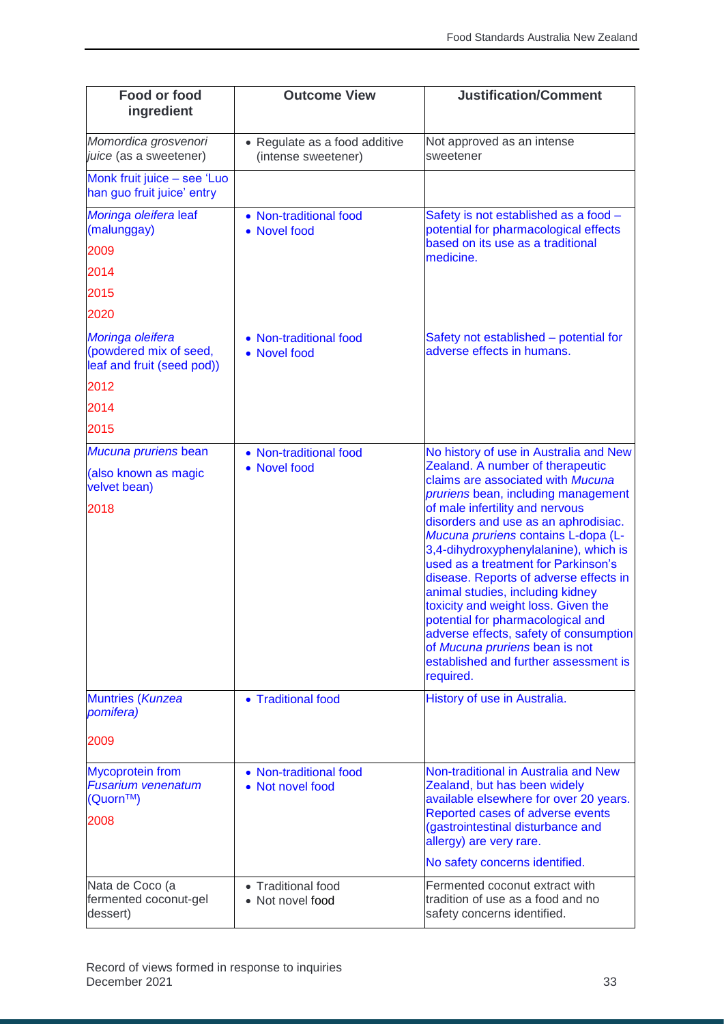| <b>Food or food</b><br>ingredient                                        | <b>Outcome View</b>                                  | <b>Justification/Comment</b>                                                                                                                                                                                                                                                                                                                                                                                                                                                               |
|--------------------------------------------------------------------------|------------------------------------------------------|--------------------------------------------------------------------------------------------------------------------------------------------------------------------------------------------------------------------------------------------------------------------------------------------------------------------------------------------------------------------------------------------------------------------------------------------------------------------------------------------|
| Momordica grosvenori<br>juice (as a sweetener)                           | • Regulate as a food additive<br>(intense sweetener) | Not approved as an intense<br>sweetener                                                                                                                                                                                                                                                                                                                                                                                                                                                    |
| Monk fruit juice - see 'Luo<br>han guo fruit juice' entry                |                                                      |                                                                                                                                                                                                                                                                                                                                                                                                                                                                                            |
| Moringa oleifera leaf<br>(malunggay)                                     | • Non-traditional food<br>• Novel food               | Safety is not established as a food -<br>potential for pharmacological effects                                                                                                                                                                                                                                                                                                                                                                                                             |
| 2009                                                                     |                                                      | based on its use as a traditional<br>medicine.                                                                                                                                                                                                                                                                                                                                                                                                                                             |
| 2014                                                                     |                                                      |                                                                                                                                                                                                                                                                                                                                                                                                                                                                                            |
| 2015                                                                     |                                                      |                                                                                                                                                                                                                                                                                                                                                                                                                                                                                            |
| 2020                                                                     |                                                      |                                                                                                                                                                                                                                                                                                                                                                                                                                                                                            |
| Moringa oleifera<br>(powdered mix of seed,<br>leaf and fruit (seed pod)) | • Non-traditional food<br>• Novel food               | Safety not established - potential for<br>adverse effects in humans.                                                                                                                                                                                                                                                                                                                                                                                                                       |
| 2012                                                                     |                                                      |                                                                                                                                                                                                                                                                                                                                                                                                                                                                                            |
| 2014                                                                     |                                                      |                                                                                                                                                                                                                                                                                                                                                                                                                                                                                            |
| 2015                                                                     |                                                      |                                                                                                                                                                                                                                                                                                                                                                                                                                                                                            |
| Mucuna pruriens bean                                                     | • Non-traditional food                               | No history of use in Australia and New                                                                                                                                                                                                                                                                                                                                                                                                                                                     |
| (also known as magic<br>velvet bean)                                     | • Novel food                                         | Zealand. A number of therapeutic<br>claims are associated with Mucuna<br>pruriens bean, including management                                                                                                                                                                                                                                                                                                                                                                               |
| 2018                                                                     |                                                      | of male infertility and nervous<br>disorders and use as an aphrodisiac.<br>Mucuna pruriens contains L-dopa (L-<br>3,4-dihydroxyphenylalanine), which is<br>used as a treatment for Parkinson's<br>disease. Reports of adverse effects in<br>animal studies, including kidney<br>toxicity and weight loss. Given the<br>potential for pharmacological and<br>adverse effects, safety of consumption<br>of Mucuna pruriens bean is not<br>established and further assessment is<br>required. |
| <b>Muntries (Kunzea</b><br>pomifera)                                     | • Traditional food                                   | History of use in Australia.                                                                                                                                                                                                                                                                                                                                                                                                                                                               |
| 2009                                                                     |                                                      |                                                                                                                                                                                                                                                                                                                                                                                                                                                                                            |
| <b>Mycoprotein from</b><br><b>Fusarium venenatum</b><br>(Quorn™)<br>2008 | • Non-traditional food<br>• Not novel food           | Non-traditional in Australia and New<br>Zealand, but has been widely<br>available elsewhere for over 20 years.<br>Reported cases of adverse events<br>(gastrointestinal disturbance and<br>allergy) are very rare.<br>No safety concerns identified.                                                                                                                                                                                                                                       |
| Nata de Coco (a<br>fermented coconut-gel<br>dessert)                     | • Traditional food<br>• Not novel food               | Fermented coconut extract with<br>tradition of use as a food and no<br>safety concerns identified.                                                                                                                                                                                                                                                                                                                                                                                         |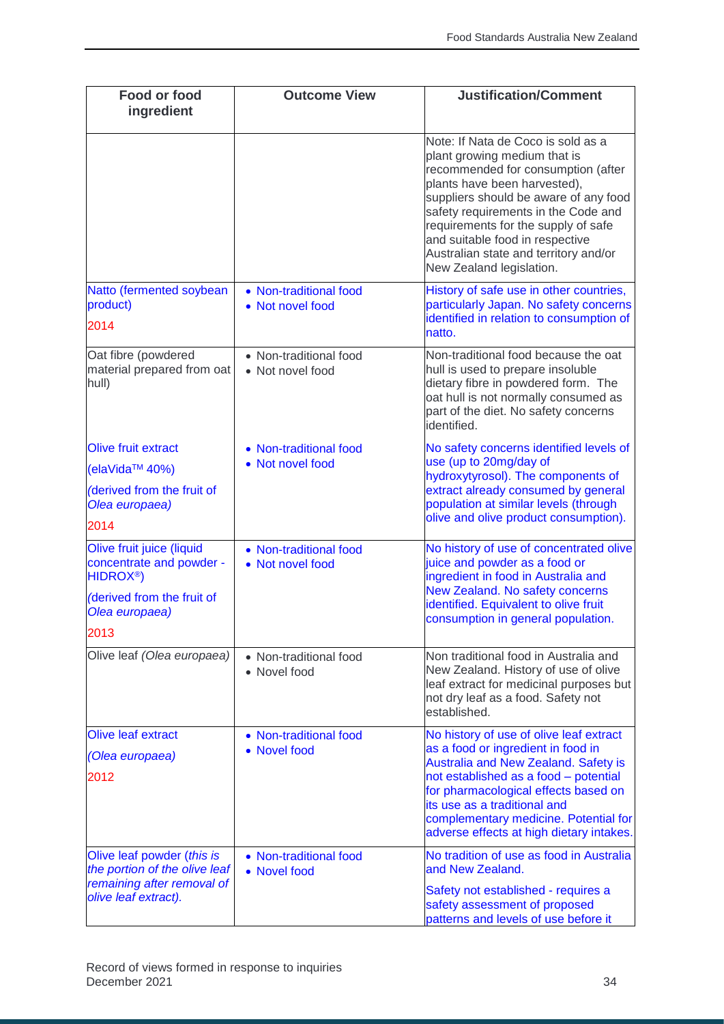| <b>Food or food</b><br>ingredient                                              | <b>Outcome View</b>                        | <b>Justification/Comment</b>                                                                                                                                                                                                                                                                                                                                            |
|--------------------------------------------------------------------------------|--------------------------------------------|-------------------------------------------------------------------------------------------------------------------------------------------------------------------------------------------------------------------------------------------------------------------------------------------------------------------------------------------------------------------------|
|                                                                                |                                            | Note: If Nata de Coco is sold as a<br>plant growing medium that is<br>recommended for consumption (after<br>plants have been harvested),<br>suppliers should be aware of any food<br>safety requirements in the Code and<br>requirements for the supply of safe<br>and suitable food in respective<br>Australian state and territory and/or<br>New Zealand legislation. |
| Natto (fermented soybean<br>product)<br>2014                                   | • Non-traditional food<br>• Not novel food | History of safe use in other countries,<br>particularly Japan. No safety concerns<br>identified in relation to consumption of<br>natto.                                                                                                                                                                                                                                 |
| Oat fibre (powdered<br>material prepared from oat<br>hull)                     | • Non-traditional food<br>• Not novel food | Non-traditional food because the oat<br>hull is used to prepare insoluble<br>dietary fibre in powdered form. The<br>oat hull is not normally consumed as<br>part of the diet. No safety concerns<br>identified.                                                                                                                                                         |
| <b>Olive fruit extract</b>                                                     | • Non-traditional food                     | No safety concerns identified levels of<br>use (up to 20mg/day of                                                                                                                                                                                                                                                                                                       |
| (elaVida™ 40%)                                                                 | • Not novel food                           | hydroxytyrosol). The components of                                                                                                                                                                                                                                                                                                                                      |
| (derived from the fruit of<br>Olea europaea)                                   |                                            | extract already consumed by general<br>population at similar levels (through<br>olive and olive product consumption).                                                                                                                                                                                                                                                   |
| 2014                                                                           |                                            |                                                                                                                                                                                                                                                                                                                                                                         |
| Olive fruit juice (liquid<br>concentrate and powder -<br>HIDROX <sup>®</sup> ) | • Non-traditional food<br>• Not novel food | No history of use of concentrated olive<br>juice and powder as a food or<br>ingredient in food in Australia and<br>New Zealand. No safety concerns                                                                                                                                                                                                                      |
| (derived from the fruit of<br>Olea europaea)<br>2013                           |                                            | identified. Equivalent to olive fruit<br>consumption in general population.                                                                                                                                                                                                                                                                                             |
| Olive leaf (Olea europaea)                                                     | • Non-traditional food<br>• Novel food     | Non traditional food in Australia and<br>New Zealand. History of use of olive<br>leaf extract for medicinal purposes but<br>not dry leaf as a food. Safety not<br>established.                                                                                                                                                                                          |
| <b>Olive leaf extract</b>                                                      | • Non-traditional food                     | No history of use of olive leaf extract                                                                                                                                                                                                                                                                                                                                 |
| (Olea europaea)<br>2012                                                        | • Novel food                               | as a food or ingredient in food in<br>Australia and New Zealand. Safety is<br>not established as a food - potential<br>for pharmacological effects based on<br>its use as a traditional and                                                                                                                                                                             |
|                                                                                |                                            | complementary medicine. Potential for<br>adverse effects at high dietary intakes.                                                                                                                                                                                                                                                                                       |
| Olive leaf powder (this is<br>the portion of the olive leaf                    | • Non-traditional food<br>• Novel food     | No tradition of use as food in Australia<br>and New Zealand.                                                                                                                                                                                                                                                                                                            |
| remaining after removal of<br>olive leaf extract).                             |                                            | Safety not established - requires a<br>safety assessment of proposed<br>patterns and levels of use before it                                                                                                                                                                                                                                                            |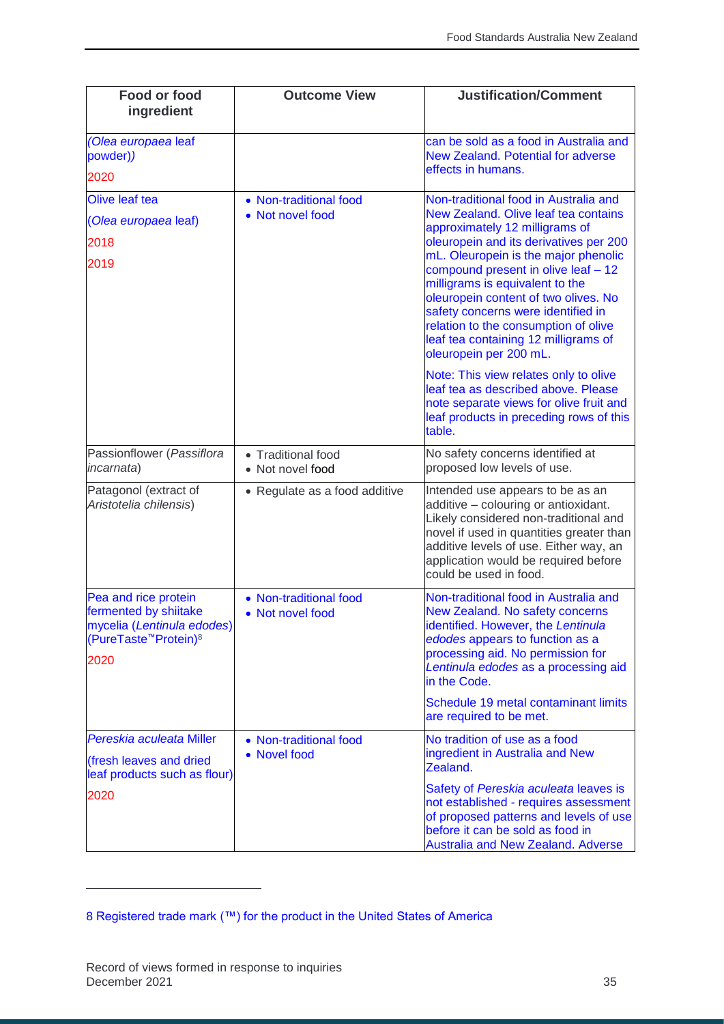| <b>Food or food</b><br>ingredient                                                                                                    | <b>Outcome View</b>                         | <b>Justification/Comment</b>                                                                                                                                                                                                                                                                                                                                                                                                                                                                                                                        |
|--------------------------------------------------------------------------------------------------------------------------------------|---------------------------------------------|-----------------------------------------------------------------------------------------------------------------------------------------------------------------------------------------------------------------------------------------------------------------------------------------------------------------------------------------------------------------------------------------------------------------------------------------------------------------------------------------------------------------------------------------------------|
| (Olea europaea leaf<br>powder))<br>2020                                                                                              |                                             | can be sold as a food in Australia and<br><b>New Zealand. Potential for adverse</b><br>effects in humans.                                                                                                                                                                                                                                                                                                                                                                                                                                           |
| Olive leaf tea<br>(Olea europaea leaf)<br>2018<br>2019                                                                               | • Non-traditional food<br>• Not novel food  | Non-traditional food in Australia and<br>New Zealand. Olive leaf tea contains<br>approximately 12 milligrams of<br>oleuropein and its derivatives per 200<br>mL. Oleuropein is the major phenolic<br>compound present in olive leaf - 12<br>milligrams is equivalent to the<br>oleuropein content of two olives. No<br>safety concerns were identified in<br>relation to the consumption of olive<br>leaf tea containing 12 milligrams of<br>oleuropein per 200 mL.<br>Note: This view relates only to olive<br>leaf tea as described above. Please |
|                                                                                                                                      |                                             | note separate views for olive fruit and<br>leaf products in preceding rows of this<br>table.                                                                                                                                                                                                                                                                                                                                                                                                                                                        |
| Passionflower (Passiflora<br>incarnata)                                                                                              | • Traditional food<br>• Not novel food      | No safety concerns identified at<br>proposed low levels of use.                                                                                                                                                                                                                                                                                                                                                                                                                                                                                     |
| Patagonol (extract of<br>Aristotelia chilensis)                                                                                      | • Regulate as a food additive               | Intended use appears to be as an<br>additive - colouring or antioxidant.<br>Likely considered non-traditional and<br>novel if used in quantities greater than<br>additive levels of use. Either way, an<br>application would be required before<br>could be used in food.                                                                                                                                                                                                                                                                           |
| Pea and rice protein<br>fermented by shiitake<br>mycelia (Lentinula edodes)<br>(PureTaste <sup>™</sup> Protein) <sup>8</sup><br>2020 | • Non-traditional food<br>• Not novel food  | Non-traditional food in Australia and<br>New Zealand. No safety concerns<br>identified. However, the Lentinula<br>edodes appears to function as a<br>processing aid. No permission for<br>Lentinula edodes as a processing aid<br>in the Code.                                                                                                                                                                                                                                                                                                      |
|                                                                                                                                      |                                             | Schedule 19 metal contaminant limits<br>are required to be met.                                                                                                                                                                                                                                                                                                                                                                                                                                                                                     |
| Pereskia aculeata Miller<br>(fresh leaves and dried<br>leaf products such as flour)                                                  | • Non-traditional food<br><b>Novel food</b> | No tradition of use as a food<br>ingredient in Australia and New<br>Zealand.                                                                                                                                                                                                                                                                                                                                                                                                                                                                        |
| 2020                                                                                                                                 |                                             | Safety of Pereskia aculeata leaves is<br>not established - requires assessment<br>of proposed patterns and levels of use<br>before it can be sold as food in<br><b>Australia and New Zealand. Adverse</b>                                                                                                                                                                                                                                                                                                                                           |

j

<sup>8</sup> Registered trade mark (™) for the product in the United States of America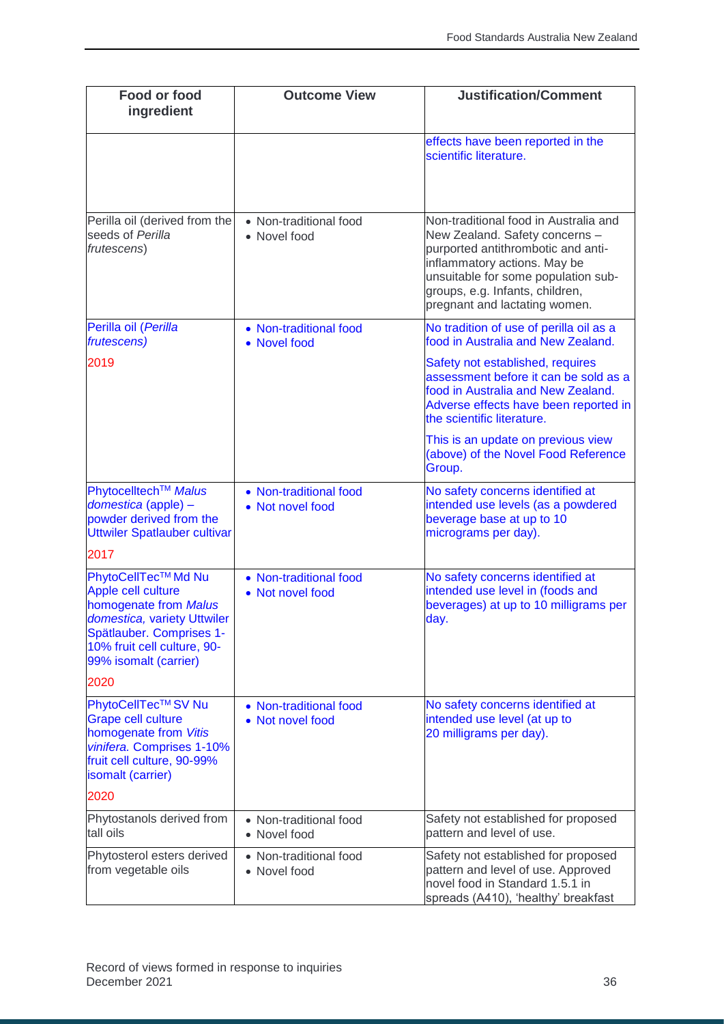| Food or food<br>ingredient                                                                                                                                                            | <b>Outcome View</b>                        | <b>Justification/Comment</b>                                                                                                                                                                                                                             |
|---------------------------------------------------------------------------------------------------------------------------------------------------------------------------------------|--------------------------------------------|----------------------------------------------------------------------------------------------------------------------------------------------------------------------------------------------------------------------------------------------------------|
|                                                                                                                                                                                       |                                            | effects have been reported in the<br>scientific literature.                                                                                                                                                                                              |
| Perilla oil (derived from the<br>seeds of Perilla<br>frutescens)                                                                                                                      | • Non-traditional food<br>• Novel food     | Non-traditional food in Australia and<br>New Zealand. Safety concerns -<br>purported antithrombotic and anti-<br>inflammatory actions. May be<br>unsuitable for some population sub-<br>groups, e.g. Infants, children,<br>pregnant and lactating women. |
| Perilla oil (Perilla<br>frutescens)                                                                                                                                                   | • Non-traditional food<br>• Novel food     | No tradition of use of perilla oil as a<br>food in Australia and New Zealand.                                                                                                                                                                            |
| 2019                                                                                                                                                                                  |                                            | Safety not established, requires<br>assessment before it can be sold as a<br>food in Australia and New Zealand.<br>Adverse effects have been reported in<br>the scientific literature.                                                                   |
|                                                                                                                                                                                       |                                            | This is an update on previous view<br>(above) of the Novel Food Reference<br>Group.                                                                                                                                                                      |
| Phytocelltech <sup>™</sup> Malus<br>domestica (apple) -<br>powder derived from the<br>Uttwiler Spatlauber cultivar                                                                    | • Non-traditional food<br>• Not novel food | No safety concerns identified at<br>intended use levels (as a powdered<br>beverage base at up to 10<br>micrograms per day).                                                                                                                              |
| 2017                                                                                                                                                                                  |                                            |                                                                                                                                                                                                                                                          |
| PhytoCellTec™ Md Nu<br>Apple cell culture<br>homogenate from Malus<br>domestica, variety Uttwiler<br>Spätlauber. Comprises 1-<br>10% fruit cell culture, 90-<br>99% isomalt (carrier) | • Non-traditional food<br>• Not novel food | No safety concerns identified at<br>intended use level in (foods and<br>beverages) at up to 10 milligrams per<br>day.                                                                                                                                    |
| 2020                                                                                                                                                                                  |                                            |                                                                                                                                                                                                                                                          |
| PhytoCellTec™SV Nu<br><b>Grape cell culture</b><br>homogenate from Vitis<br>vinifera. Comprises 1-10%<br>fruit cell culture, 90-99%<br>isomalt (carrier)                              | • Non-traditional food<br>• Not novel food | No safety concerns identified at<br>intended use level (at up to<br>20 milligrams per day).                                                                                                                                                              |
| 2020                                                                                                                                                                                  |                                            |                                                                                                                                                                                                                                                          |
| Phytostanols derived from<br>tall oils                                                                                                                                                | • Non-traditional food<br>• Novel food     | Safety not established for proposed<br>pattern and level of use.                                                                                                                                                                                         |
| Phytosterol esters derived<br>from vegetable oils                                                                                                                                     | • Non-traditional food<br>• Novel food     | Safety not established for proposed<br>pattern and level of use. Approved<br>novel food in Standard 1.5.1 in<br>spreads (A410), 'healthy' breakfast                                                                                                      |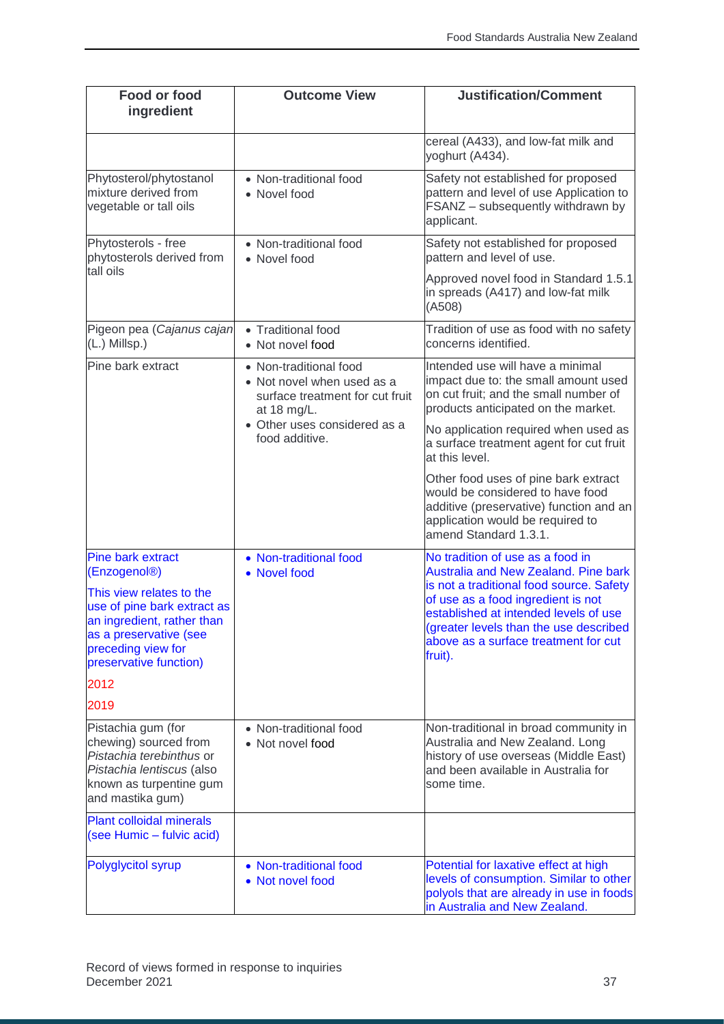| <b>Food or food</b><br>ingredient                                                                                                                                                                                        | <b>Outcome View</b>                                                                                    | <b>Justification/Comment</b>                                                                                                                                                                                                                                                                            |
|--------------------------------------------------------------------------------------------------------------------------------------------------------------------------------------------------------------------------|--------------------------------------------------------------------------------------------------------|---------------------------------------------------------------------------------------------------------------------------------------------------------------------------------------------------------------------------------------------------------------------------------------------------------|
|                                                                                                                                                                                                                          |                                                                                                        | cereal (A433), and low-fat milk and<br>yoghurt (A434).                                                                                                                                                                                                                                                  |
| Phytosterol/phytostanol<br>mixture derived from<br>vegetable or tall oils                                                                                                                                                | • Non-traditional food<br>• Novel food                                                                 | Safety not established for proposed<br>pattern and level of use Application to<br>FSANZ - subsequently withdrawn by<br>applicant.                                                                                                                                                                       |
| Phytosterols - free<br>phytosterols derived from                                                                                                                                                                         | • Non-traditional food<br>• Novel food                                                                 | Safety not established for proposed<br>pattern and level of use.                                                                                                                                                                                                                                        |
| tall oils                                                                                                                                                                                                                |                                                                                                        | Approved novel food in Standard 1.5.1<br>in spreads (A417) and low-fat milk<br>(A508)                                                                                                                                                                                                                   |
| Pigeon pea (Cajanus cajan<br>(L.) Millsp.)                                                                                                                                                                               | • Traditional food<br>• Not novel food                                                                 | Tradition of use as food with no safety<br>concerns identified.                                                                                                                                                                                                                                         |
| Pine bark extract                                                                                                                                                                                                        | • Non-traditional food<br>• Not novel when used as a<br>surface treatment for cut fruit<br>at 18 mg/L. | Intended use will have a minimal<br>impact due to: the small amount used<br>on cut fruit; and the small number of<br>products anticipated on the market.                                                                                                                                                |
|                                                                                                                                                                                                                          | • Other uses considered as a<br>food additive.                                                         | No application required when used as<br>a surface treatment agent for cut fruit<br>at this level.                                                                                                                                                                                                       |
|                                                                                                                                                                                                                          |                                                                                                        | Other food uses of pine bark extract<br>would be considered to have food<br>additive (preservative) function and an<br>application would be required to<br>amend Standard 1.3.1.                                                                                                                        |
| <b>Pine bark extract</b><br>(Enzogenol <sup>®</sup> )<br>This view relates to the<br>use of pine bark extract as<br>an ingredient, rather than<br>as a preservative (see<br>preceding view for<br>preservative function) | • Non-traditional food<br>• Novel food                                                                 | No tradition of use as a food in<br><b>Australia and New Zealand. Pine bark</b><br>is not a traditional food source. Safety<br>of use as a food ingredient is not<br>established at intended levels of use<br>(greater levels than the use described<br>above as a surface treatment for cut<br>fruit). |
| 2012                                                                                                                                                                                                                     |                                                                                                        |                                                                                                                                                                                                                                                                                                         |
| 2019                                                                                                                                                                                                                     |                                                                                                        |                                                                                                                                                                                                                                                                                                         |
| Pistachia gum (for<br>chewing) sourced from<br>Pistachia terebinthus or<br>Pistachia lentiscus (also<br>known as turpentine gum<br>and mastika gum)                                                                      | • Non-traditional food<br>• Not novel food                                                             | Non-traditional in broad community in<br>Australia and New Zealand. Long<br>history of use overseas (Middle East)<br>and been available in Australia for<br>some time.                                                                                                                                  |
| <b>Plant colloidal minerals</b><br>(see Humic - fulvic acid)                                                                                                                                                             |                                                                                                        |                                                                                                                                                                                                                                                                                                         |
| <b>Polyglycitol syrup</b>                                                                                                                                                                                                | • Non-traditional food<br>• Not novel food                                                             | Potential for laxative effect at high<br>levels of consumption. Similar to other<br>polyols that are already in use in foods<br>in Australia and New Zealand.                                                                                                                                           |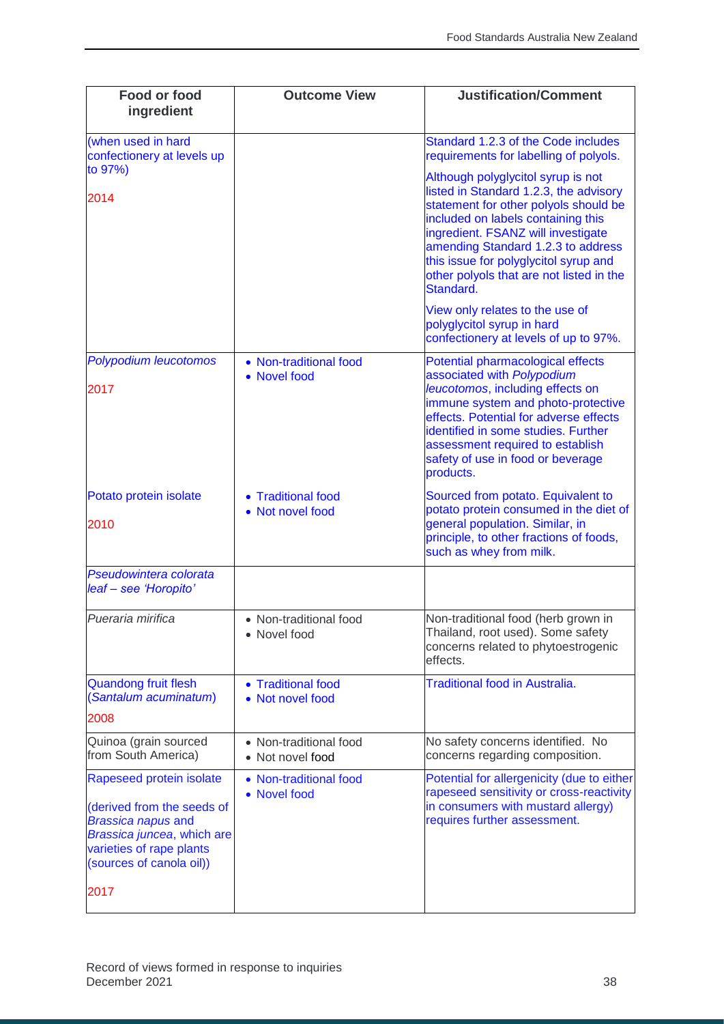| Food or food<br>ingredient                                                                                                                                                        | <b>Outcome View</b>                        | <b>Justification/Comment</b>                                                                                                                                                                                                                                                                                                              |
|-----------------------------------------------------------------------------------------------------------------------------------------------------------------------------------|--------------------------------------------|-------------------------------------------------------------------------------------------------------------------------------------------------------------------------------------------------------------------------------------------------------------------------------------------------------------------------------------------|
| (when used in hard<br>confectionery at levels up<br>to 97%)                                                                                                                       |                                            | Standard 1.2.3 of the Code includes<br>requirements for labelling of polyols.                                                                                                                                                                                                                                                             |
| 2014                                                                                                                                                                              |                                            | Although polyglycitol syrup is not<br>listed in Standard 1.2.3, the advisory<br>statement for other polyols should be<br>included on labels containing this<br>ingredient. FSANZ will investigate<br>amending Standard 1.2.3 to address<br>this issue for polyglycitol syrup and<br>other polyols that are not listed in the<br>Standard. |
|                                                                                                                                                                                   |                                            | View only relates to the use of<br>polyglycitol syrup in hard<br>confectionery at levels of up to 97%.                                                                                                                                                                                                                                    |
| <b>Polypodium leucotomos</b><br>2017                                                                                                                                              | • Non-traditional food<br>• Novel food     | Potential pharmacological effects<br>associated with Polypodium<br>leucotomos, including effects on<br>immune system and photo-protective<br>effects. Potential for adverse effects<br>identified in some studies. Further<br>assessment required to establish<br>safety of use in food or beverage<br>products.                          |
| Potato protein isolate<br>2010                                                                                                                                                    | • Traditional food<br>• Not novel food     | Sourced from potato. Equivalent to<br>potato protein consumed in the diet of<br>general population. Similar, in<br>principle, to other fractions of foods,<br>such as whey from milk.                                                                                                                                                     |
| Pseudowintera colorata<br>leaf - see 'Horopito'                                                                                                                                   |                                            |                                                                                                                                                                                                                                                                                                                                           |
| Pueraria mirifica                                                                                                                                                                 | • Non-traditional food<br>• Novel food     | Non-traditional food (herb grown in<br>Thailand, root used). Some safety<br>concerns related to phytoestrogenic<br>effects.                                                                                                                                                                                                               |
| <b>Quandong fruit flesh</b><br>(Santalum acuminatum)<br>2008                                                                                                                      | • Traditional food<br>• Not novel food     | <b>Traditional food in Australia.</b>                                                                                                                                                                                                                                                                                                     |
| Quinoa (grain sourced<br>from South America)                                                                                                                                      | • Non-traditional food<br>• Not novel food | No safety concerns identified. No<br>concerns regarding composition.                                                                                                                                                                                                                                                                      |
| Rapeseed protein isolate<br>(derived from the seeds of<br><b>Brassica napus and</b><br>Brassica juncea, which are<br>varieties of rape plants<br>(sources of canola oil))<br>2017 | • Non-traditional food<br>• Novel food     | Potential for allergenicity (due to either<br>rapeseed sensitivity or cross-reactivity<br>in consumers with mustard allergy)<br>requires further assessment.                                                                                                                                                                              |
|                                                                                                                                                                                   |                                            |                                                                                                                                                                                                                                                                                                                                           |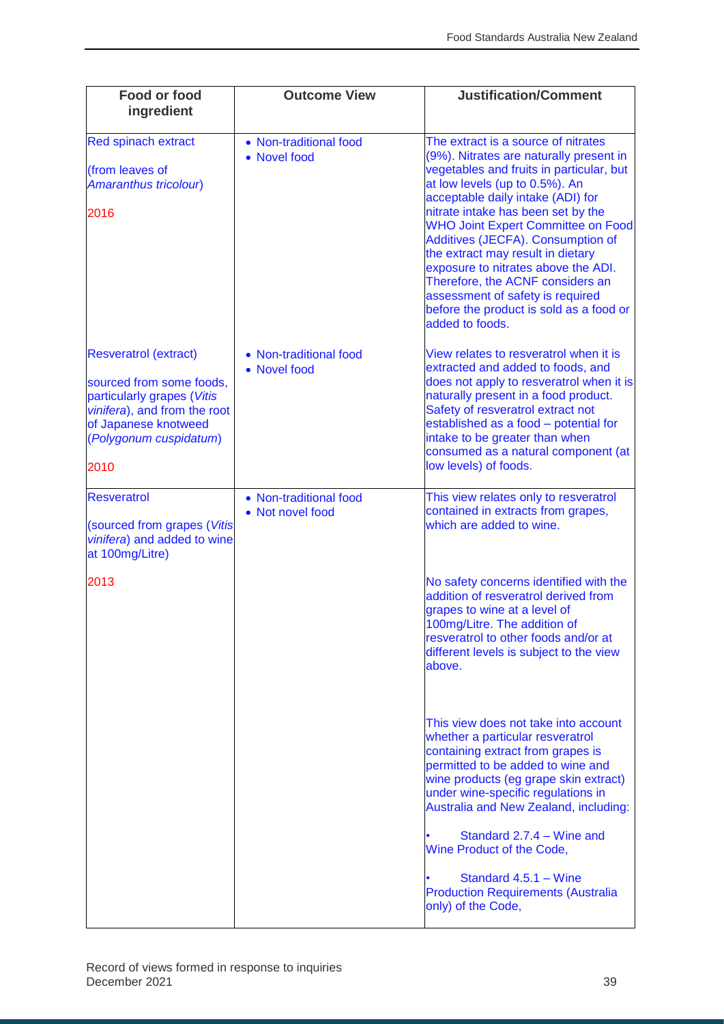| <b>Food or food</b><br>ingredient                                                                                                                                                | <b>Outcome View</b>                        | <b>Justification/Comment</b>                                                                                                                                                                                                                                                                                                                                                                                                                                                                                                                |
|----------------------------------------------------------------------------------------------------------------------------------------------------------------------------------|--------------------------------------------|---------------------------------------------------------------------------------------------------------------------------------------------------------------------------------------------------------------------------------------------------------------------------------------------------------------------------------------------------------------------------------------------------------------------------------------------------------------------------------------------------------------------------------------------|
| <b>Red spinach extract</b><br>(from leaves of<br>Amaranthus tricolour)<br>2016                                                                                                   | • Non-traditional food<br>• Novel food     | The extract is a source of nitrates<br>(9%). Nitrates are naturally present in<br>vegetables and fruits in particular, but<br>at low levels (up to 0.5%). An<br>acceptable daily intake (ADI) for<br>nitrate intake has been set by the<br><b>WHO Joint Expert Committee on Food</b><br>Additives (JECFA). Consumption of<br>the extract may result in dietary<br>exposure to nitrates above the ADI.<br>Therefore, the ACNF considers an<br>assessment of safety is required<br>before the product is sold as a food or<br>added to foods. |
| <b>Resveratrol (extract)</b><br>sourced from some foods,<br>particularly grapes (Vitis<br>vinifera), and from the root<br>of Japanese knotweed<br>(Polygonum cuspidatum)<br>2010 | • Non-traditional food<br>• Novel food     | View relates to resveratrol when it is<br>extracted and added to foods, and<br>does not apply to resveratrol when it is<br>naturally present in a food product.<br>Safety of resveratrol extract not<br>established as a food - potential for<br>intake to be greater than when<br>consumed as a natural component (at<br>low levels) of foods.                                                                                                                                                                                             |
| <b>Resveratrol</b><br>(sourced from grapes (Vitis<br>vinifera) and added to wine<br>at 100mg/Litre)                                                                              | • Non-traditional food<br>• Not novel food | This view relates only to resveratrol<br>contained in extracts from grapes,<br>which are added to wine.                                                                                                                                                                                                                                                                                                                                                                                                                                     |
| 2013                                                                                                                                                                             |                                            | No safety concerns identified with the<br>addition of resveratrol derived from<br>grapes to wine at a level of<br>100mg/Litre. The addition of<br>resveratrol to other foods and/or at<br>different levels is subject to the view<br>above.                                                                                                                                                                                                                                                                                                 |
|                                                                                                                                                                                  |                                            | This view does not take into account<br>whether a particular resveratrol<br>containing extract from grapes is<br>permitted to be added to wine and<br>wine products (eg grape skin extract)<br>under wine-specific regulations in<br>Australia and New Zealand, including:<br>Standard 2.7.4 – Wine and                                                                                                                                                                                                                                     |
|                                                                                                                                                                                  |                                            | Wine Product of the Code,<br>Standard 4.5.1 - Wine<br><b>Production Requirements (Australia</b><br>only) of the Code,                                                                                                                                                                                                                                                                                                                                                                                                                       |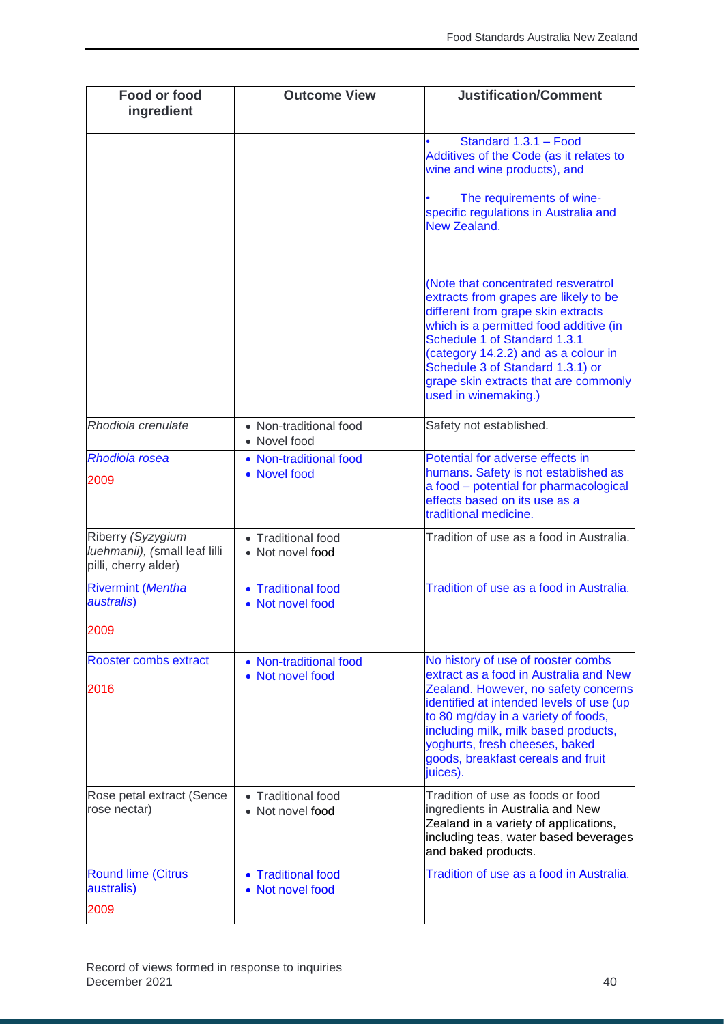| Food or food<br>ingredient                                                 | <b>Outcome View</b>                        | <b>Justification/Comment</b>                                                                                                                                                                                                                                                                                                              |
|----------------------------------------------------------------------------|--------------------------------------------|-------------------------------------------------------------------------------------------------------------------------------------------------------------------------------------------------------------------------------------------------------------------------------------------------------------------------------------------|
|                                                                            |                                            | Standard 1.3.1 - Food<br>Additives of the Code (as it relates to<br>wine and wine products), and<br>The requirements of wine-<br>specific regulations in Australia and<br>New Zealand.                                                                                                                                                    |
|                                                                            |                                            | (Note that concentrated resveratrol<br>extracts from grapes are likely to be<br>different from grape skin extracts<br>which is a permitted food additive (in<br>Schedule 1 of Standard 1.3.1<br>(category 14.2.2) and as a colour in<br>Schedule 3 of Standard 1.3.1) or<br>grape skin extracts that are commonly<br>used in winemaking.) |
| Rhodiola crenulate                                                         | • Non-traditional food<br>• Novel food     | Safety not established.                                                                                                                                                                                                                                                                                                                   |
| <b>Rhodiola rosea</b><br>2009                                              | • Non-traditional food<br>• Novel food     | Potential for adverse effects in<br>humans. Safety is not established as<br>a food - potential for pharmacological<br>effects based on its use as a<br>traditional medicine.                                                                                                                                                              |
| Riberry (Syzygium<br>luehmanii), (small leaf lilli<br>pilli, cherry alder) | • Traditional food<br>• Not novel food     | Tradition of use as a food in Australia.                                                                                                                                                                                                                                                                                                  |
| <b>Rivermint (Mentha</b><br>australis)                                     | • Traditional food<br>• Not novel food     | Tradition of use as a food in Australia.                                                                                                                                                                                                                                                                                                  |
| 2009                                                                       |                                            |                                                                                                                                                                                                                                                                                                                                           |
| Rooster combs extract<br>2016                                              | • Non-traditional food<br>• Not novel food | No history of use of rooster combs<br>extract as a food in Australia and New<br>Zealand. However, no safety concerns<br>identified at intended levels of use (up<br>to 80 mg/day in a variety of foods,<br>including milk, milk based products,<br>yoghurts, fresh cheeses, baked<br>goods, breakfast cereals and fruit<br>juices).       |
| Rose petal extract (Sence<br>rose nectar)                                  | • Traditional food<br>• Not novel food     | Tradition of use as foods or food<br>ingredients in Australia and New<br>Zealand in a variety of applications,<br>including teas, water based beverages<br>and baked products.                                                                                                                                                            |
| <b>Round lime (Citrus</b><br>australis)                                    | • Traditional food<br>• Not novel food     | Tradition of use as a food in Australia.                                                                                                                                                                                                                                                                                                  |
| 2009                                                                       |                                            |                                                                                                                                                                                                                                                                                                                                           |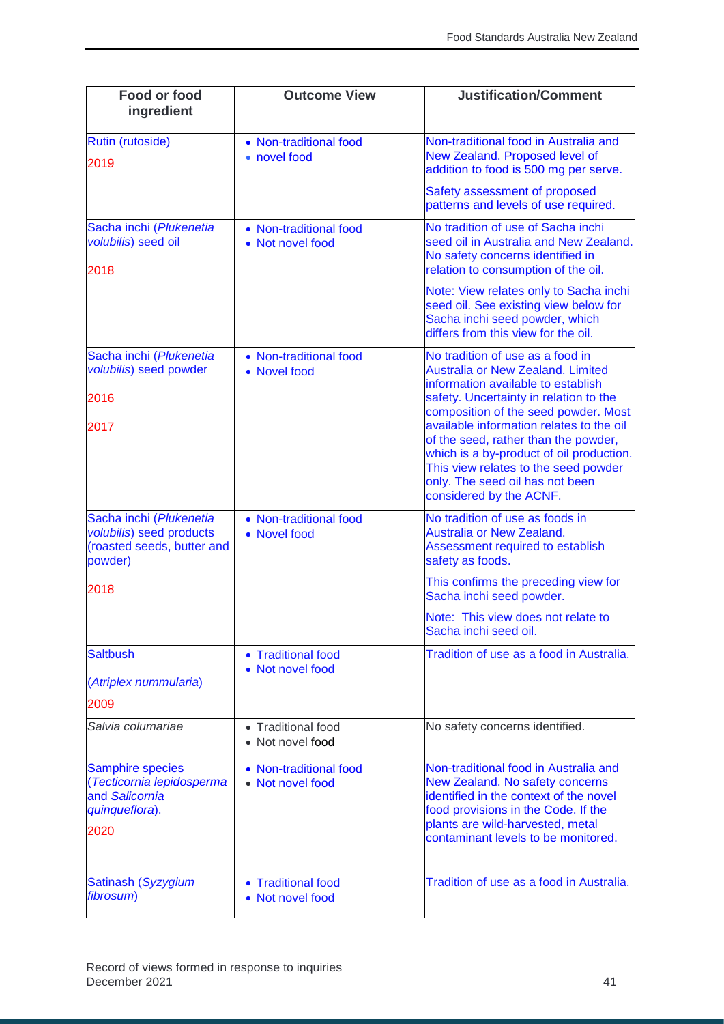| Food or food<br>ingredient                                                                           | <b>Outcome View</b>                        | <b>Justification/Comment</b>                                                                                                                                                                                                                                                                                                                                                                                                               |
|------------------------------------------------------------------------------------------------------|--------------------------------------------|--------------------------------------------------------------------------------------------------------------------------------------------------------------------------------------------------------------------------------------------------------------------------------------------------------------------------------------------------------------------------------------------------------------------------------------------|
| <b>Rutin (rutoside)</b><br>2019                                                                      | • Non-traditional food<br>• novel food     | Non-traditional food in Australia and<br>New Zealand. Proposed level of<br>addition to food is 500 mg per serve.                                                                                                                                                                                                                                                                                                                           |
|                                                                                                      |                                            | Safety assessment of proposed<br>patterns and levels of use required.                                                                                                                                                                                                                                                                                                                                                                      |
| Sacha inchi (Plukenetia<br>volubilis) seed oil<br>2018                                               | • Non-traditional food<br>• Not novel food | No tradition of use of Sacha inchi<br>seed oil in Australia and New Zealand.<br>No safety concerns identified in<br>relation to consumption of the oil.                                                                                                                                                                                                                                                                                    |
|                                                                                                      |                                            | Note: View relates only to Sacha inchi<br>seed oil. See existing view below for<br>Sacha inchi seed powder, which<br>differs from this view for the oil.                                                                                                                                                                                                                                                                                   |
| Sacha inchi (Plukenetia<br>volubilis) seed powder<br>2016<br>2017                                    | • Non-traditional food<br>• Novel food     | No tradition of use as a food in<br><b>Australia or New Zealand. Limited</b><br>information available to establish<br>safety. Uncertainty in relation to the<br>composition of the seed powder. Most<br>available information relates to the oil<br>of the seed, rather than the powder,<br>which is a by-product of oil production.<br>This view relates to the seed powder<br>only. The seed oil has not been<br>considered by the ACNF. |
| Sacha inchi (Plukenetia<br>volubilis) seed products<br>(roasted seeds, butter and<br>powder)<br>2018 | • Non-traditional food<br>• Novel food     | No tradition of use as foods in<br>Australia or New Zealand.<br>Assessment required to establish<br>safety as foods.<br>This confirms the preceding view for<br>Sacha inchi seed powder.<br>Note: This view does not relate to                                                                                                                                                                                                             |
| <b>Saltbush</b><br>(Atriplex nummularia)<br>2009                                                     | • Traditional food<br>• Not novel food     | Sacha inchi seed oil.<br>Tradition of use as a food in Australia.                                                                                                                                                                                                                                                                                                                                                                          |
| Salvia columariae                                                                                    | • Traditional food<br>• Not novel food     | No safety concerns identified.                                                                                                                                                                                                                                                                                                                                                                                                             |
| <b>Samphire species</b><br>(Tecticornia lepidosperma<br>and Salicornia<br>quinqueflora).<br>2020     | • Non-traditional food<br>• Not novel food | Non-traditional food in Australia and<br>New Zealand. No safety concerns<br>identified in the context of the novel<br>food provisions in the Code. If the<br>plants are wild-harvested, metal<br>contaminant levels to be monitored.                                                                                                                                                                                                       |
| Satinash (Syzygium<br>fibrosum)                                                                      | • Traditional food<br>• Not novel food     | Tradition of use as a food in Australia.                                                                                                                                                                                                                                                                                                                                                                                                   |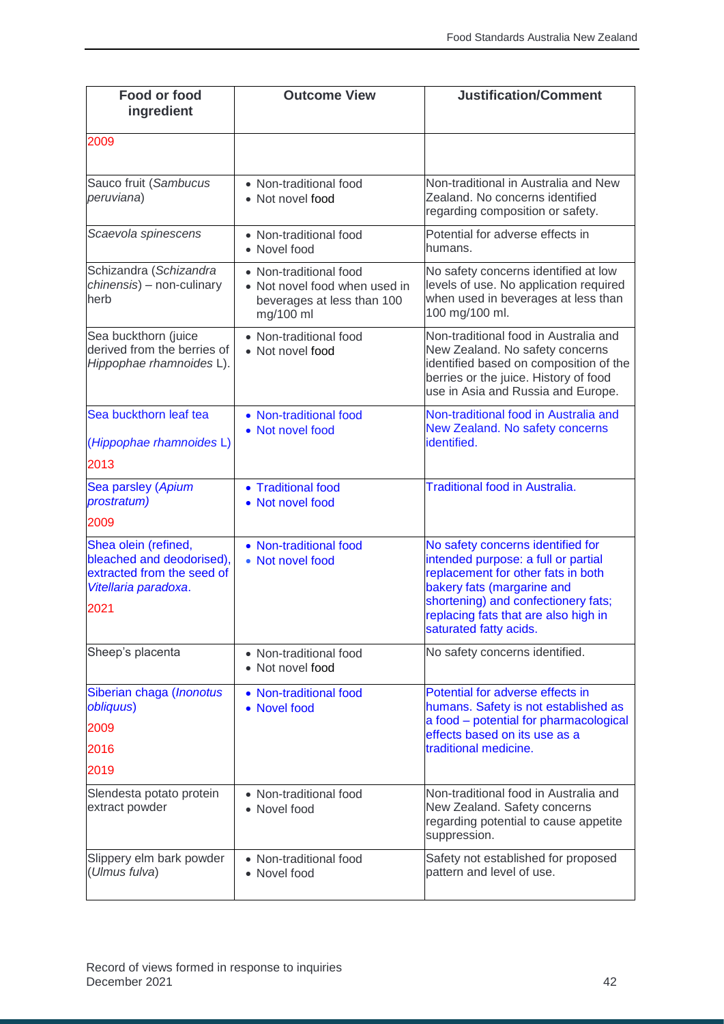| <b>Food or food</b><br>ingredient                                                                               | <b>Outcome View</b>                                                                                | <b>Justification/Comment</b>                                                                                                                                                                                                                          |
|-----------------------------------------------------------------------------------------------------------------|----------------------------------------------------------------------------------------------------|-------------------------------------------------------------------------------------------------------------------------------------------------------------------------------------------------------------------------------------------------------|
| 2009                                                                                                            |                                                                                                    |                                                                                                                                                                                                                                                       |
| Sauco fruit (Sambucus<br>peruviana)                                                                             | • Non-traditional food<br>• Not novel food                                                         | Non-traditional in Australia and New<br>Zealand. No concerns identified<br>regarding composition or safety.                                                                                                                                           |
| Scaevola spinescens                                                                                             | • Non-traditional food<br>• Novel food                                                             | Potential for adverse effects in<br>humans.                                                                                                                                                                                                           |
| Schizandra (Schizandra<br>chinensis) - non-culinary<br>herb                                                     | • Non-traditional food<br>• Not novel food when used in<br>beverages at less than 100<br>mg/100 ml | No safety concerns identified at low<br>levels of use. No application required<br>when used in beverages at less than<br>100 mg/100 ml.                                                                                                               |
| Sea buckthorn (juice<br>derived from the berries of<br>Hippophae rhamnoides L).                                 | • Non-traditional food<br>• Not novel food                                                         | Non-traditional food in Australia and<br>New Zealand. No safety concerns<br>identified based on composition of the<br>berries or the juice. History of food<br>use in Asia and Russia and Europe.                                                     |
| Sea buckthorn leaf tea<br>(Hippophae rhamnoides L)<br>2013                                                      | • Non-traditional food<br>• Not novel food                                                         | Non-traditional food in Australia and<br>New Zealand. No safety concerns<br>identified.                                                                                                                                                               |
| Sea parsley (Apium<br>prostratum)<br>2009                                                                       | • Traditional food<br>• Not novel food                                                             | <b>Traditional food in Australia.</b>                                                                                                                                                                                                                 |
| Shea olein (refined,<br>bleached and deodorised),<br>extracted from the seed of<br>Vitellaria paradoxa.<br>2021 | • Non-traditional food<br>• Not novel food                                                         | No safety concerns identified for<br>intended purpose: a full or partial<br>replacement for other fats in both<br>bakery fats (margarine and<br>shortening) and confectionery fats;<br>replacing fats that are also high in<br>saturated fatty acids. |
| Sheep's placenta                                                                                                | • Non-traditional food<br>• Not novel food                                                         | No safety concerns identified.                                                                                                                                                                                                                        |
| Siberian chaga (Inonotus<br>obliquus)<br>2009<br>2016<br>2019                                                   | • Non-traditional food<br>• Novel food                                                             | Potential for adverse effects in<br>humans. Safety is not established as<br>a food - potential for pharmacological<br>effects based on its use as a<br>traditional medicine.                                                                          |
| Slendesta potato protein<br>extract powder                                                                      | • Non-traditional food<br>• Novel food                                                             | Non-traditional food in Australia and<br>New Zealand. Safety concerns<br>regarding potential to cause appetite<br>suppression.                                                                                                                        |
| Slippery elm bark powder<br>(Ulmus fulva)                                                                       | • Non-traditional food<br>• Novel food                                                             | Safety not established for proposed<br>pattern and level of use.                                                                                                                                                                                      |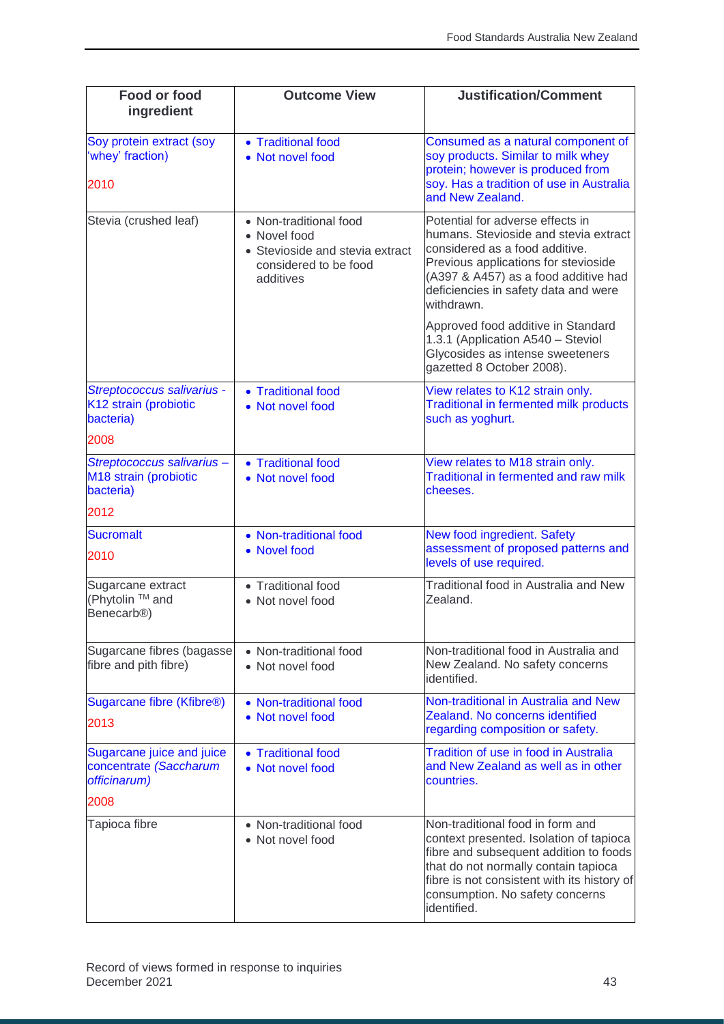| Food or food<br>ingredient                                               | <b>Outcome View</b>                                                                                             | <b>Justification/Comment</b>                                                                                                                                                                                                                                   |
|--------------------------------------------------------------------------|-----------------------------------------------------------------------------------------------------------------|----------------------------------------------------------------------------------------------------------------------------------------------------------------------------------------------------------------------------------------------------------------|
| Soy protein extract (soy<br>'whey' fraction)<br>2010                     | • Traditional food<br>• Not novel food                                                                          | Consumed as a natural component of<br>soy products. Similar to milk whey<br>protein; however is produced from<br>soy. Has a tradition of use in Australia<br>and New Zealand.                                                                                  |
| Stevia (crushed leaf)                                                    | • Non-traditional food<br>• Novel food<br>• Stevioside and stevia extract<br>considered to be food<br>additives | Potential for adverse effects in<br>humans. Stevioside and stevia extract<br>considered as a food additive.<br>Previous applications for stevioside<br>(A397 & A457) as a food additive had<br>deficiencies in safety data and were<br>withdrawn.              |
|                                                                          |                                                                                                                 | Approved food additive in Standard<br>1.3.1 (Application A540 - Steviol<br>Glycosides as intense sweeteners<br>gazetted 8 October 2008).                                                                                                                       |
| Streptococcus salivarius -<br>K12 strain (probiotic<br>bacteria)<br>2008 | • Traditional food<br>• Not novel food                                                                          | View relates to K12 strain only.<br><b>Traditional in fermented milk products</b><br>such as yoghurt.                                                                                                                                                          |
| Streptococcus salivarius-<br>M18 strain (probiotic<br>bacteria)          | • Traditional food<br>• Not novel food                                                                          | View relates to M18 strain only.<br>Traditional in fermented and raw milk<br>cheeses.                                                                                                                                                                          |
| 2012                                                                     |                                                                                                                 |                                                                                                                                                                                                                                                                |
| <b>Sucromalt</b><br>2010                                                 | • Non-traditional food<br>• Novel food                                                                          | New food ingredient. Safety<br>assessment of proposed patterns and<br>levels of use required.                                                                                                                                                                  |
| Sugarcane extract<br>(Phytolin ™ and<br>Benecarb <sup>®</sup> )          | • Traditional food<br>• Not novel food                                                                          | Traditional food in Australia and New<br>Zealand.                                                                                                                                                                                                              |
| Sugarcane fibres (bagasse<br>fibre and pith fibre)                       | • Non-traditional food<br>• Not novel food                                                                      | Non-traditional food in Australia and<br>New Zealand. No safety concerns<br>identified.                                                                                                                                                                        |
| Sugarcane fibre (Kfibre <sup>®)</sup><br>2013                            | • Non-traditional food<br>• Not novel food                                                                      | Non-traditional in Australia and New<br>Zealand. No concerns identified<br>regarding composition or safety.                                                                                                                                                    |
| Sugarcane juice and juice<br>concentrate (Saccharum<br>officinarum)      | • Traditional food<br>• Not novel food                                                                          | <b>Tradition of use in food in Australia</b><br>and New Zealand as well as in other<br>countries.                                                                                                                                                              |
| 2008                                                                     |                                                                                                                 |                                                                                                                                                                                                                                                                |
| Tapioca fibre                                                            | • Non-traditional food<br>• Not novel food                                                                      | Non-traditional food in form and<br>context presented. Isolation of tapioca<br>fibre and subsequent addition to foods<br>that do not normally contain tapioca<br>fibre is not consistent with its history of<br>consumption. No safety concerns<br>identified. |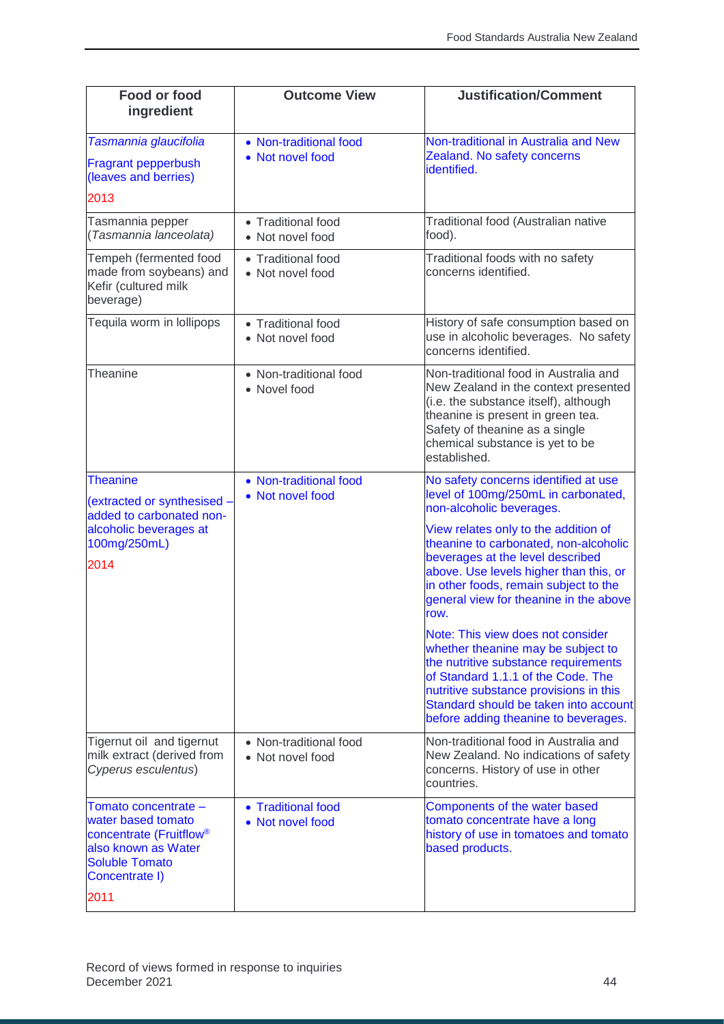| Food or food<br>ingredient                                                                                                                                  | <b>Outcome View</b>                        | <b>Justification/Comment</b>                                                                                                                                                                                                                                                                                                                                                                                                                                                                                                                                                                                                                          |
|-------------------------------------------------------------------------------------------------------------------------------------------------------------|--------------------------------------------|-------------------------------------------------------------------------------------------------------------------------------------------------------------------------------------------------------------------------------------------------------------------------------------------------------------------------------------------------------------------------------------------------------------------------------------------------------------------------------------------------------------------------------------------------------------------------------------------------------------------------------------------------------|
| Tasmannia glaucifolia<br><b>Fragrant pepperbush</b><br>(leaves and berries)<br>2013                                                                         | • Non-traditional food<br>• Not novel food | Non-traditional in Australia and New<br>Zealand. No safety concerns<br>identified.                                                                                                                                                                                                                                                                                                                                                                                                                                                                                                                                                                    |
| Tasmannia pepper<br>(Tasmannia lanceolata)                                                                                                                  | • Traditional food<br>• Not novel food     | Traditional food (Australian native<br>food).                                                                                                                                                                                                                                                                                                                                                                                                                                                                                                                                                                                                         |
| Tempeh (fermented food<br>made from soybeans) and<br>Kefir (cultured milk<br>beverage)                                                                      | • Traditional food<br>• Not novel food     | Traditional foods with no safety<br>concerns identified.                                                                                                                                                                                                                                                                                                                                                                                                                                                                                                                                                                                              |
| Tequila worm in lollipops                                                                                                                                   | • Traditional food<br>• Not novel food     | History of safe consumption based on<br>use in alcoholic beverages. No safety<br>concerns identified.                                                                                                                                                                                                                                                                                                                                                                                                                                                                                                                                                 |
| Theanine                                                                                                                                                    | • Non-traditional food<br>• Novel food     | Non-traditional food in Australia and<br>New Zealand in the context presented<br>(i.e. the substance itself), although<br>theanine is present in green tea.<br>Safety of theanine as a single<br>chemical substance is yet to be<br>established.                                                                                                                                                                                                                                                                                                                                                                                                      |
| <b>Theanine</b><br>extracted or synthesised -<br>added to carbonated non-<br>alcoholic beverages at<br>100mg/250mL)<br>2014                                 | • Non-traditional food<br>• Not novel food | No safety concerns identified at use<br>level of 100mg/250mL in carbonated,<br>non-alcoholic beverages.<br>View relates only to the addition of<br>theanine to carbonated, non-alcoholic<br>beverages at the level described<br>above. Use levels higher than this, or<br>in other foods, remain subject to the<br>general view for theanine in the above<br>row.<br>Note: This view does not consider<br>whether theanine may be subject to<br>the nutritive substance requirements<br>of Standard 1.1.1 of the Code. The<br>nutritive substance provisions in this<br>Standard should be taken into account<br>before adding theanine to beverages. |
| Tigernut oil and tigernut<br>milk extract (derived from<br>Cyperus esculentus)                                                                              | • Non-traditional food<br>• Not novel food | Non-traditional food in Australia and<br>New Zealand. No indications of safety<br>concerns. History of use in other<br>countries.                                                                                                                                                                                                                                                                                                                                                                                                                                                                                                                     |
| Tomato concentrate -<br>water based tomato<br>concentrate (Fruitflow <sup>®</sup><br>also known as Water<br><b>Soluble Tomato</b><br>Concentrate I)<br>2011 | • Traditional food<br>• Not novel food     | Components of the water based<br>tomato concentrate have a long<br>history of use in tomatoes and tomato<br>based products.                                                                                                                                                                                                                                                                                                                                                                                                                                                                                                                           |
|                                                                                                                                                             |                                            |                                                                                                                                                                                                                                                                                                                                                                                                                                                                                                                                                                                                                                                       |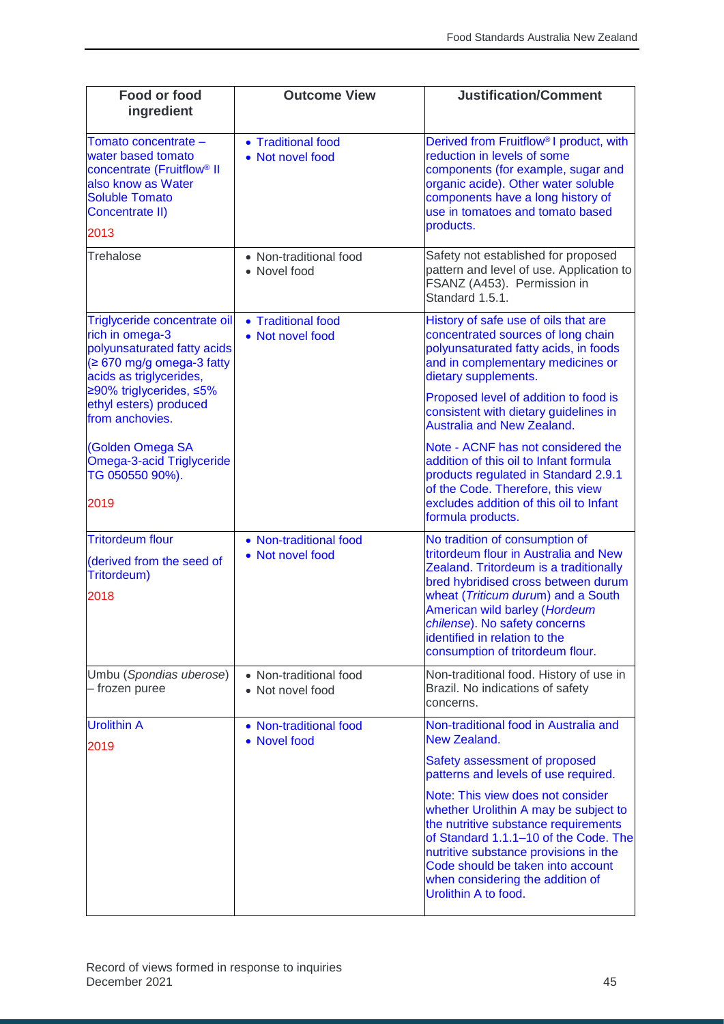| <b>Food or food</b><br>ingredient                                                                                                                                                               | <b>Outcome View</b>                        | <b>Justification/Comment</b>                                                                                                                                                                                                                                                                          |
|-------------------------------------------------------------------------------------------------------------------------------------------------------------------------------------------------|--------------------------------------------|-------------------------------------------------------------------------------------------------------------------------------------------------------------------------------------------------------------------------------------------------------------------------------------------------------|
| Tomato concentrate -<br>water based tomato<br>concentrate (Fruitflow <sup>®</sup> II<br>also know as Water<br><b>Soluble Tomato</b><br>Concentrate II)<br>2013                                  | • Traditional food<br>• Not novel food     | Derived from Fruitflow <sup>®</sup> I product, with<br>reduction in levels of some<br>components (for example, sugar and<br>organic acide). Other water soluble<br>components have a long history of<br>use in tomatoes and tomato based<br>products.                                                 |
| Trehalose                                                                                                                                                                                       | • Non-traditional food<br>• Novel food     | Safety not established for proposed<br>pattern and level of use. Application to<br>FSANZ (A453). Permission in<br>Standard 1.5.1.                                                                                                                                                                     |
| Triglyceride concentrate oil<br>rich in omega-3<br>polyunsaturated fatty acids<br>$\geq 670$ mg/g omega-3 fatty<br>acids as triglycerides,<br>≥90% triglycerides, ≤5%<br>ethyl esters) produced | • Traditional food<br>• Not novel food     | History of safe use of oils that are<br>concentrated sources of long chain<br>polyunsaturated fatty acids, in foods<br>and in complementary medicines or<br>dietary supplements.<br>Proposed level of addition to food is                                                                             |
| from anchovies.                                                                                                                                                                                 |                                            | consistent with dietary guidelines in<br><b>Australia and New Zealand.</b>                                                                                                                                                                                                                            |
| (Golden Omega SA<br>Omega-3-acid Triglyceride<br>TG 050550 90%).<br>2019                                                                                                                        |                                            | Note - ACNF has not considered the<br>addition of this oil to Infant formula<br>products regulated in Standard 2.9.1<br>of the Code. Therefore, this view<br>excludes addition of this oil to Infant<br>formula products.                                                                             |
| <b>Tritordeum flour</b>                                                                                                                                                                         | • Non-traditional food                     | No tradition of consumption of                                                                                                                                                                                                                                                                        |
| (derived from the seed of<br>Tritordeum)<br>2018                                                                                                                                                | • Not novel food                           | tritordeum flour in Australia and New<br>Zealand. Tritordeum is a traditionally<br>bred hybridised cross between durum<br>wheat (Triticum durum) and a South<br>American wild barley (Hordeum<br>chilense). No safety concerns<br>identified in relation to the<br>consumption of tritordeum flour.   |
| Umbu (Spondias uberose)<br>- frozen puree                                                                                                                                                       | • Non-traditional food<br>• Not novel food | Non-traditional food. History of use in<br>Brazil. No indications of safety<br>concerns.                                                                                                                                                                                                              |
| <b>Urolithin A</b>                                                                                                                                                                              | • Non-traditional food<br>• Novel food     | Non-traditional food in Australia and<br>New Zealand.                                                                                                                                                                                                                                                 |
| 2019                                                                                                                                                                                            |                                            | Safety assessment of proposed<br>patterns and levels of use required.                                                                                                                                                                                                                                 |
|                                                                                                                                                                                                 |                                            | Note: This view does not consider<br>whether Urolithin A may be subject to<br>the nutritive substance requirements<br>of Standard 1.1.1-10 of the Code. The<br>nutritive substance provisions in the<br>Code should be taken into account<br>when considering the addition of<br>Urolithin A to food. |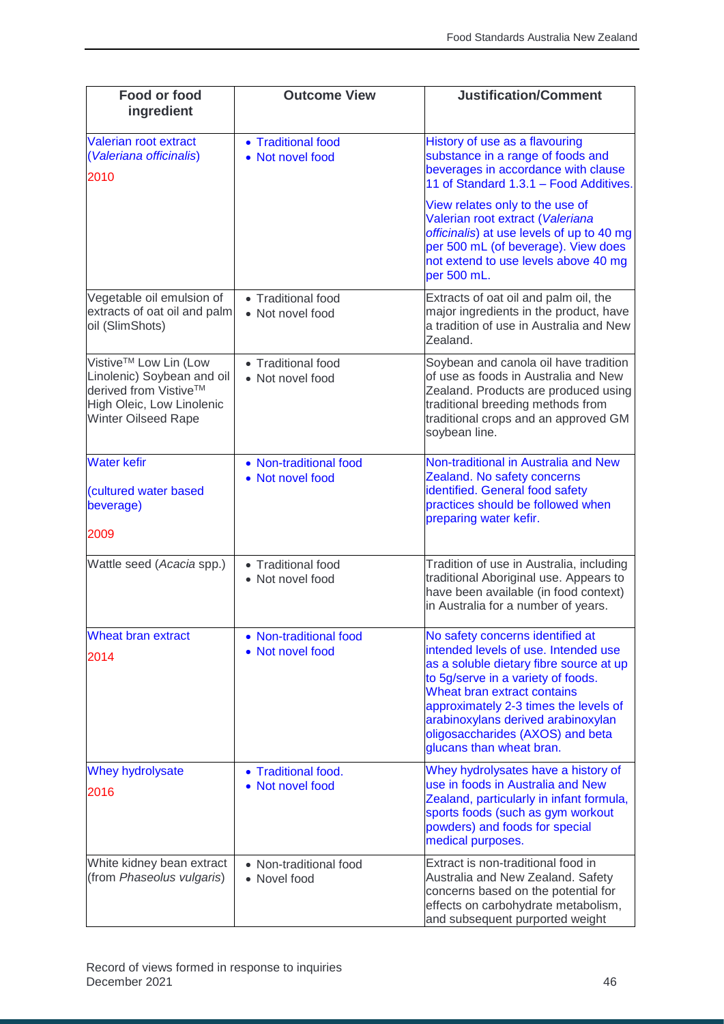| Food or food<br>ingredient                                                                                                              | <b>Outcome View</b>                        | <b>Justification/Comment</b>                                                                                                                                                                                                                                                                                                            |
|-----------------------------------------------------------------------------------------------------------------------------------------|--------------------------------------------|-----------------------------------------------------------------------------------------------------------------------------------------------------------------------------------------------------------------------------------------------------------------------------------------------------------------------------------------|
| Valerian root extract<br>(Valeriana officinalis)<br>2010                                                                                | • Traditional food<br>• Not novel food     | History of use as a flavouring<br>substance in a range of foods and<br>beverages in accordance with clause<br>11 of Standard 1.3.1 - Food Additives.                                                                                                                                                                                    |
|                                                                                                                                         |                                            | View relates only to the use of<br>Valerian root extract (Valeriana<br>officinalis) at use levels of up to 40 mg<br>per 500 mL (of beverage). View does<br>not extend to use levels above 40 mg<br>per 500 mL.                                                                                                                          |
| Vegetable oil emulsion of<br>extracts of oat oil and palm<br>oil (SlimShots)                                                            | • Traditional food<br>• Not novel food     | Extracts of oat oil and palm oil, the<br>major ingredients in the product, have<br>a tradition of use in Australia and New<br>Zealand.                                                                                                                                                                                                  |
| Vistive™ Low Lin (Low<br>Linolenic) Soybean and oil<br>derived from Vistive™<br>High Oleic, Low Linolenic<br><b>Winter Oilseed Rape</b> | • Traditional food<br>• Not novel food     | Soybean and canola oil have tradition<br>of use as foods in Australia and New<br>Zealand. Products are produced using<br>traditional breeding methods from<br>traditional crops and an approved GM<br>soybean line.                                                                                                                     |
| <b>Water kefir</b><br>(cultured water based<br>beverage)<br>2009                                                                        | • Non-traditional food<br>• Not novel food | Non-traditional in Australia and New<br>Zealand. No safety concerns<br>identified. General food safety<br>practices should be followed when<br>preparing water kefir.                                                                                                                                                                   |
| Wattle seed (Acacia spp.)                                                                                                               | • Traditional food<br>• Not novel food     | Tradition of use in Australia, including<br>traditional Aboriginal use. Appears to<br>have been available (in food context)<br>in Australia for a number of years.                                                                                                                                                                      |
| <b>Wheat bran extract</b><br>2014                                                                                                       | • Non-traditional food<br>• Not novel food | No safety concerns identified at<br>intended levels of use. Intended use<br>as a soluble dietary fibre source at up<br>to 5g/serve in a variety of foods.<br>Wheat bran extract contains<br>approximately 2-3 times the levels of<br>arabinoxylans derived arabinoxylan<br>oligosaccharides (AXOS) and beta<br>glucans than wheat bran. |
| <b>Whey hydrolysate</b><br>2016                                                                                                         | • Traditional food.<br>• Not novel food    | Whey hydrolysates have a history of<br>use in foods in Australia and New<br>Zealand, particularly in infant formula,<br>sports foods (such as gym workout<br>powders) and foods for special<br>medical purposes.                                                                                                                        |
| White kidney bean extract<br>(from Phaseolus vulgaris)                                                                                  | • Non-traditional food<br>• Novel food     | Extract is non-traditional food in<br>Australia and New Zealand. Safety<br>concerns based on the potential for<br>effects on carbohydrate metabolism,<br>and subsequent purported weight                                                                                                                                                |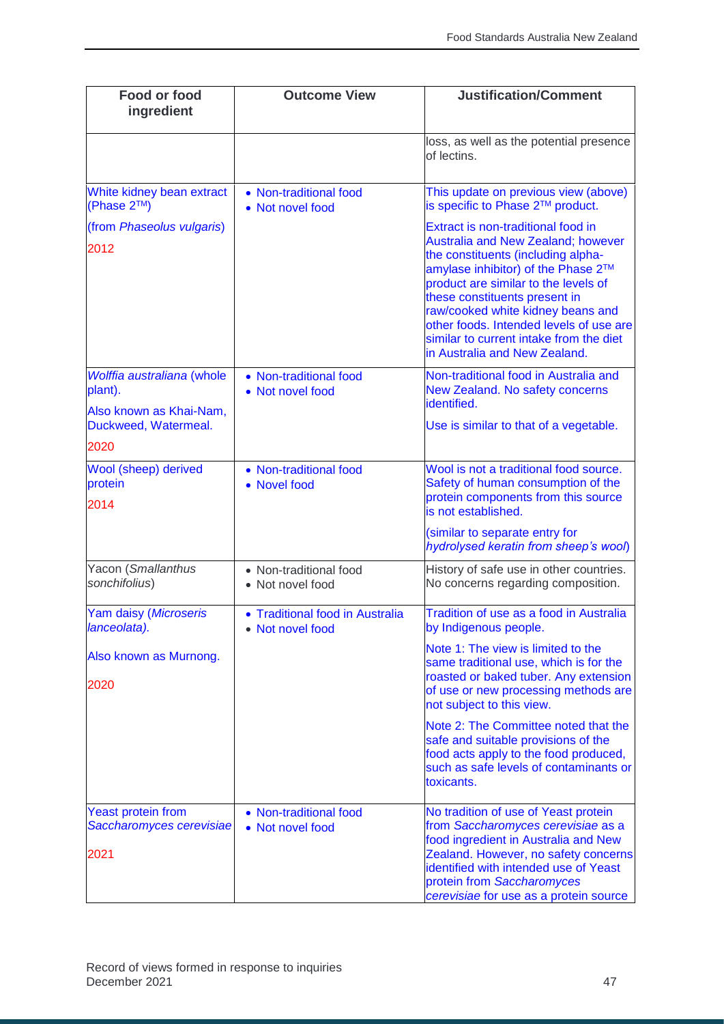| Food or food<br>ingredient                                    | <b>Outcome View</b>                               | <b>Justification/Comment</b>                                                                                                                                                                                                                                                                                                                                                                     |
|---------------------------------------------------------------|---------------------------------------------------|--------------------------------------------------------------------------------------------------------------------------------------------------------------------------------------------------------------------------------------------------------------------------------------------------------------------------------------------------------------------------------------------------|
|                                                               |                                                   | loss, as well as the potential presence<br>of lectins.                                                                                                                                                                                                                                                                                                                                           |
| White kidney bean extract<br>(Phase 2™)                       | • Non-traditional food<br>• Not novel food        | This update on previous view (above)<br>is specific to Phase 2™ product.                                                                                                                                                                                                                                                                                                                         |
| (from Phaseolus vulgaris)<br>2012                             |                                                   | Extract is non-traditional food in<br><b>Australia and New Zealand; however</b><br>the constituents (including alpha-<br>amylase inhibitor) of the Phase 2™<br>product are similar to the levels of<br>these constituents present in<br>raw/cooked white kidney beans and<br>other foods. Intended levels of use are<br>similar to current intake from the diet<br>in Australia and New Zealand. |
| Wolffia australiana (whole<br>plant).                         | • Non-traditional food<br>• Not novel food        | Non-traditional food in Australia and<br>New Zealand. No safety concerns<br>identified.                                                                                                                                                                                                                                                                                                          |
| Also known as Khai-Nam,<br>Duckweed, Watermeal.               |                                                   | Use is similar to that of a vegetable.                                                                                                                                                                                                                                                                                                                                                           |
| 2020                                                          |                                                   |                                                                                                                                                                                                                                                                                                                                                                                                  |
| Wool (sheep) derived<br>protein<br>2014                       | • Non-traditional food<br>• Novel food            | Wool is not a traditional food source.<br>Safety of human consumption of the<br>protein components from this source<br>is not established.                                                                                                                                                                                                                                                       |
|                                                               |                                                   | (similar to separate entry for<br>hydrolysed keratin from sheep's wool)                                                                                                                                                                                                                                                                                                                          |
| Yacon (Smallanthus<br>sonchifolius)                           | • Non-traditional food<br>• Not novel food        | History of safe use in other countries.<br>No concerns regarding composition.                                                                                                                                                                                                                                                                                                                    |
| Yam daisy (Microseris<br>lanceolata).                         | • Traditional food in Australia<br>Not novel food | Tradition of use as a food in Australia<br>by Indigenous people.                                                                                                                                                                                                                                                                                                                                 |
| Also known as Murnong.<br>2020                                |                                                   | Note 1: The view is limited to the<br>same traditional use, which is for the<br>roasted or baked tuber. Any extension<br>of use or new processing methods are                                                                                                                                                                                                                                    |
|                                                               |                                                   | not subject to this view.<br>Note 2: The Committee noted that the<br>safe and suitable provisions of the<br>food acts apply to the food produced,<br>such as safe levels of contaminants or<br>toxicants.                                                                                                                                                                                        |
| <b>Yeast protein from</b><br>Saccharomyces cerevisiae<br>2021 | • Non-traditional food<br>• Not novel food        | No tradition of use of Yeast protein<br>from Saccharomyces cerevisiae as a<br>food ingredient in Australia and New<br>Zealand. However, no safety concerns<br>identified with intended use of Yeast<br>protein from Saccharomyces<br>cerevisiae for use as a protein source                                                                                                                      |